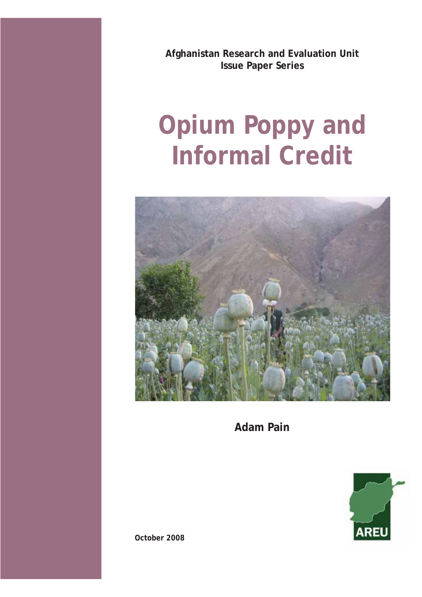**Afghanistan Research and Evaluation Unit Issue Paper Series** 

# **Opium Poppy and Informal Credit**



**Adam Pain**



**October 2008**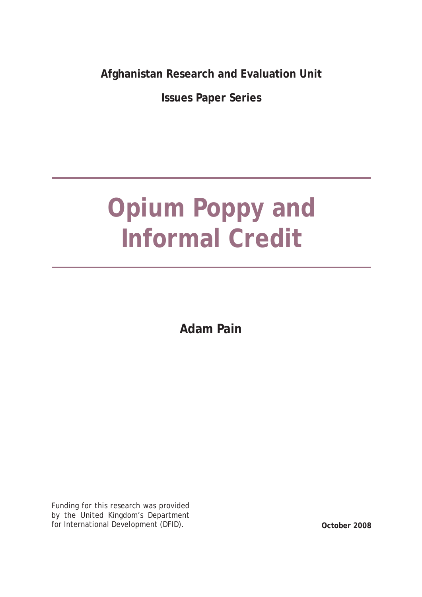**Afghanistan Research and Evaluation Unit**

**Issues Paper Series**

# **Opium Poppy and Informal Credit**

**Adam Pain**

Funding for this research was provided by the United Kingdom's Department for International Development (DFID). **October 2008**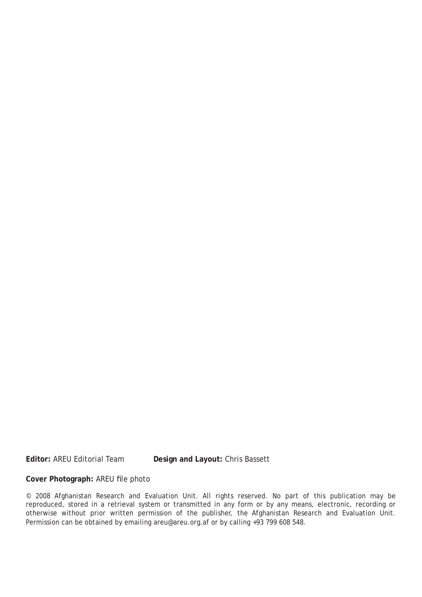**Editor:** AREU Editorial Team **Design and Layout:** Chris Bassett

#### Cover Photograph: AREU file photo

© 2008 Afghanistan Research and Evaluation Unit. All rights reserved. No part of this publication may be reproduced, stored in a retrieval system or transmitted in any form or by any means, electronic, recording or otherwise without prior written permission of the publisher, the Afghanistan Research and Evaluation Unit. Permission can be obtained by emailing areu@areu.org.af or by calling +93 799 608 548.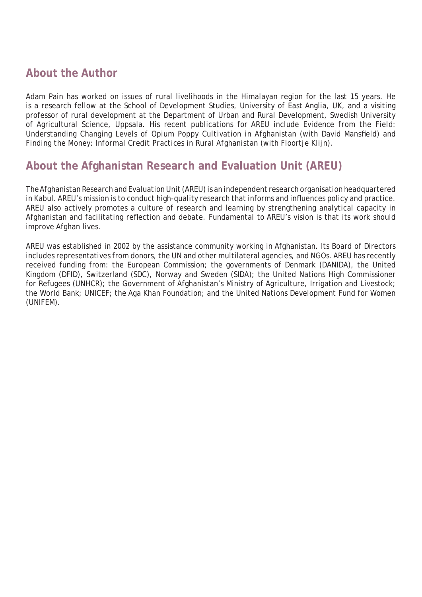# **About the Author**

Adam Pain has worked on issues of rural livelihoods in the Himalayan region for the last 15 years. He is a research fellow at the School of Development Studies, University of East Anglia, UK, and a visiting professor of rural development at the Department of Urban and Rural Development, Swedish University of Agricultural Science, Uppsala. His recent publications for AREU include *Evidence from the Field: Understanding Changing Levels of Opium Poppy Cultivation in Afghanistan* (with David Mansfield) and *Finding the Money: Informal Credit Practices in Rural Afghanistan* (with Floortje Klijn).

# **About the Afghanistan Research and Evaluation Unit (AREU)**

The Afghanistan Research and Evaluation Unit (AREU) is an independent research organisation headquartered in Kabul. AREU's mission is to conduct high-quality research that informs and influences policy and practice. AREU also actively promotes a culture of research and learning by strengthening analytical capacity in Afghanistan and facilitating reflection and debate. Fundamental to AREU's vision is that its work should improve Afghan lives.

AREU was established in 2002 by the assistance community working in Afghanistan. Its Board of Directors includes representatives from donors, the UN and other multilateral agencies, and NGOs. AREU has recently received funding from: the European Commission; the governments of Denmark (DANIDA), the United Kingdom (DFID), Switzerland (SDC), Norway and Sweden (SIDA); the United Nations High Commissioner for Refugees (UNHCR); the Government of Afghanistan's Ministry of Agriculture, Irrigation and Livestock; the World Bank; UNICEF; the Aga Khan Foundation; and the United Nations Development Fund for Women (UNIFEM).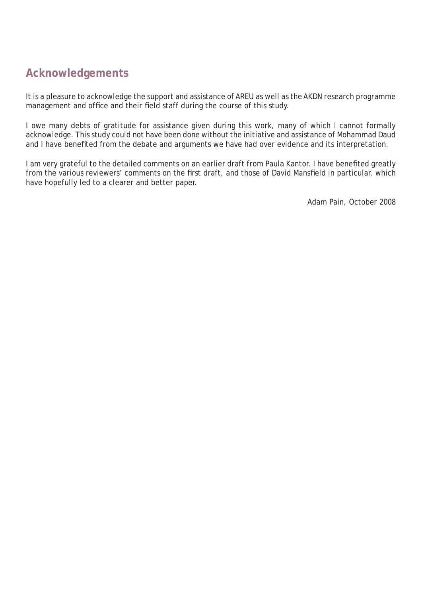# **Acknowledgements**

It is a pleasure to acknowledge the support and assistance of AREU as well as the AKDN research programme management and office and their field staff during the course of this study.

I owe many debts of gratitude for assistance given during this work, many of which I cannot formally acknowledge. This study could not have been done without the initiative and assistance of Mohammad Daud and I have benefited from the debate and arguments we have had over evidence and its interpretation.

I am very grateful to the detailed comments on an earlier draft from Paula Kantor. I have benefited greatly from the various reviewers' comments on the first draft, and those of David Mansfield in particular, which have hopefully led to a clearer and better paper.

Adam Pain, October 2008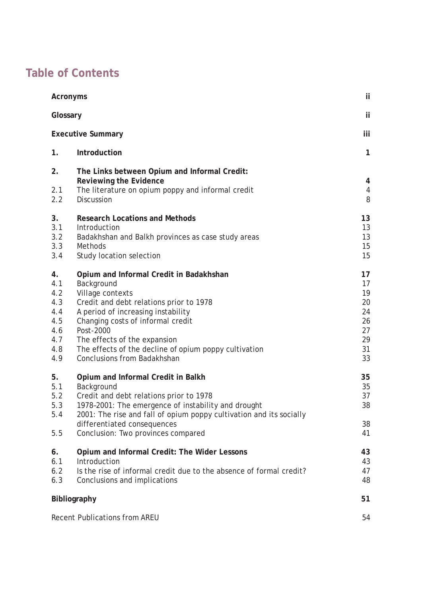# **Table of Contents**

| <b>Acronyms</b>                                                   |                                                                                                                                                                                                                                                                                                                                             |                                                          |
|-------------------------------------------------------------------|---------------------------------------------------------------------------------------------------------------------------------------------------------------------------------------------------------------------------------------------------------------------------------------------------------------------------------------------|----------------------------------------------------------|
| Glossary                                                          |                                                                                                                                                                                                                                                                                                                                             |                                                          |
| <b>Executive Summary</b>                                          |                                                                                                                                                                                                                                                                                                                                             |                                                          |
| 1.                                                                | Introduction                                                                                                                                                                                                                                                                                                                                | $\mathbf{1}$                                             |
| 2.<br>2.1<br>2.2                                                  | The Links between Opium and Informal Credit:<br>Reviewing the Evidence<br>The literature on opium poppy and informal credit<br><b>Discussion</b>                                                                                                                                                                                            | 4<br>4<br>8                                              |
| 3.<br>3.1<br>3.2<br>3.3<br>3.4                                    | <b>Research Locations and Methods</b><br>Introduction<br>Badakhshan and Balkh provinces as case study areas<br><b>Methods</b><br>Study location selection                                                                                                                                                                                   | 13<br>13<br>13<br>15<br>15                               |
| 4.<br>4.1<br>4.2<br>4.3<br>4.4<br>4.5<br>4.6<br>4.7<br>4.8<br>4.9 | Opium and Informal Credit in Badakhshan<br>Background<br>Village contexts<br>Credit and debt relations prior to 1978<br>A period of increasing instability<br>Changing costs of informal credit<br>Post-2000<br>The effects of the expansion<br>The effects of the decline of opium poppy cultivation<br><b>Conclusions from Badakhshan</b> | 17<br>17<br>19<br>20<br>24<br>26<br>27<br>29<br>31<br>33 |
| 5.<br>5.1<br>5.2<br>5.3<br>5.4<br>5.5                             | Opium and Informal Credit in Balkh<br>Background<br>Credit and debt relations prior to 1978<br>1978-2001: The emergence of instability and drought<br>2001: The rise and fall of opium poppy cultivation and its socially<br>differentiated consequences<br>Conclusion: Two provinces compared                                              | 35<br>35<br>37<br>38<br>38<br>41                         |
| 6.<br>6.1<br>6.2<br>6.3                                           | Opium and Informal Credit: The Wider Lessons<br>Introduction<br>Is the rise of informal credit due to the absence of formal credit?<br>Conclusions and implications                                                                                                                                                                         | 43<br>43<br>47<br>48                                     |
| <b>Bibliography</b>                                               |                                                                                                                                                                                                                                                                                                                                             |                                                          |
| <b>Recent Publications from AREU</b>                              |                                                                                                                                                                                                                                                                                                                                             |                                                          |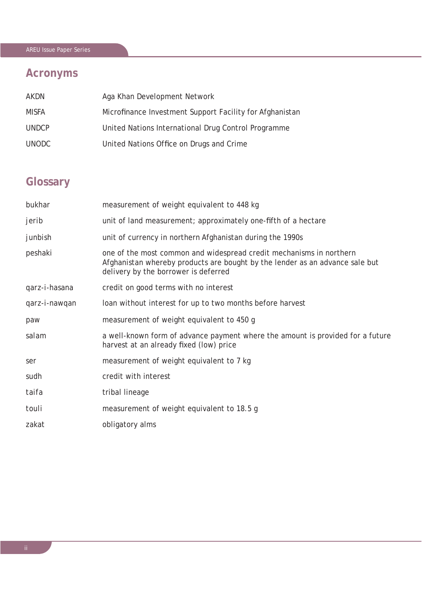# AREU Issue Paper Series

# **Acronyms**

| AKDN         | Aga Khan Development Network                             |
|--------------|----------------------------------------------------------|
| MISFA        | Microfinance Investment Support Facility for Afghanistan |
| <b>UNDCP</b> | United Nations International Drug Control Programme      |
| <b>UNODC</b> | United Nations Office on Drugs and Crime                 |

# **Glossary**

| measurement of weight equivalent to 448 kg                                                                                                                                                  |
|---------------------------------------------------------------------------------------------------------------------------------------------------------------------------------------------|
| unit of land measurement; approximately one-fifth of a hectare                                                                                                                              |
| unit of currency in northern Afghanistan during the 1990s                                                                                                                                   |
| one of the most common and widespread credit mechanisms in northern<br>Afghanistan whereby products are bought by the lender as an advance sale but<br>delivery by the borrower is deferred |
| credit on good terms with no interest                                                                                                                                                       |
| loan without interest for up to two months before harvest                                                                                                                                   |
| measurement of weight equivalent to 450 g                                                                                                                                                   |
| a well-known form of advance payment where the amount is provided for a future<br>harvest at an already fixed (low) price                                                                   |
| measurement of weight equivalent to 7 kg                                                                                                                                                    |
| credit with interest                                                                                                                                                                        |
| tribal lineage                                                                                                                                                                              |
| measurement of weight equivalent to 18.5 g                                                                                                                                                  |
| obligatory alms                                                                                                                                                                             |
|                                                                                                                                                                                             |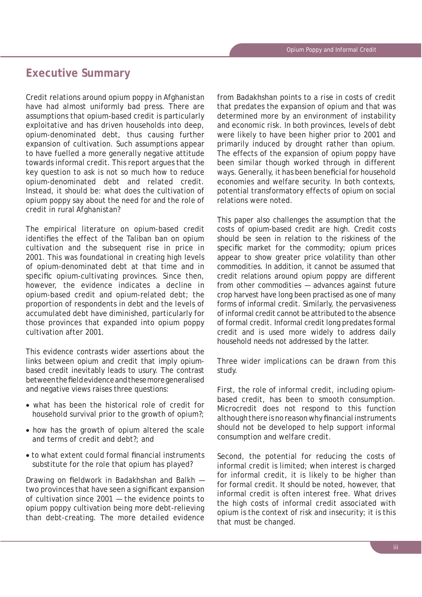# **Executive Summary**

Credit relations around opium poppy in Afghanistan have had almost uniformly bad press. There are assumptions that opium-based credit is particularly exploitative and has driven households into deep, opium-denominated debt, thus causing further expansion of cultivation. Such assumptions appear to have fuelled a more generally negative attitude towards informal credit. This report argues that the key question to ask is not so much how to reduce opium-denominated debt and related credit. Instead, it should be: what does the cultivation of opium poppy say about the need for and the role of credit in rural Afghanistan?

The empirical literature on opium-based credit identifies the effect of the Taliban ban on opium cultivation and the subsequent rise in price in 2001. This was foundational in creating high levels of opium-denominated debt at that time and in specific opium-cultivating provinces. Since then, however, the evidence indicates a decline in opium-based credit and opium-related debt; the proportion of respondents in debt and the levels of accumulated debt have diminished, particularly for those provinces that expanded into opium poppy cultivation after 2001.

This evidence contrasts wider assertions about the links between opium and credit that imply opiumbased credit inevitably leads to usury. The contrast between the field evidence and these more generalised and negative views raises three questions:

- what has been the historical role of credit for household survival prior to the growth of opium?;
- how has the growth of opium altered the scale and terms of credit and debt?; and
- to what extent could formal financial instruments substitute for the role that opium has played?

Drawing on fieldwork in Badakhshan and Balkh two provinces that have seen a significant expansion of cultivation since 2001 — the evidence points to opium poppy cultivation being more debt-relieving than debt-creating. The more detailed evidence

from Badakhshan points to a rise in costs of credit that predates the expansion of opium and that was determined more by an environment of instability and economic risk. In both provinces, levels of debt were likely to have been higher prior to 2001 and primarily induced by drought rather than opium. The effects of the expansion of opium poppy have been similar though worked through in different ways. Generally, it has been beneficial for household economies and welfare security. In both contexts, potential transformatory effects of opium on social relations were noted.

This paper also challenges the assumption that the costs of opium-based credit are high. Credit costs should be seen in relation to the riskiness of the specific market for the commodity; opium prices appear to show greater price volatility than other commodities. In addition, it cannot be assumed that credit relations around opium poppy are different from other commodities — advances against future crop harvest have long been practised as one of many forms of informal credit. Similarly, the pervasiveness of informal credit cannot be attributed to the absence of formal credit. Informal credit long predates formal credit and is used more widely to address daily household needs not addressed by the latter.

Three wider implications can be drawn from this study.

First, the role of informal credit, including opiumbased credit, has been to smooth consumption. Microcredit does not respond to this function although there is no reason why financial instruments should not be developed to help support informal consumption and welfare credit.

Second, the potential for reducing the costs of informal credit is limited; when interest is charged for informal credit, it is likely to be higher than for formal credit. It should be noted, however, that informal credit is often interest free. What drives the high costs of informal credit associated with opium is the context of risk and insecurity; it is this that must be changed.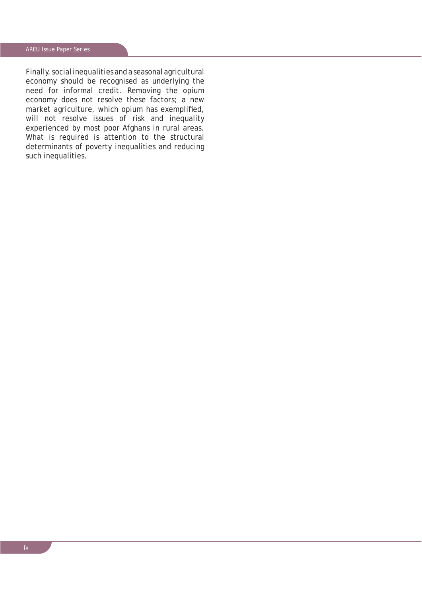Finally, social inequalities and a seasonal agricultural economy should be recognised as underlying the need for informal credit. Removing the opium economy does not resolve these factors; a new market agriculture, which opium has exemplified, will not resolve issues of risk and inequality experienced by most poor Afghans in rural areas. What is required is attention to the structural determinants of poverty inequalities and reducing such inequalities.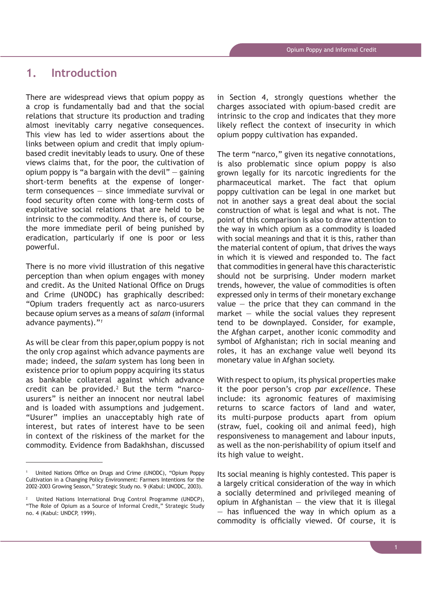# **1. Introduction**

There are widespread views that opium poppy as a crop is fundamentally bad and that the social relations that structure its production and trading almost inevitably carry negative consequences. This view has led to wider assertions about the links between opium and credit that imply opiumbased credit inevitably leads to usury. One of these views claims that, for the poor, the cultivation of opium poppy is "a bargain with the devil"  $-$  gaining short-term benefits at the expense of longerterm consequences — since immediate survival or food security often come with long-term costs of exploitative social relations that are held to be intrinsic to the commodity. And there is, of course, the more immediate peril of being punished by eradication, particularly if one is poor or less powerful.

There is no more vivid illustration of this negative perception than when opium engages with money and credit. As the United National Office on Drugs and Crime (UNODC) has graphically described: "Opium traders frequently act as narco-usurers because opium serves as a means of *salam* (informal advance payments)."*<sup>1</sup>*

As will be clear from this paper,opium poppy is not the only crop against which advance payments are made; indeed, the *salam* system has long been in existence prior to opium poppy acquiring its status as bankable collateral against which advance credit can be provided. $2$  But the term "narcousurers" is neither an innocent nor neutral label and is loaded with assumptions and judgement. "Usurer" implies an unacceptably high rate of interest, but rates of interest have to be seen in context of the riskiness of the market for the commodity. Evidence from Badakhshan, discussed

in Section 4, strongly questions whether the charges associated with opium-based credit are intrinsic to the crop and indicates that they more likely reflect the context of insecurity in which opium poppy cultivation has expanded.

The term "narco," given its negative connotations, is also problematic since opium poppy is also grown legally for its narcotic ingredients for the pharmaceutical market. The fact that opium poppy cultivation can be legal in one market but not in another says a great deal about the social construction of what is legal and what is not. The point of this comparison is also to draw attention to the way in which opium as a commodity is loaded with social meanings and that it is this, rather than the material content of opium, that drives the ways in which it is viewed and responded to. The fact that commodities in general have this characteristic should not be surprising. Under modern market trends, however, the value of commodities is often expressed only in terms of their monetary exchange value  $-$  the price that they can command in the market  $-$  while the social values they represent tend to be downplayed. Consider, for example, the Afghan carpet, another iconic commodity and symbol of Afghanistan; rich in social meaning and roles, it has an exchange value well beyond its monetary value in Afghan society.

With respect to opium, its physical properties make it the poor person's crop *par excellence*. These include: its agronomic features of maximising returns to scarce factors of land and water, its multi-purpose products apart from opium (straw, fuel, cooking oil and animal feed), high responsiveness to management and labour inputs, as well as the non-perishability of opium itself and its high value to weight.

Its social meaning is highly contested. This paper is a largely critical consideration of the way in which a socially determined and privileged meaning of opium in Afghanistan  $-$  the view that it is illegal  $-$  has influenced the way in which opium as a commodity is officially viewed. Of course, it is

<sup>1</sup> United Nations Office on Drugs and Crime (UNODC), "Opium Poppy Cultivation in a Changing Policy Environment: Farmers Intentions for the 2002-2003 Growing Season," Strategic Study no. 9 (Kabul: UNODC, 2003).

<sup>2</sup> United Nations International Drug Control Programme (UNDCP), "The Role of Opium as a Source of Informal Credit," Strategic Study no. 4 (Kabul: UNDCP, 1999).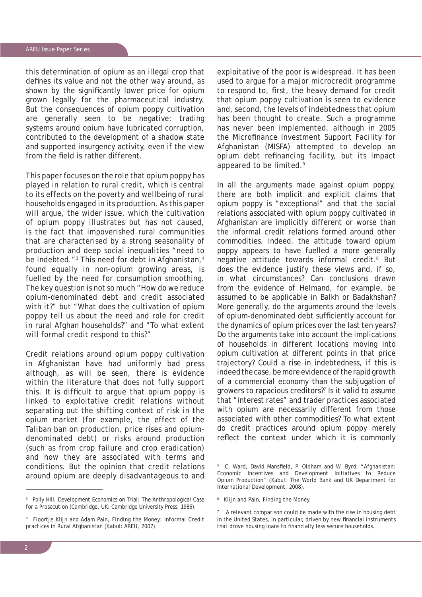this determination of opium as an illegal crop that defines its value and not the other way around, as shown by the significantly lower price for opium grown legally for the pharmaceutical industry. But the consequences of opium poppy cultivation are generally seen to be negative: trading systems around opium have lubricated corruption, contributed to the development of a shadow state and supported insurgency activity, even if the view from the field is rather different.

This paper focuses on the role that opium poppy has played in relation to rural credit, which is central to its effects on the poverty and wellbeing of rural households engaged in its production. As this paper will argue, the wider issue, which the cultivation of opium poppy illustrates but has not caused, is the fact that impoverished rural communities that are characterised by a strong seasonality of production and deep social inequalities "need to be indebted."<sup>3</sup> This need for debt in Afghanistan,<sup>4</sup> found equally in non-opium growing areas, is fuelled by the need for consumption smoothing. The key question is not so much "How do we reduce opium-denominated debt and credit associated with it?" but "What does the cultivation of opium poppy tell us about the need and role for credit in rural Afghan households?" and "To what extent will formal credit respond to this?"

Credit relations around opium poppy cultivation in Afghanistan have had uniformly bad press although, as will be seen, there is evidence within the literature that does not fully support this. It is difficult to argue that opium poppy is linked to exploitative credit relations without separating out the shifting context of risk in the opium market (for example, the effect of the Taliban ban on production, price rises and opiumdenominated debt) or risks around production (such as from crop failure and crop eradication) and how they are associated with terms and conditions. But the opinion that credit relations around opium are deeply disadvantageous to and

exploitative of the poor is widespread. It has been used to argue for a major microcredit programme to respond to, first, the heavy demand for credit that opium poppy cultivation is seen to evidence and, second, the levels of indebtedness that opium has been thought to create. Such a programme has never been implemented, although in 2005 the Microfinance Investment Support Facility for Afghanistan (MISFA) attempted to develop an opium debt refinancing facility, but its impact appeared to be limited.5

In all the arguments made against opium poppy, there are both implicit and explicit claims that opium poppy is "exceptional" and that the social relations associated with opium poppy cultivated in Afghanistan are implicitly different or worse than the informal credit relations formed around other commodities. Indeed, the attitude toward opium poppy appears to have fuelled a more generally negative attitude towards informal credit.<sup>6</sup> But does the evidence justify these views and, if so, in what circumstances? Can conclusions drawn from the evidence of Helmand, for example, be assumed to be applicable in Balkh or Badakhshan? More generally, do the arguments around the levels of opium-denominated debt sufficiently account for the dynamics of opium prices over the last ten years? Do the arguments take into account the implications of households in different locations moving into opium cultivation at different points in that price trajectory? Could a rise in indebtedness, if this is indeed the case, be more evidence of the rapid growth of a commercial economy than the subjugation of growers to rapacious creditors?7 Is it valid to assume that "interest rates" and trader practices associated with opium are necessarily different from those associated with other commodities? To what extent do credit practices around opium poppy merely reflect the context under which it is commonly

<sup>3</sup> Polly Hill, *Development Economics on Trial: The Anthropological Case for a Prosecution* (Cambridge, UK: Cambridge University Press, 1986).

<sup>4</sup> Floortje Klijn and Adam Pain, *Finding the Money: Informal Credit practices in Rural Afghanistan* (Kabul: AREU, 2007).

<sup>&</sup>lt;sup>5</sup> C. Ward, David Mansfield, P. Oldham and W. Byrd, "Afghanistan: Economic Incentives and Development Initiatives to Reduce Opium Production" (Kabul: The World Bank and UK Department for International Development, 2008).

<sup>6</sup> Klijn and Pain, *Finding the Money.*

<sup>7</sup> A relevant comparison could be made with the rise in housing debt in the United States, in particular, driven by new financial instruments that drove housing loans to financially less secure households.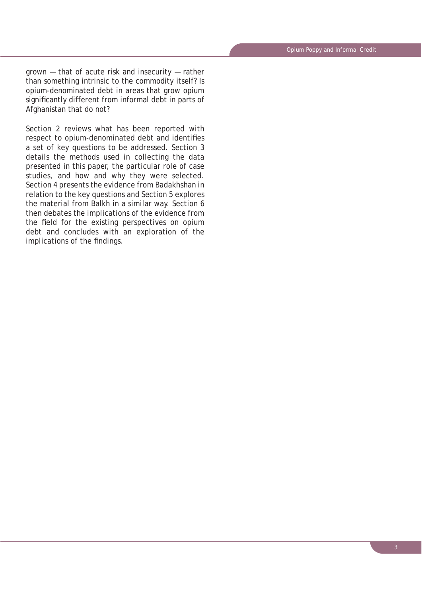grown — that of acute risk and insecurity — rather than something intrinsic to the commodity itself? Is opium-denominated debt in areas that grow opium significantly different from informal debt in parts of Afghanistan that do not?

Section 2 reviews what has been reported with respect to opium-denominated debt and identifies a set of key questions to be addressed. Section 3 details the methods used in collecting the data presented in this paper, the particular role of case studies, and how and why they were selected. Section 4 presents the evidence from Badakhshan in relation to the key questions and Section 5 explores the material from Balkh in a similar way. Section 6 then debates the implications of the evidence from the field for the existing perspectives on opium debt and concludes with an exploration of the implications of the findings.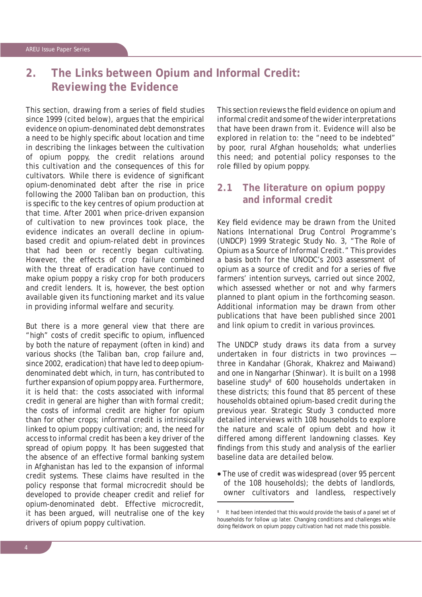# **2. The Links between Opium and Informal Credit: Reviewing the Evidence**

This section, drawing from a series of field studies since 1999 (cited below), argues that the empirical evidence on opium-denominated debt demonstrates a need to be highly specific about location and time in describing the linkages between the cultivation of opium poppy, the credit relations around this cultivation and the consequences of this for cultivators. While there is evidence of significant opium-denominated debt after the rise in price following the 2000 Taliban ban on production, this is specific to the key centres of opium production at that time. After 2001 when price-driven expansion of cultivation to new provinces took place, the evidence indicates an overall decline in opiumbased credit and opium-related debt in provinces that had been or recently began cultivating. However, the effects of crop failure combined with the threat of eradication have continued to make opium poppy a risky crop for both producers and credit lenders. It is, however, the best option available given its functioning market and its value in providing informal welfare and security.

But there is a more general view that there are "high" costs of credit specific to opium, influenced by both the nature of repayment (often in kind) and various shocks (the Taliban ban, crop failure and, since 2002, eradication) that have led to deep opiumdenominated debt which, in turn, has contributed to further expansion of opium poppy area. Furthermore, it is held that: the costs associated with informal credit in general are higher than with formal credit; the costs of informal credit are higher for opium than for other crops; informal credit is intrinsically linked to opium poppy cultivation; and, the need for access to informal credit has been a key driver of the spread of opium poppy. It has been suggested that the absence of an effective formal banking system in Afghanistan has led to the expansion of informal credit systems. These claims have resulted in the policy response that formal microcredit should be developed to provide cheaper credit and relief for opium-denominated debt. Effective microcredit, it has been argued, will neutralise one of the key drivers of opium poppy cultivation.

This section reviews the field evidence on opium and informal credit and some of the wider interpretations that have been drawn from it. Evidence will also be explored in relation to: the "need to be indebted" by poor, rural Afghan households; what underlies this need; and potential policy responses to the role filled by opium poppy.

# **2.1 The literature on opium poppy and informal credit**

Key field evidence may be drawn from the United Nations International Drug Control Programme's (UNDCP) 1999 Strategic Study No. 3, "The Role of Opium as a Source of Informal Credit." This provides a basis both for the UNODC's 2003 assessment of opium as a source of credit and for a series of five farmers' intention surveys, carried out since 2002, which assessed whether or not and why farmers planned to plant opium in the forthcoming season. Additional information may be drawn from other publications that have been published since 2001 and link opium to credit in various provinces.

The UNDCP study draws its data from a survey undertaken in four districts in two provinces three in Kandahar (Ghorak, Khakrez and Maiwand) and one in Nangarhar (Shinwar). It is built on a 1998 baseline study<sup>8</sup> of 600 households undertaken in these districts; this found that 85 percent of these households obtained opium-based credit during the previous year. Strategic Study 3 conducted more detailed interviews with 108 households to explore the nature and scale of opium debt and how it differed among different landowning classes. Key findings from this study and analysis of the earlier baseline data are detailed below.

• The use of credit was widespread (over 95 percent of the 108 households); the debts of landlords, owner cultivators and landless, respectively

<sup>8</sup> It had been intended that this would provide the basis of a panel set of households for follow up later. Changing conditions and challenges while doing fieldwork on opium poppy cultivation had not made this possible.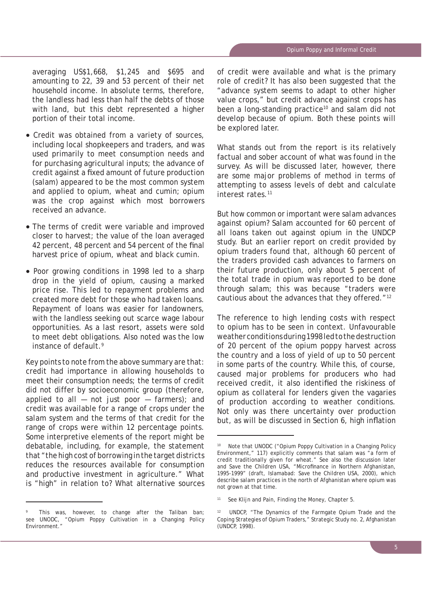averaging US\$1,668, \$1,245 and \$695 and amounting to 22, 39 and 53 percent of their net household income. In absolute terms, therefore, the landless had less than half the debts of those with land, but this debt represented a higher portion of their total income.

- Credit was obtained from a variety of sources, including local shopkeepers and traders, and was used primarily to meet consumption needs and for purchasing agricultural inputs; the advance of credit against a fixed amount of future production (*salam*) appeared to be the most common system and applied to opium, wheat and cumin; opium was the crop against which most borrowers received an advance.
- The terms of credit were variable and improved closer to harvest; the value of the loan averaged 42 percent, 48 percent and 54 percent of the final harvest price of opium, wheat and black cumin.
- Poor growing conditions in 1998 led to a sharp drop in the yield of opium, causing a marked price rise. This led to repayment problems and created more debt for those who had taken loans. Repayment of loans was easier for landowners, with the landless seeking out scarce wage labour opportunities. As a last resort, assets were sold to meet debt obligations. Also noted was the low instance of default.<sup>9</sup>

Key points to note from the above summary are that: credit had importance in allowing households to meet their consumption needs; the terms of credit did not differ by socioeconomic group (therefore, applied to all  $-$  not just poor  $-$  farmers); and credit was available for a range of crops under the *salam* system and the terms of that credit for the range of crops were within 12 percentage points. Some interpretive elements of the report might be debatable, including, for example, the statement that "the high cost of borrowing in the target districts reduces the resources available for consumption and productive investment in agriculture." What is "high" in relation to? What alternative sources of credit were available and what is the primary role of credit? It has also been suggested that the "advance system seems to adapt to other higher value crops," but credit advance against crops has been a long-standing practice<sup>10</sup> and *salam* did not develop because of opium. Both these points will be explored later.

What stands out from the report is its relatively factual and sober account of what was found in the survey. As will be discussed later, however, there are some major problems of method in terms of attempting to assess levels of debt and calculate interest rates.<sup>11</sup>

But how common or important were *salam* advances against opium? *Salam* accounted for 60 percent of all loans taken out against opium in the UNDCP study. But an earlier report on credit provided by opium traders found that, although 60 percent of the traders provided cash advances to farmers on their future production, only about 5 percent of the total trade in opium was reported to be done through *salam*; this was because "traders were cautious about the advances that they offered."<sup>12</sup>

The reference to high lending costs with respect to opium has to be seen in context. Unfavourable weather conditions during 1998 led to the destruction of 20 percent of the opium poppy harvest across the country and a loss of yield of up to 50 percent in some parts of the country. While this, of course, caused major problems for producers who had received credit, it also identified the riskiness of opium as collateral for lenders given the vagaries of production according to weather conditions. Not only was there uncertainty over production but, as will be discussed in Section 6, high inflation

<sup>9</sup> This was, however, to change after the Taliban ban; see UNODC, "Opium Poppy Cultivation in a Changing Policy Environment."

Note that UNODC ("Opium Poppy Cultivation in a Changing Policy Environment," 117) explicitly comments that *salam* was "a form of credit traditionally given for wheat." See also the discussion later and Save the Children USA, "Microfinance in Northern Afghanistan, 1995-1999" (draft, Islamabad: Save the Children USA, 2000), which describe *salam* practices in the north of Afghanistan where opium was not grown at that time.

<sup>11</sup> See Klijn and Pain, *Finding the Money*, Chapter 5.

<sup>&</sup>lt;sup>12</sup> UNDCP, "The Dynamics of the Farmgate Opium Trade and the Coping Strategies of Opium Traders," Strategic Study no. 2, Afghanistan (UNDCP, 1998).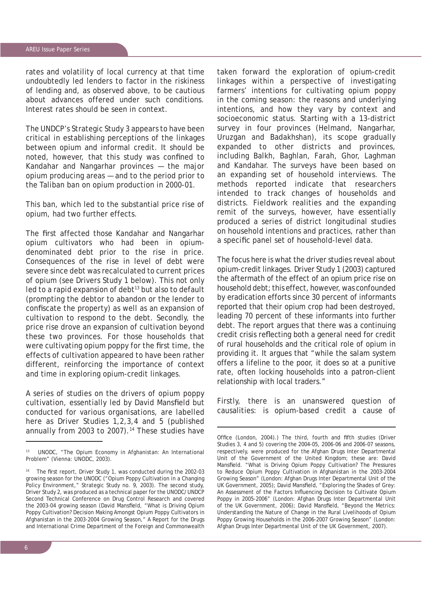rates and volatility of local currency at that time undoubtedly led lenders to factor in the riskiness of lending and, as observed above, to be cautious about advances offered under such conditions. Interest rates should be seen in context.

The UNDCP's Strategic Study 3 appears to have been critical in establishing perceptions of the linkages between opium and informal credit. It should be noted, however, that this study was confined to Kandahar and Nangarhar provinces — the major opium producing areas — and to the period prior to the Taliban ban on opium production in 2000-01.

This ban, which led to the substantial price rise of opium, had two further effects.

The first affected those Kandahar and Nangarhar opium cultivators who had been in opiumdenominated debt prior to the rise in price. Consequences of the rise in level of debt were severe since debt was recalculated to current prices of opium (see Drivers Study 1 below). This not only  $led$  to a rapid expansion of debt $13$  but also to default (prompting the debtor to abandon or the lender to confiscate the property) as well as an expansion of cultivation to respond to the debt. Secondly, the price rise drove an expansion of cultivation beyond these two provinces. For those households that were cultivating opium poppy for the first time, the effects of cultivation appeared to have been rather different, reinforcing the importance of context and time in exploring opium-credit linkages.

A series of studies on the drivers of opium poppy cultivation, essentially led by David Mansfield but conducted for various organisations, are labelled here as Driver Studies 1,2,3,4 and 5 (published annually from 2003 to 2007).<sup>14</sup> These studies have

taken forward the exploration of opium-credit linkages within a perspective of investigating farmers' intentions for cultivating opium poppy in the coming season: the reasons and underlying intentions, and how they vary by context and socioeconomic status. Starting with a 13-district survey in four provinces (Helmand, Nangarhar, Uruzgan and Badakhshan), its scope gradually expanded to other districts and provinces, including Balkh, Baghlan, Farah, Ghor, Laghman and Kandahar. The surveys have been based on an expanding set of household interviews. The methods reported indicate that researchers intended to track changes of households and districts. Fieldwork realities and the expanding remit of the surveys, however, have essentially produced a series of district longitudinal studies on household intentions and practices, rather than a specific panel set of household-level data.

The focus here is what the driver studies reveal about opium-credit linkages. Driver Study 1 (2003) captured the aftermath of the effect of an opium price rise on household debt; this effect, however, was confounded by eradication efforts since 30 percent of informants reported that their opium crop had been destroyed, leading 70 percent of these informants into further debt. The report argues that there was a continuing credit crisis reflecting both a general need for credit of rural households and the critical role of opium in providing it. It argues that "while the *salam* system offers a lifeline to the poor, it does so at a punitive rate, often locking households into a patron-client relationship with local traders."

Firstly, there is an unanswered question of causalities: is opium-based credit a cause of

<sup>13</sup> UNODC, "The Opium Economy in Afghanistan: An International Problem" (Vienna: UNODC, 2003).

<sup>&</sup>lt;sup>14</sup> The first report, Driver Study 1, was conducted during the 2002-03 growing season for the UNODC ("Opium Poppy Cultivation in a Changing Policy Environment," Strategic Study no. 9, 2003). The second study, Driver Study 2, was produced as a technical paper for the UNODC/UNDCP Second Technical Conference on Drug Control Research and covered the 2003-04 growing season (David Mansfield, "What is Driving Opium Poppy Cultivation? Decision Making Amongst Opium Poppy Cultivators in Afghanistan in the 2003-2004 Growing Season," A Report for the Drugs and International Crime Department of the Foreign and Commonwealth

Office (London, 2004).) The third, fourth and fifth studies (Driver Studies 3, 4 and 5) covering the 2004-05, 2006-06 and 2006-07 seasons, respectively, were produced for the Afghan Drugs Inter Departmental Unit of the Government of the United Kingdom; these are: David Mansfield. "What is Driving Opium Poppy Cultivation? The Pressures to Reduce Opium Poppy Cultivation in Afghanistan in the 2003-2004 Growing Season" (London: Afghan Drugs Inter Departmental Unit of the UK Government, 2005); David Mansfield, "Exploring the Shades of Grey: An Assessment of the Factors Influencing Decision to Cultivate Opium Poppy in 2005-2006" (London: Afghan Drugs Inter Departmental Unit of the UK Government, 2006); David Mansfield, "Beyond the Metrics: Understanding the Nature of Change in the Rural Livelihoods of Opium Poppy Growing Households in the 2006-2007 Growing Season" (London: Afghan Drugs Inter Departmental Unit of the UK Government, 2007).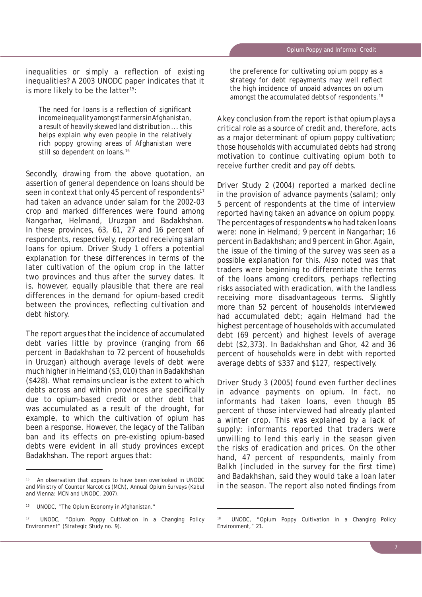inequalities or simply a reflection of existing inequalities? A 2003 UNODC paper indicates that it is more likely to be the latter<sup>15</sup>:

The need for loans is a reflection of significant *income inequality amongst farmers in Afghanistan, a result of heavily skewed land distribution ... this helps explain why even people in the relatively rich poppy growing areas of Afghanistan were still so dependent on loans.16*

Secondly, drawing from the above quotation, an assertion of general dependence on loans should be seen in context that only 45 percent of respondents<sup>17</sup> had taken an advance under *salam* for the 2002-03 crop and marked differences were found among Nangarhar, Helmand, Uruzgan and Badakhshan. In these provinces, 63, 61, 27 and 16 percent of respondents, respectively, reported receiving *salam*  loans for opium. Driver Study 1 offers a potential explanation for these differences in terms of the later cultivation of the opium crop in the latter two provinces and thus after the survey dates. It is, however, equally plausible that there are real differences in the demand for opium-based credit between the provinces, reflecting cultivation and debt history.

The report argues that the incidence of accumulated debt varies little by province (ranging from 66 percent in Badakhshan to 72 percent of households in Uruzgan) although average levels of debt were much higher in Helmand (\$3,010) than in Badakhshan (\$428). What remains unclear is the extent to which debts across and within provinces are specifically due to opium-based credit or other debt that was accumulated as a result of the drought, for example, to which the cultivation of opium has been a response. However, the legacy of the Taliban ban and its effects on pre-existing opium-based debts were evident in all study provinces except Badakhshan. The report argues that:

*the preference for cultivating opium poppy as a*  strategy for debt repayments may well reflect *the high incidence of unpaid advances on opium amongst the accumulated debts of respondents.18*

A key conclusion from the report is that opium plays a critical role as a source of credit and, therefore, acts as a major determinant of opium poppy cultivation; those households with accumulated debts had strong motivation to continue cultivating opium both to receive further credit and pay off debts.

Driver Study 2 (2004) reported a marked decline in the provision of advance payments (*salam*); only 5 percent of respondents at the time of interview reported having taken an advance on opium poppy. The percentages of respondents who had taken loans were: none in Helmand; 9 percent in Nangarhar; 16 percent in Badakhshan; and 9 percent in Ghor. Again, the issue of the timing of the survey was seen as a possible explanation for this. Also noted was that traders were beginning to differentiate the terms of the loans among creditors, perhaps reflecting risks associated with eradication, with the landless receiving more disadvantageous terms. Slightly more than 52 percent of households interviewed had accumulated debt; again Helmand had the highest percentage of households with accumulated debt (69 percent) and highest levels of average debt (\$2,373). In Badakhshan and Ghor, 42 and 36 percent of households were in debt with reported average debts of \$337 and \$127, respectively.

Driver Study 3 (2005) found even further declines in advance payments on opium. In fact, no informants had taken loans, even though 85 percent of those interviewed had already planted a winter crop. This was explained by a lack of supply: informants reported that traders were unwilling to lend this early in the season given the risks of eradication and prices. On the other hand, 47 percent of respondents, mainly from Balkh (included in the survey for the first time) and Badakhshan, said they would take a loan later in the season. The report also noted findings from

An observation that appears to have been overlooked in UNODC and Ministry of Counter Narcotics (MCN), *Annual Opium Surveys* (Kabul and Vienna: MCN and UNODC, 2007).

<sup>&</sup>lt;sup>16</sup> UNODC, "The Opium Economy in Afghanistan."

<sup>17</sup> UNODC, "Opium Poppy Cultivation in a Changing Policy Environment" (Strategic Study no. 9).

<sup>18</sup> UNODC, "Opium Poppy Cultivation in a Changing Policy Environment," 21.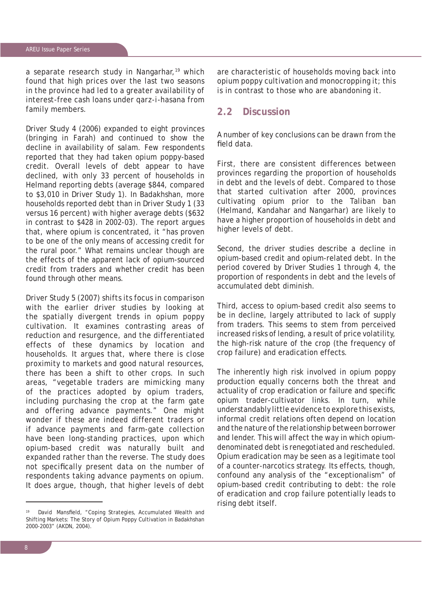a separate research study in Nangarhar,<sup>19</sup> which found that high prices over the last two seasons in the province had led to a greater availability of interest-free cash loans under *qarz-i-hasana* from family members.

Driver Study 4 (2006) expanded to eight provinces (bringing in Farah) and continued to show the decline in availability of *salam*. Few respondents reported that they had taken opium poppy-based credit. Overall levels of debt appear to have declined, with only 33 percent of households in Helmand reporting debts (average \$844, compared to \$3,010 in Driver Study 1). In Badakhshan, more households reported debt than in Driver Study 1 (33 versus 16 percent) with higher average debts (\$632 in contrast to \$428 in 2002-03). The report argues that, where opium is concentrated, it "has proven to be one of the only means of accessing credit for the rural poor." What remains unclear though are the effects of the apparent lack of opium-sourced credit from traders and whether credit has been found through other means.

Driver Study 5 (2007) shifts its focus in comparison with the earlier driver studies by looking at the spatially divergent trends in opium poppy cultivation. It examines contrasting areas of reduction and resurgence, and the differentiated effects of these dynamics by location and households. It argues that, where there is close proximity to markets and good natural resources, there has been a shift to other crops. In such areas, "vegetable traders are mimicking many of the practices adopted by opium traders, including purchasing the crop at the farm gate and offering advance payments." One might wonder if these are indeed different traders or if advance payments and farm-gate collection have been long-standing practices, upon which opium-based credit was naturally built and expanded rather than the reverse. The study does not specifically present data on the number of respondents taking advance payments on opium. It does argue, though, that higher levels of debt

David Mansfield, "Coping Strategies, Accumulated Wealth and Shifting Markets: The Story of Opium Poppy Cultivation in Badakhshan 2000-2003" (AKDN, 2004).

are characteristic of households moving back into opium poppy cultivation and monocropping it; this is in contrast to those who are abandoning it.

#### **2.2 Discussion**

A number of key conclusions can be drawn from the field data.

First, there are consistent differences between provinces regarding the proportion of households in debt and the levels of debt. Compared to those that started cultivation after 2000, provinces cultivating opium prior to the Taliban ban (Helmand, Kandahar and Nangarhar) are likely to have a higher proportion of households in debt and higher levels of debt.

Second, the driver studies describe a decline in opium-based credit and opium-related debt. In the period covered by Driver Studies 1 through 4, the proportion of respondents in debt and the levels of accumulated debt diminish.

Third, access to opium-based credit also seems to be in decline, largely attributed to lack of supply from traders. This seems to stem from perceived increased risks of lending, a result of price volatility, the high-risk nature of the crop (the frequency of crop failure) and eradication effects.

The inherently high risk involved in opium poppy production equally concerns both the threat and actuality of crop eradication or failure and specific opium trader-cultivator links. In turn, while understandably little evidence to explore this exists, informal credit relations often depend on location and the nature of the relationship between borrower and lender. This will affect the way in which opiumdenominated debt is renegotiated and rescheduled. Opium eradication may be seen as a legitimate tool of a counter-narcotics strategy. Its effects, though, confound any analysis of the "exceptionalism" of opium-based credit contributing to debt: the role of eradication and crop failure potentially leads to rising debt itself.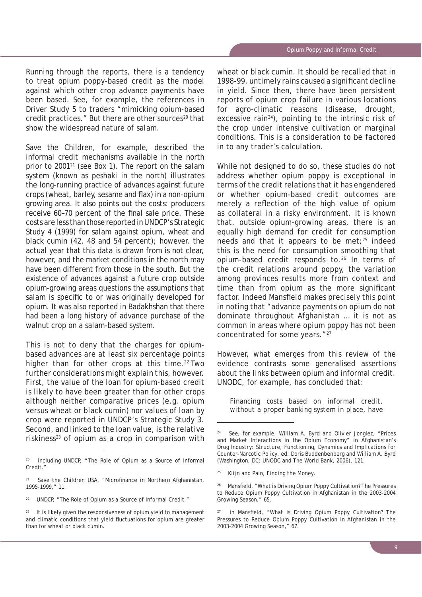Running through the reports, there is a tendency to treat opium poppy-based credit as the model against which other crop advance payments have been based. See, for example, the references in Driver Study 5 to traders "mimicking opium-based credit practices." But there are other sources<sup>20</sup> that show the widespread nature of *salam*.

Save the Children, for example, described the informal credit mechanisms available in the north prior to 200121 (see Box 1). The report on the *salam*  system (known as *peshaki* in the north) illustrates the long-running practice of advances against future crops (wheat, barley, sesame and flax) in a non-opium growing area. It also points out the costs: producers receive 60-70 percent of the final sale price. These costs are less than those reported in UNDCP's Strategic Study 4 (1999) for *salam* against opium, wheat and black cumin (42, 48 and 54 percent); however, the actual year that this data is drawn from is not clear, however, and the market conditions in the north may have been different from those in the south. But the existence of advances against a future crop outside opium-growing areas questions the assumptions that salam is specific to or was originally developed for opium. It was also reported in Badakhshan that there had been a long history of advance purchase of the walnut crop on a *salam*-based system.

This is not to deny that the charges for opiumbased advances are at least six percentage points higher than for other crops at this time.<sup>22</sup> Two further considerations might explain this, however. First, the value of the loan for opium-based credit is likely to have been greater than for other crops although neither comparative prices (e.g. opium versus wheat or black cumin) nor values of loan by crop were reported in UNDCP's Strategic Study 3. Second, and linked to the loan value, is the relative riskiness $23$  of opium as a crop in comparison with wheat or black cumin. It should be recalled that in 1998-99, untimely rains caused a significant decline in yield. Since then, there have been persistent reports of opium crop failure in various locations for agro-climatic reasons (disease, drought, excessive rain<sup>24</sup>), pointing to the intrinsic risk of the crop under intensive cultivation or marginal conditions. This is a consideration to be factored in to any trader's calculation.

While not designed to do so, these studies do not address whether opium poppy is exceptional in terms of the credit relations that it has engendered or whether opium-based credit outcomes are merely a reflection of the high value of opium as collateral in a risky environment. It is known that, outside opium-growing areas, there is an equally high demand for credit for consumption needs and that it appears to be met; $25$  indeed this is the need for consumption smoothing that opium-based credit responds to.26 In terms of the credit relations around poppy, the variation among provinces results more from context and time than from opium as the more significant factor. Indeed Mansfield makes precisely this point in noting that "advance payments on opium do not dominate throughout Afghanistan … it is not as common in areas where opium poppy has not been concentrated for some years."27

However, what emerges from this review of the evidence contrasts some generalised assertions about the links between opium and informal credit. UNODC, for example, has concluded that:

*Financing costs based on informal credit, without a proper banking system in place, have* 

<sup>20</sup> including UNDCP, "The Role of Opium as a Source of Informal Credit."

 $21$  Save the Children USA, "Microfinance in Northern Afghanistan, 1995-1999," 11

<sup>&</sup>lt;sup>22</sup> UNDCP, "The Role of Opium as a Source of Informal Credit."

 $23$  It is likely given the responsiveness of opium yield to management and climatic conditions that yield fluctuations for opium are greater than for wheat or black cumin.

<sup>&</sup>lt;sup>24</sup> See, for example, William A. Byrd and Olivier Jonglez, "Prices and Market Interactions in the Opium Economy" in *Afghanistan's Drug Industry: Structure, Functioning, Dynamics and Implications for Counter-Narcotic Policy*, ed. Doris Buddenbenberg and William A. Byrd (Washington, DC: UNODC and The World Bank, 2006), 121.

<sup>25</sup> Klijn and Pain, *Finding the Money*.

<sup>&</sup>lt;sup>26</sup> Mansfield, "What is Driving Opium Poppy Cultivation? The Pressures to Reduce Opium Poppy Cultivation in Afghanistan in the 2003-2004 Growing Season," 65.

in Mansfield, "What is Driving Opium Poppy Cultivation? The Pressures to Reduce Opium Poppy Cultivation in Afghanistan in the 2003-2004 Growing Season," 67.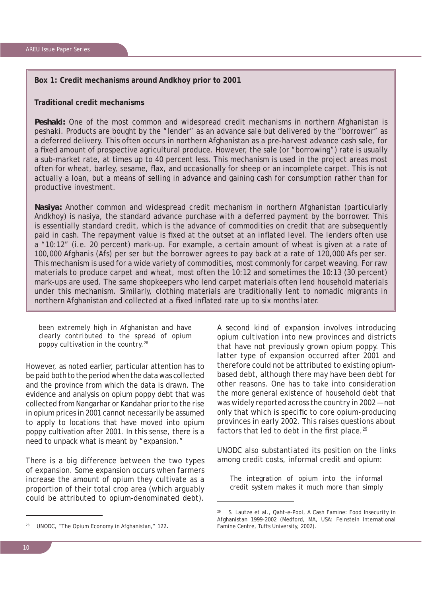#### **Box 1: Credit mechanisms around Andkhoy prior to 2001**

#### **Traditional credit mechanisms**

**Peshaki:** One of the most common and widespread credit mechanisms in northern Afghanistan is *peshaki.* Products are bought by the "lender" as an advance sale but delivered by the "borrower" as a deferred delivery. This often occurs in northern Afghanistan as a pre-harvest advance cash sale, for a fixed amount of prospective agricultural produce. However, the sale (or "borrowing") rate is usually a sub-market rate, at times up to 40 percent less. This mechanism is used in the project areas most often for wheat, barley, sesame, flax, and occasionally for sheep or an incomplete carpet. This is not actually a loan, but a means of selling in advance and gaining cash for consumption rather than for productive investment.

*Nasiya:* Another common and widespread credit mechanism in northern Afghanistan (particularly Andkhoy) is *nasiya*, the standard advance purchase with a deferred payment by the borrower. This is essentially standard credit, which is the advance of commodities on credit that are subsequently paid in cash. The repayment value is fixed at the outset at an inflated level. The lenders often use a "10:12" (i.e. 20 percent) mark-up. For example, a certain amount of wheat is given at a rate of 100,000 Afghanis (Afs) per *ser* but the borrower agrees to pay back at a rate of 120,000 Afs per *ser*. This mechanism is used for a wide variety of commodities, most commonly for carpet weaving. For raw materials to produce carpet and wheat, most often the 10:12 and sometimes the 10:13 (30 percent) mark-ups are used. The same shopkeepers who lend carpet materials often lend household materials under this mechanism. Similarly, clothing materials are traditionally lent to nomadic migrants in northern Afghanistan and collected at a fixed inflated rate up to six months later.

*been extremely high in Afghanistan and have clearly contributed to the spread of opium poppy cultivation in the country.28*

However, as noted earlier, particular attention has to be paid both to the period when the data was collected and the province from which the data is drawn. The evidence and analysis on opium poppy debt that was collected from Nangarhar or Kandahar prior to the rise in opium prices in 2001 cannot necessarily be assumed to apply to locations that have moved into opium poppy cultivation after 2001. In this sense, there is a need to unpack what is meant by "expansion."

There is a big difference between the two types of expansion. Some expansion occurs when farmers increase the amount of opium they cultivate as a proportion of their total crop area (which arguably could be attributed to opium-denominated debt).

A second kind of expansion involves introducing opium cultivation into new provinces and districts that have not previously grown opium poppy. This latter type of expansion occurred after 2001 and therefore could not be attributed to existing opiumbased debt, although there may have been debt for other reasons. One has to take into consideration the more general existence of household debt that was widely reported across the country in 2002 — not only that which is specific to core opium-producing provinces in early 2002. This raises questions about factors that led to debt in the first place. $29$ 

UNODC also substantiated its position on the links among credit costs, informal credit and opium:

*The integration of opium into the informal credit system makes it much more than simply* 

UNODC, "The Opium Economy in Afghanistan," 122.

<sup>29</sup> S. Lautze et al., *Qaht-e-Pool, A Cash Famine: Food Insecurity in Afghanistan 1999-2002* (Medford, MA, USA: Feinstein International Famine Centre, Tufts University, 2002).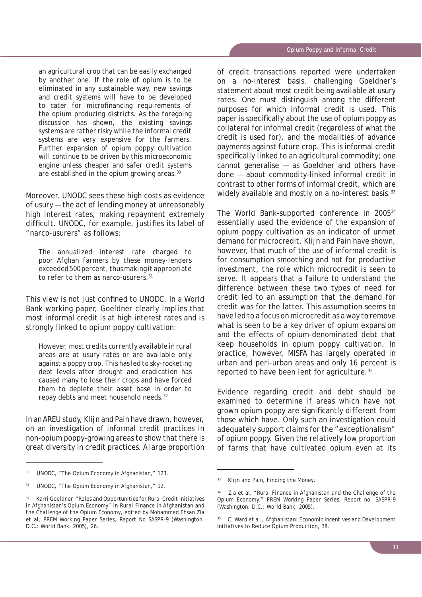*an agricultural crop that can be easily exchanged by another one. If the role of opium is to be eliminated in any sustainable way, new savings and credit systems will have to be developed*  to cater for microfinancing requirements of *the opium producing districts. As the foregoing discussion has shown, the existing savings systems are rather risky while the informal credit systems are very expensive for the farmers. Further expansion of opium poppy cultivation will continue to be driven by this microeconomic engine unless cheaper and safer credit systems are established in the opium growing areas.30*

Moreover, UNODC sees these high costs as evidence of usury — the act of lending money at unreasonably high interest rates, making repayment extremely difficult. UNODC, for example, justifies its label of "narco-usurers" as follows:

*The annualized interest rate charged to poor Afghan farmers by these money-lenders exceeded 500 percent, thus making it appropriate to refer to them as narco-usurers.31*

This view is not just confined to UNODC. In a World Bank working paper, Goeldner clearly implies that most informal credit is at high interest rates and is strongly linked to opium poppy cultivation:

*However, most credits currently available in rural areas are at usury rates or are available only against a poppy crop. This has led to sky-rocketing debt levels after drought and eradication has caused many to lose their crops and have forced them to deplete their asset base in order to repay debts and meet household needs.32*

In an AREU study, Klijn and Pain have drawn, however, on an investigation of informal credit practices in non-opium poppy-growing areas to show that there is great diversity in credit practices. A large proportion of credit transactions reported were undertaken on a no-interest basis, challenging Goeldner's statement about most credit being available at usury rates. One must distinguish among the different purposes for which informal credit is used. This paper is specifically about the use of opium poppy as collateral for informal credit (regardless of what the credit is used for), and the modalities of advance payments against future crop. This is informal credit specifically linked to an agricultural commodity; one cannot generalise — as Goeldner and others have done — about commodity-linked informal credit in contrast to other forms of informal credit, which are widely available and mostly on a no-interest basis.<sup>33</sup>

The World Bank-supported conference in 200534 essentially used the evidence of the expansion of opium poppy cultivation as an indicator of unmet demand for microcredit. Klijn and Pain have shown, however, that much of the use of informal credit is for consumption smoothing and not for productive investment, the role which microcredit is seen to serve. It appears that a failure to understand the difference between these two types of need for credit led to an assumption that the demand for credit was for the latter. This assumption seems to have led to a focus on microcredit as a way to remove what is seen to be a key driver of opium expansion and the effects of opium-denominated debt that keep households in opium poppy cultivation. In practice, however, MISFA has largely operated in urban and peri-urban areas and only 16 percent is reported to have been lent for agriculture.35

Evidence regarding credit and debt should be examined to determine if areas which have not grown opium poppy are significantly different from those which have. Only such an investigation could adequately support claims for the "exceptionalism" of opium poppy. Given the relatively low proportion of farms that have cultivated opium even at its

<sup>30</sup> UNODC, "The Opium Economy in Afghanistan," 123.

UNODC, "The Opium Economy in Afghanistan," 12.

<sup>32</sup> Karri Goeldner, "Roles and Opportunities for Rural Credit Initiatives in Afghanistan's Opium Economy" in *Rural Finance in Afghanistan and the Challenge of the Opium Economy*, edited by Mohammed Ehsan Zia et al, PREM Working Paper Series, Report No SASPR-9 (Washington, D.C.: World Bank, 2005), 26.

<sup>33</sup> Klijn and Pain, *Finding the Money*.

<sup>&</sup>lt;sup>34</sup> Zia et al, "Rural Finance in Afghanistan and the Challenge of the Opium Economy," PREM Working Paper Series, Report no. SASPR-9 (Washington, D.C.: World Bank, 2005).

<sup>35</sup> C. Ward et al., *Afghanistan: Economic Incentives and Development Initiatives to Reduce Opium Production*, 38.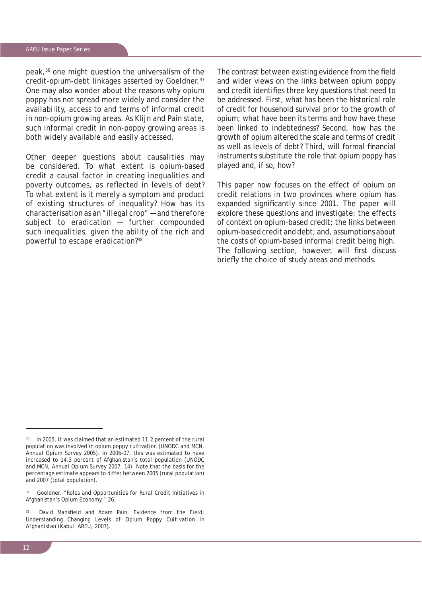peak,36 one might question the universalism of the credit-opium-debt linkages asserted by Goeldner.37 One may also wonder about the reasons why opium poppy has not spread more widely and consider the availability, access to and terms of informal credit in non-opium growing areas. As Klijn and Pain state, such informal credit in non-poppy growing areas is both widely available and easily accessed.

Other deeper questions about causalities may be considered. To what extent is opium-based credit a causal factor in creating inequalities and poverty outcomes, as reflected in levels of debt? To what extent is it merely a symptom and product of existing structures of inequality? How has its characterisation as an "illegal crop" — and therefore subject to eradication — further compounded such inequalities, given the ability of the rich and powerful to escape eradication?38

The contrast between existing evidence from the field and wider views on the links between opium poppy and credit identifies three key questions that need to be addressed. First, what has been the historical role of credit for household survival prior to the growth of opium; what have been its terms and how have these been linked to indebtedness? Second, how has the growth of opium altered the scale and terms of credit as well as levels of debt? Third, will formal financial instruments substitute the role that opium poppy has played and, if so, how?

This paper now focuses on the effect of opium on credit relations in two provinces where opium has expanded significantly since 2001. The paper will explore these questions and investigate: the effects of context on opium-based credit; the links between opium-based credit and debt; and, assumptions about the costs of opium-based informal credit being high. The following section, however, will first discuss briefly the choice of study areas and methods.

<sup>36</sup> In 2005, it was claimed that an estimated 11.2 percent of the rural population was involved in opium poppy cultivation (UNODC and MCN, *Annual Opium Survey 2005*). In 2006-07, this was estimated to have increased to 14.3 percent of Afghanistan's total population (UNODC and MCN, *Annual Opium Survey 2007*, 14). Note that the basis for the percentage estimate appears to differ between 2005 (rural population) and 2007 (total population).

<sup>&</sup>lt;sup>37</sup> Goeldner, "Roles and Opportunities for Rural Credit Initiatives in Afghanistan's Opium Economy," 26.

David Mansfield and Adam Pain, *Evidence from the Field: Understanding Changing Levels of Opium Poppy Cultivation in Afghanistan* (Kabul: AREU, 2007).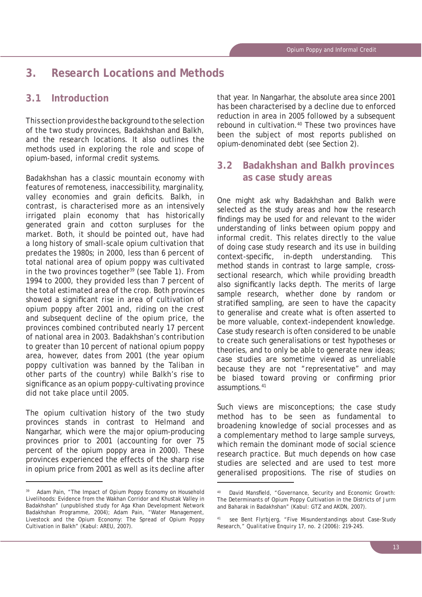# **3. Research Locations and Methods**

### **3.1 Introduction**

This section provides the background to the selection of the two study provinces, Badakhshan and Balkh, and the research locations. It also outlines the methods used in exploring the role and scope of opium-based, informal credit systems.

Badakhshan has a classic mountain economy with features of remoteness, inaccessibility, marginality, valley economies and grain deficits. Balkh, in contrast, is characterised more as an intensively irrigated plain economy that has historically generated grain and cotton surpluses for the market. Both, it should be pointed out, have had a long history of small-scale opium cultivation that predates the 1980s; in 2000, less than 6 percent of total national area of opium poppy was cultivated in the two provinces together<sup>39</sup> (see Table 1). From 1994 to 2000, they provided less than 7 percent of the total estimated area of the crop. Both provinces showed a significant rise in area of cultivation of opium poppy after 2001 and, riding on the crest and subsequent decline of the opium price, the provinces combined contributed nearly 17 percent of national area in 2003. Badakhshan's contribution to greater than 10 percent of national opium poppy area, however, dates from 2001 (the year opium poppy cultivation was banned by the Taliban in other parts of the country) while Balkh's rise to significance as an opium poppy-cultivating province did not take place until 2005.

The opium cultivation history of the two study provinces stands in contrast to Helmand and Nangarhar, which were the major opium-producing provinces prior to 2001 (accounting for over 75 percent of the opium poppy area in 2000). These provinces experienced the effects of the sharp rise in opium price from 2001 as well as its decline after

that year. In Nangarhar, the absolute area since 2001 has been characterised by a decline due to enforced reduction in area in 2005 followed by a subsequent rebound in cultivation.<sup>40</sup> These two provinces have been the subject of most reports published on opium-denominated debt (see Section 2).

# **3.2 Badakhshan and Balkh provinces as case study areas**

One might ask why Badakhshan and Balkh were selected as the study areas and how the research findings may be used for and relevant to the wider understanding of links between opium poppy and informal credit. This relates directly to the value of doing case study research and its use in building context-specific, in-depth understanding. This method stands in contrast to large sample, crosssectional research, which while providing breadth also significantly lacks depth. The merits of large sample research, whether done by random or stratified sampling, are seen to have the capacity to generalise and create what is often asserted to be more valuable, context-independent knowledge. Case study research is often considered to be unable to create such generalisations or test hypotheses or theories, and to only be able to generate new ideas; case studies are sometime viewed as unreliable because they are not "representative" and may be biased toward proving or confirming prior assumptions.41

Such views are misconceptions; the case study method has to be seen as fundamental to broadening knowledge of social processes and as a complementary method to large sample surveys, which remain the dominant mode of social science research practice. But much depends on how case studies are selected and are used to test more generalised propositions. The rise of studies on

Adam Pain, "The Impact of Opium Poppy Economy on Household Livelihoods: Evidence from the Wakhan Corridor and Khustak Valley in Badakhshan" (unpublished study for Aga Khan Development Network Badakhshan Programme, 2004); Adam Pain, "Water Management, Livestock and the Opium Economy: The Spread of Opium Poppy Cultivation in Balkh" (Kabul: AREU, 2007).

<sup>&</sup>lt;sup>40</sup> David Mansfield, "Governance, Security and Economic Growth: The Determinants of Opium Poppy Cultivation in the Districts of Jurm and Baharak in Badakhshan" (Kabul: GTZ and AKDN, 2007).

<sup>41</sup> see Bent Flyrbjerg, "Five Misunderstandings about Case-Study Research," *Qualitative Enquiry* 17, no. 2 (2006): 219-245.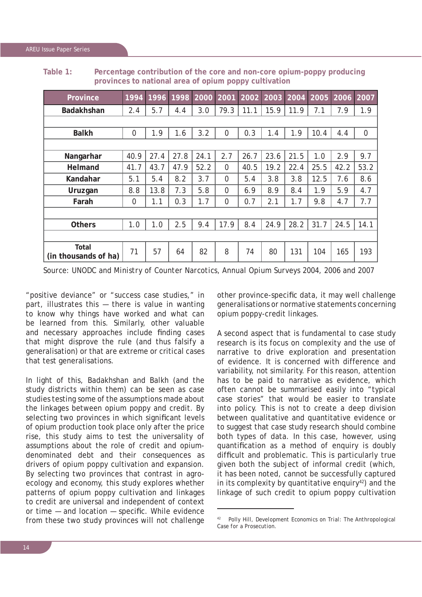| Province                      | 1994        | 1996 | 1998 | 2000 2001 |                | 2002 |      | $\sqrt{2003}$ 2004 | 2005 | 2006 | 2007        |
|-------------------------------|-------------|------|------|-----------|----------------|------|------|--------------------|------|------|-------------|
| <b>Badakhshan</b>             | 2.4         | 5.7  | 4.4  | 3.0       | 79.3           | 11.1 | 15.9 | 11.9               | 7.1  | 7.9  | 1.9         |
|                               |             |      |      |           |                |      |      |                    |      |      |             |
| <b>Balkh</b>                  | $\mathbf 0$ | 1.9  | 1.6  | 3.2       | $\overline{0}$ | 0.3  | 1.4  | 1.9                | 10.4 | 4.4  | $\mathbf 0$ |
|                               |             |      |      |           |                |      |      |                    |      |      |             |
| Nangarhar                     | 40.9        | 27.4 | 27.8 | 24.1      | 2.7            | 26.7 | 23.6 | 21.5               | 1.0  | 2.9  | 9.7         |
| <b>Helmand</b>                | 41.7        | 43.7 | 47.9 | 52.2      | $\Omega$       | 40.5 | 19.2 | 22.4               | 25.5 | 42.2 | 53.2        |
| Kandahar                      | 5.1         | 5.4  | 8.2  | 3.7       | $\Omega$       | 5.4  | 3.8  | 3.8                | 12.5 | 7.6  | 8.6         |
| Uruzgan                       | 8.8         | 13.8 | 7.3  | 5.8       | $\Omega$       | 6.9  | 8.9  | 8.4                | 1.9  | 5.9  | 4.7         |
| Farah                         | $\mathbf 0$ | 1.1  | 0.3  | 1.7       | $\overline{0}$ | 0.7  | 2.1  | 1.7                | 9.8  | 4.7  | 7.7         |
|                               |             |      |      |           |                |      |      |                    |      |      |             |
| <b>Others</b>                 | 1.0         | 1.0  | 2.5  | 9.4       | 17.9           | 8.4  | 24.9 | 28.2               | 31.7 | 24.5 | 14.1        |
|                               |             |      |      |           |                |      |      |                    |      |      |             |
| Total<br>(in thousands of ha) | 71          | 57   | 64   | 82        | 8              | 74   | 80   | 131                | 104  | 165  | 193         |

**Table 1: Percentage contribution of the core and non-core opium-poppy producing provinces to national area of opium poppy cultivation**

*Source: UNODC and Ministry of Counter Narcotics, Annual Opium Surveys 2004, 2006 and 2007*

"positive deviance" or "success case studies," in part, illustrates this — there is value in wanting to know why things have worked and what can be learned from this. Similarly, other valuable and necessary approaches include finding cases that might disprove the rule (and thus falsify a generalisation) or that are extreme or critical cases that test generalisations.

In light of this, Badakhshan and Balkh (and the study districts within them) can be seen as case studies testing some of the assumptions made about the linkages between opium poppy and credit. By selecting two provinces in which significant levels of opium production took place only after the price rise, this study aims to test the universality of assumptions about the role of credit and opiumdenominated debt and their consequences as drivers of opium poppy cultivation and expansion. By selecting two provinces that contrast in agroecology and economy, this study explores whether patterns of opium poppy cultivation and linkages to credit are universal and independent of context or time  $-$  and location  $-$  specific. While evidence from these two study provinces will not challenge other province-specific data, it may well challenge generalisations or normative statements concerning opium poppy-credit linkages.

A second aspect that is fundamental to case study research is its focus on complexity and the use of narrative to drive exploration and presentation of evidence. It is concerned with difference and variability, not similarity. For this reason, attention has to be paid to narrative as evidence, which often cannot be summarised easily into "typical case stories" that would be easier to translate into policy. This is not to create a deep division between qualitative and quantitative evidence or to suggest that case study research should combine both types of data. In this case, however, using quantification as a method of enquiry is doubly difficult and problematic. This is particularly true given both the subject of informal credit (which, it has been noted, cannot be successfully captured in its complexity by quantitative enquiry<sup>42</sup>) and the linkage of such credit to opium poppy cultivation

<sup>42</sup> Polly Hill, *Development Economics on Trial*: *The Anthropological Case for a Prosecution*.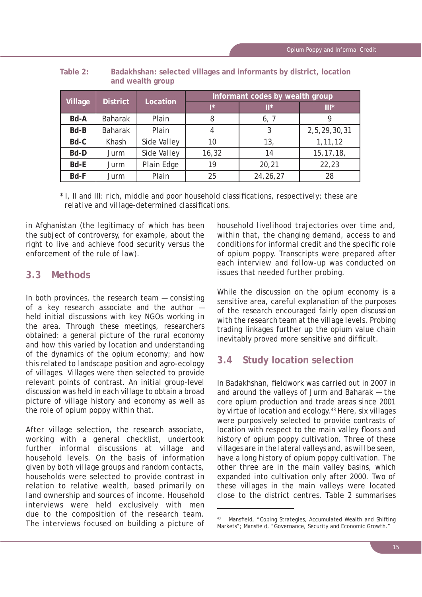| Village | <b>District</b> | Location    | Informant codes by wealth group |                |              |  |  |
|---------|-----------------|-------------|---------------------------------|----------------|--------------|--|--|
|         |                 |             | I*                              | $\mathbb{H}^*$ | $III*$       |  |  |
| Bd-A    | <b>Baharak</b>  | Plain       | 8                               | 6, 7           | g            |  |  |
| Bd-B    | <b>Baharak</b>  | Plain       | 4                               | 3              | 2,5,29,30,31 |  |  |
| Bd-C    | Khash           | Side Valley | 10                              | 13,            | 1, 11, 12    |  |  |
| Bd-D    | Jurm            | Side Valley | 16, 32                          | 14             | 15, 17, 18,  |  |  |
| Bd-E    | Jurm            | Plain Edge  | 19                              | 20,21          | 22,23        |  |  |
| Bd-F    | Jurm            | Plain       | 25                              | 24, 26, 27     | 28           |  |  |

**Table 2: Badakhshan: selected villages and informants by district, location and wealth group**

*\* I, II and III: rich, middle and poor household classifi cations, respectively; these are relative and village-determined classifications.* 

in Afghanistan (the legitimacy of which has been the subject of controversy, for example, about the right to live and achieve food security versus the enforcement of the rule of law).

# **3.3 Methods**

In both provinces, the research team — consisting of a key research associate and the author held initial discussions with key NGOs working in the area. Through these meetings, researchers obtained: a general picture of the rural economy and how this varied by location and understanding of the dynamics of the opium economy; and how this related to landscape position and agro-ecology of villages. Villages were then selected to provide relevant points of contrast. An initial group-level discussion was held in each village to obtain a broad picture of village history and economy as well as the role of opium poppy within that.

After village selection, the research associate, working with a general checklist, undertook further informal discussions at village and household levels. On the basis of information given by both village groups and random contacts, households were selected to provide contrast in relation to relative wealth, based primarily on land ownership and sources of income. Household interviews were held exclusively with men due to the composition of the research team. The interviews focused on building a picture of

household livelihood trajectories over time and, within that, the changing demand, access to and conditions for informal credit and the specific role of opium poppy. Transcripts were prepared after each interview and follow-up was conducted on issues that needed further probing.

While the discussion on the opium economy is a sensitive area, careful explanation of the purposes of the research encouraged fairly open discussion with the research team at the village levels. Probing trading linkages further up the opium value chain inevitably proved more sensitive and difficult.

# **3.4 Study location selection**

In Badakhshan, fieldwork was carried out in 2007 in and around the valleys of Jurm and Baharak — the core opium production and trade areas since 2001 by virtue of location and ecology.43 Here, six villages were purposively selected to provide contrasts of location with respect to the main valley floors and history of opium poppy cultivation. Three of these villages are in the lateral valleys and, as will be seen, have a long history of opium poppy cultivation. The other three are in the main valley basins, which expanded into cultivation only after 2000. Two of these villages in the main valleys were located close to the district centres. Table 2 summarises

<sup>43</sup> Mansfield, "Coping Strategies, Accumulated Wealth and Shifting Markets"; Mansfield, "Governance, Security and Economic Growth."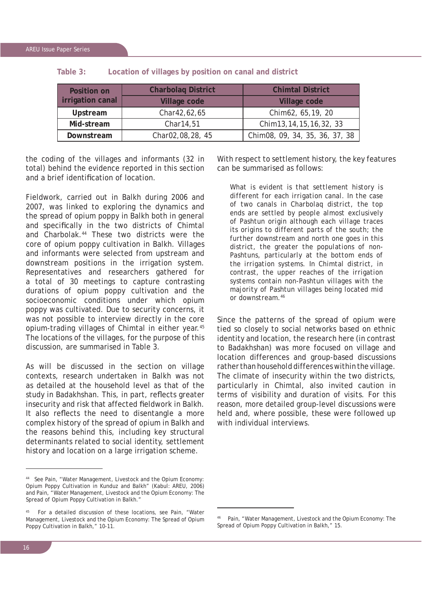| Position on      | <b>Charbolag District</b> | <b>Chimtal District</b>        |
|------------------|---------------------------|--------------------------------|
| irrigation canal | Village code              | <b>Village code</b>            |
| Upstream         | Char42,62,65              | Chim62, 65, 19, 20             |
| Mid-stream       | Char14,51                 | Chim 13, 14, 15, 16, 32, 33    |
| Downstream       | Char02,08,28, 45          | Chim08, 09, 34, 35, 36, 37, 38 |

**Table 3: Location of villages by position on canal and district**

the coding of the villages and informants (32 in total) behind the evidence reported in this section and a brief identification of location

Fieldwork, carried out in Balkh during 2006 and 2007, was linked to exploring the dynamics and the spread of opium poppy in Balkh both in general and specifically in the two districts of Chimtal and Charbolak.44 These two districts were the core of opium poppy cultivation in Balkh. Villages and informants were selected from upstream and downstream positions in the irrigation system. Representatives and researchers gathered for a total of 30 meetings to capture contrasting durations of opium poppy cultivation and the socioeconomic conditions under which opium poppy was cultivated. Due to security concerns, it was not possible to interview directly in the core opium-trading villages of Chimtal in either year.45 The locations of the villages, for the purpose of this discussion, are summarised in Table 3.

As will be discussed in the section on village contexts, research undertaken in Balkh was not as detailed at the household level as that of the study in Badakhshan. This, in part, reflects greater insecurity and risk that affected fieldwork in Balkh. It also reflects the need to disentangle a more complex history of the spread of opium in Balkh and the reasons behind this, including key structural determinants related to social identity, settlement history and location on a large irrigation scheme.

With respect to settlement history, the key features can be summarised as follows:

*What is evident is that settlement history is different for each irrigation canal. In the case of two canals in Charbolaq district, the top ends are settled by people almost exclusively of Pashtun origin although each village traces its origins to different parts of the south; the further downstream and north one goes in this district, the greater the populations of non-Pashtuns, particularly at the bottom ends of the irrigation systems. In Chimtal district, in contrast, the upper reaches of the irrigation systems contain non-Pashtun villages with the majority of Pashtun villages being located mid or downstream.46*

Since the patterns of the spread of opium were tied so closely to social networks based on ethnic identity and location, the research here (in contrast to Badakhshan) was more focused on village and location differences and group-based discussions rather than household differences within the village. The climate of insecurity within the two districts, particularly in Chimtal, also invited caution in terms of visibility and duration of visits. For this reason, more detailed group-level discussions were held and, where possible, these were followed up with individual interviews.

<sup>44</sup> See Pain, "Water Management, Livestock and the Opium Economy: Opium Poppy Cultivation in Kunduz and Balkh" (Kabul: AREU, 2006) and Pain, "Water Management, Livestock and the Opium Economy: The Spread of Opium Poppy Cultivation in Balkh."

For a detailed discussion of these locations, see Pain, "Water Management, Livestock and the Opium Economy: The Spread of Opium Poppy Cultivation in Balkh," 10-11.

Pain, "Water Management, Livestock and the Opium Economy: The Spread of Opium Poppy Cultivation in Balkh," 15.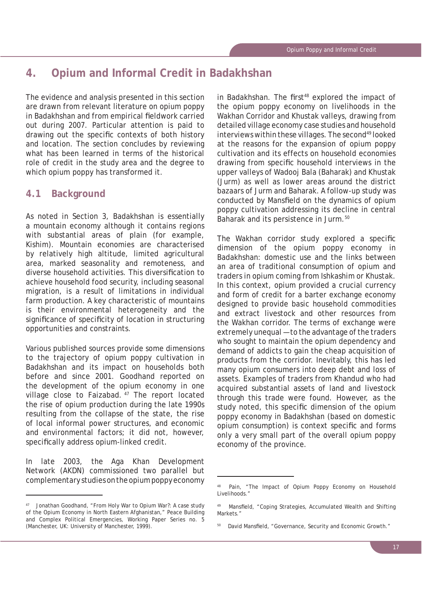# **4. Opium and Informal Credit in Badakhshan**

The evidence and analysis presented in this section are drawn from relevant literature on opium poppy in Badakhshan and from empirical fieldwork carried out during 2007. Particular attention is paid to drawing out the specific contexts of both history and location. The section concludes by reviewing what has been learned in terms of the historical role of credit in the study area and the degree to which opium poppy has transformed it.

# **4.1 Background**

As noted in Section 3, Badakhshan is essentially a mountain economy although it contains regions with substantial areas of plain (for example, Kishim). Mountain economies are characterised by relatively high altitude, limited agricultural area, marked seasonality and remoteness, and diverse household activities. This diversification to achieve household food security, including seasonal migration, is a result of limitations in individual farm production. A key characteristic of mountains is their environmental heterogeneity and the significance of specificity of location in structuring opportunities and constraints.

Various published sources provide some dimensions to the trajectory of opium poppy cultivation in Badakhshan and its impact on households both before and since 2001. Goodhand reported on the development of the opium economy in one village close to Faizabad. <sup>47</sup> The report located the rise of opium production during the late 1990s resulting from the collapse of the state, the rise of local informal power structures, and economic and environmental factors; it did not, however, specifically address opium-linked credit.

In late 2003, the Aga Khan Development Network (AKDN) commissioned two parallel but complementary studies on the opium poppy economy

in Badakhshan. The first<sup>48</sup> explored the impact of the opium poppy economy on livelihoods in the Wakhan Corridor and Khustak valleys, drawing from detailed village economy case studies and household interviews within these villages. The second<sup>49</sup> looked at the reasons for the expansion of opium poppy cultivation and its effects on household economies drawing from specific household interviews in the upper valleys of Wadooj Bala (Baharak) and Khustak (Jurm) as well as lower areas around the district bazaars of Jurm and Baharak. A follow-up study was conducted by Mansfield on the dynamics of opium poppy cultivation addressing its decline in central Baharak and its persistence in Jurm.<sup>50</sup>

The Wakhan corridor study explored a specific dimension of the opium poppy economy in Badakhshan: domestic use and the links between an area of traditional consumption of opium and traders in opium coming from Ishkashim or Khustak. In this context, opium provided a crucial currency and form of credit for a barter exchange economy designed to provide basic household commodities and extract livestock and other resources from the Wakhan corridor. The terms of exchange were extremely unequal — to the advantage of the traders who sought to maintain the opium dependency and demand of addicts to gain the cheap acquisition of products from the corridor. Inevitably, this has led many opium consumers into deep debt and loss of assets. Examples of traders from Khandud who had acquired substantial assets of land and livestock through this trade were found. However, as the study noted, this specific dimension of the opium poppy economy in Badakhshan (based on domestic opium consumption) is context specific and forms only a very small part of the overall opium poppy economy of the province.

Jonathan Goodhand, "From Holy War to Opium War?: A case study of the Opium Economy in North Eastern Afghanistan," Peace Building and Complex Political Emergencies, Working Paper Series no. 5 (Manchester, UK: University of Manchester, 1999).

Pain, "The Impact of Opium Poppy Economy on Household Livelihoods."

Mansfield, "Coping Strategies, Accumulated Wealth and Shifting Markets."

David Mansfield, "Governance, Security and Economic Growth."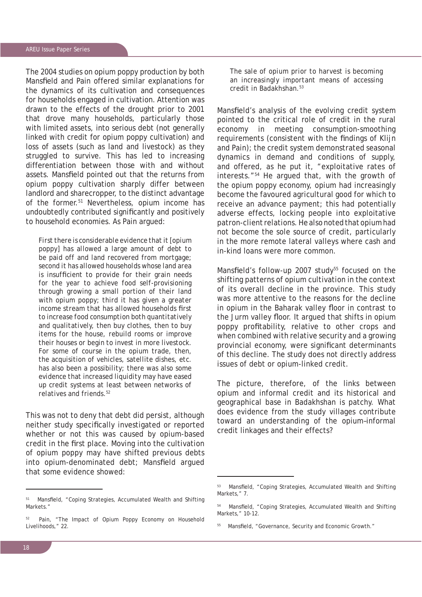The 2004 studies on opium poppy production by both Mansfield and Pain offered similar explanations for the dynamics of its cultivation and consequences for households engaged in cultivation. Attention was drawn to the effects of the drought prior to 2001 that drove many households, particularly those with limited assets, into serious debt (not generally linked with credit for opium poppy cultivation) and loss of assets (such as land and livestock) as they struggled to survive. This has led to increasing differentiation between those with and without assets. Mansfield pointed out that the returns from opium poppy cultivation sharply differ between landlord and sharecropper, to the distinct advantage of the former.51 Nevertheless, opium income has undoubtedly contributed significantly and positively to household economies. As Pain argued:

*First there is considerable evidence that it [opium poppy] has allowed a large amount of debt to be paid off and land recovered from mortgage; second it has allowed households whose land area is insufficient to provide for their grain needs for the year to achieve food self-provisioning through growing a small portion of their land with opium poppy; third it has given a greater*  income stream that has allowed households first *to increase food consumption both quantitatively and qualitatively, then buy clothes, then to buy items for the house, rebuild rooms or improve their houses or begin to invest in more livestock. For some of course in the opium trade, then, the acquisition of vehicles, satellite dishes, etc. has also been a possibility; there was also some evidence that increased liquidity may have eased up credit systems at least between networks of relatives and friends.52*

This was not to deny that debt did persist, although neither study specifically investigated or reported whether or not this was caused by opium-based credit in the first place. Moving into the cultivation of opium poppy may have shifted previous debts into opium-denominated debt; Mansfield argued that some evidence showed:

*The sale of opium prior to harvest is becoming an increasingly important means of accessing credit in Badakhshan.53*

Mansfield's analysis of the evolving credit system pointed to the critical role of credit in the rural economy in meeting consumption-smoothing requirements (consistent with the findings of Klijn and Pain); the credit system demonstrated seasonal dynamics in demand and conditions of supply, and offered, as he put it, "exploitative rates of interests."54 He argued that, with the growth of the opium poppy economy, opium had increasingly become the favoured agricultural good for which to receive an advance payment; this had potentially adverse effects, locking people into exploitative patron-client relations. He also noted that opium had not become the sole source of credit, particularly in the more remote lateral valleys where cash and in-kind loans were more common.

Mansfield's follow-up 2007 study<sup>55</sup> focused on the shifting patterns of opium cultivation in the context of its overall decline in the province. This study was more attentive to the reasons for the decline in opium in the Baharak valley floor in contrast to the Jurm valley floor. It argued that shifts in opium poppy profitability, relative to other crops and when combined with relative security and a growing provincial economy, were significant determinants of this decline. The study does not directly address issues of debt or opium-linked credit.

The picture, therefore, of the links between opium and informal credit and its historical and geographical base in Badakhshan is patchy. What does evidence from the study villages contribute toward an understanding of the opium–informal credit linkages and their effects?

<sup>&</sup>lt;sup>51</sup> Mansfield, "Coping Strategies, Accumulated Wealth and Shifting Markets."

<sup>&</sup>lt;sup>52</sup> Pain, "The Impact of Opium Poppy Economy on Household Livelihoods," 22.

<sup>53</sup> Mansfield, "Coping Strategies, Accumulated Wealth and Shifting Markets," 7.

<sup>54</sup> Mansfield, "Coping Strategies, Accumulated Wealth and Shifting Markets," 10-12.

Mansfield, "Governance, Security and Economic Growth."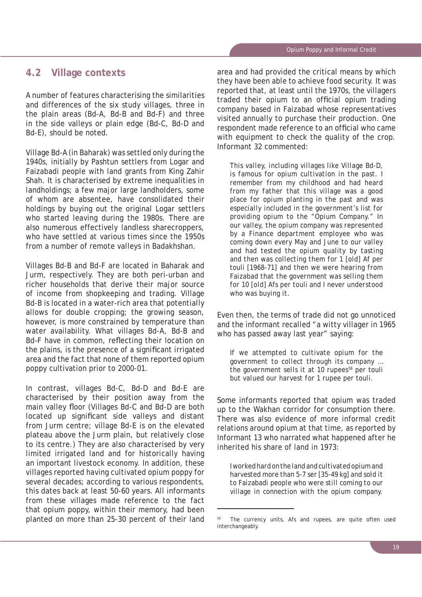#### **4.2 Village contexts**

A number of features characterising the similarities and differences of the six study villages, three in the plain areas (Bd-A, Bd-B and Bd-F) and three in the side valleys or plain edge (Bd-C, Bd-D and Bd-E), should be noted.

Village Bd-A (in Baharak) was settled only during the 1940s, initially by Pashtun settlers from Logar and Faizabadi people with land grants from King Zahir Shah. It is characterised by extreme inequalities in landholdings; a few major large landholders, some of whom are absentee, have consolidated their holdings by buying out the original Logar settlers who started leaving during the 1980s. There are also numerous effectively landless sharecroppers, who have settled at various times since the 1950s from a number of remote valleys in Badakhshan.

Villages Bd-B and Bd-F are located in Baharak and Jurm, respectively. They are both peri-urban and richer households that derive their major source of income from shopkeeping and trading. Village Bd-B is located in a water-rich area that potentially allows for double cropping; the growing season, however, is more constrained by temperature than water availability. What villages Bd-A, Bd-B and Bd-F have in common, reflecting their location on the plains, is the presence of a significant irrigated area and the fact that none of them reported opium poppy cultivation prior to 2000-01.

In contrast, villages Bd-C, Bd-D and Bd-E are characterised by their position away from the main valley floor (Villages Bd-C and Bd-D are both located up significant side valleys and distant from Jurm centre; village Bd-E is on the elevated plateau above the Jurm plain, but relatively close to its centre.) They are also characterised by very limited irrigated land and for historically having an important livestock economy. In addition, these villages reported having cultivated opium poppy for several decades; according to various respondents, this dates back at least 50-60 years. All informants from these villages made reference to the fact that opium poppy, within their memory, had been planted on more than 25-30 percent of their land area and had provided the critical means by which they have been able to achieve food security. It was reported that, at least until the 1970s, the villagers traded their opium to an official opium trading company based in Faizabad whose representatives visited annually to purchase their production. One respondent made reference to an official who came with equipment to check the quality of the crop. Informant 32 commented:

*This valley, including villages like Village Bd-D, is famous for opium cultivation in the past. I remember from my childhood and had heard from my father that this village was a good place for opium planting in the past and was especially included in the government's list for providing opium to the "Opium Company." In our valley, the opium company was represented by a Finance department employee who was coming down every May and June to our valley and had tested the opium quality by tasting and then was collecting them for 1 [old]* Af *per*  touli *[1968-71] and then we were hearing from Faizabad that the government was selling them for 10 [old]* Afs *per* touli *and I never understood who was buying it.*

Even then, the terms of trade did not go unnoticed and the informant recalled "a witty villager in 1965 who has passed away last year" saying:

*If we attempted to cultivate opium for the government to collect through its company … the government sells it at 10 rupees<sup>56</sup> per touli but valued our harvest for 1 rupee per* touli.

Some informants reported that opium was traded up to the Wakhan corridor for consumption there. There was also evidence of more informal credit relations around opium at that time, as reported by Informant 13 who narrated what happened after he inherited his share of land in 1973:

*I worked hard on the land and cultivated opium and harvested more than 5-7* ser *[35-49 kg] and sold it to Faizabadi people who were still coming to our village in connection with the opium company.* 

The currency units, Afs and rupees, are quite often used interchangeably.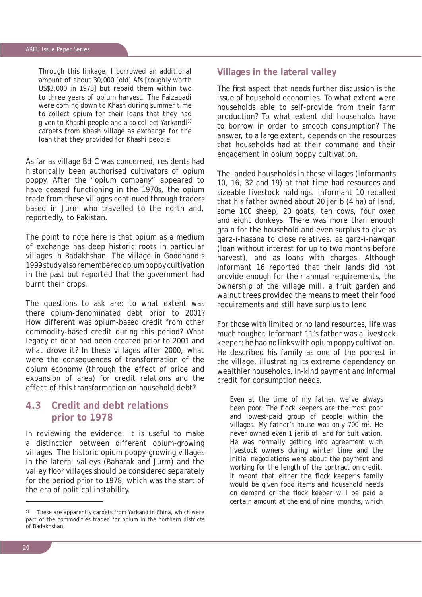*Through this linkage, I borrowed an additional amount of about 30,000 [old]* Afs *[roughly worth US\$3,000 in 1973] but repaid them within two to three years of opium harvest. The Faizabadi were coming down to Khash during summer time to collect opium for their loans that they had given to Khashi people and also collect Yarkandi57 carpets from Khash village as exchange for the loan that they provided for Khashi people.*

As far as village Bd-C was concerned, residents had historically been authorised cultivators of opium poppy. After the "opium company" appeared to have ceased functioning in the 1970s, the opium trade from these villages continued through traders based in Jurm who travelled to the north and, reportedly, to Pakistan.

The point to note here is that opium as a medium of exchange has deep historic roots in particular villages in Badakhshan. The village in Goodhand's 1999 study also remembered opium poppy cultivation in the past but reported that the government had burnt their crops.

The questions to ask are: to what extent was there opium-denominated debt prior to 2001? How different was opium-based credit from other commodity-based credit during this period? What legacy of debt had been created prior to 2001 and what drove it? In these villages after 2000, what were the consequences of transformation of the opium economy (through the effect of price and expansion of area) for credit relations and the effect of this transformation on household debt?

# **4.3 Credit and debt relations prior to 1978**

In reviewing the evidence, it is useful to make a distinction between different opium-growing villages. The historic opium poppy-growing villages in the lateral valleys (Baharak and Jurm) and the valley floor villages should be considered separately for the period prior to 1978, which was the start of the era of political instability.

#### **Villages in the lateral valley**

The first aspect that needs further discussion is the issue of household economies. To what extent were households able to self-provide from their farm production? To what extent did households have to borrow in order to smooth consumption? The answer, to a large extent, depends on the resources that households had at their command and their engagement in opium poppy cultivation.

The landed households in these villages (informants 10, 16, 32 and 19) at that time had resources and sizeable livestock holdings. Informant 10 recalled that his father owned about 20 *jerib* (4 ha) of land, some 100 sheep, 20 goats, ten cows, four oxen and eight donkeys. There was more than enough grain for the household and even surplus to give as *qarz-i-hasana* to close relatives, as *qarz-i-nawqan* (loan without interest for up to two months before harvest), and as loans with charges. Although Informant 16 reported that their lands did not provide enough for their annual requirements, the ownership of the village mill, a fruit garden and walnut trees provided the means to meet their food requirements and still have surplus to lend.

For those with limited or no land resources, life was much tougher. Informant 11's father was a livestock keeper; he had no links with opium poppy cultivation. He described his family as one of the poorest in the village, illustrating its extreme dependency on wealthier households, in-kind payment and informal credit for consumption needs.

*Even at the time of my father, we've always*  been poor. The flock keepers are the most poor *and lowest-paid group of people within the villages. My father's house was only 700 m2 . He never owned even 1 jerib of land for cultivation. He was normally getting into agreement with livestock owners during winter time and the initial negotiations were about the payment and working for the length of the contract on credit.*  It meant that either the flock keeper's family *would be given food items and household needs on demand or the fl ock keeper will be paid a certain amount at the end of nine months, which* 

These are apparently carpets from Yarkand in China, which were part of the commodities traded for opium in the northern districts of Badakhshan.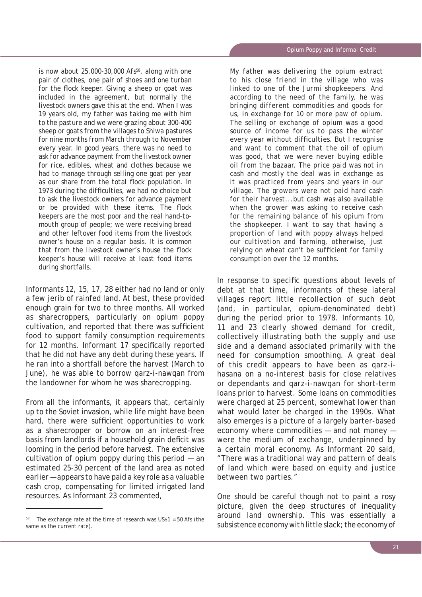*is now about 25,000-30,000 Afs58, along with one pair of clothes, one pair of shoes and one turban*  for the flock keeper. Giving a sheep or goat was *included in the agreement, but normally the livestock owners gave this at the end. When I was 19 years old, my father was taking me with him to the pasture and we were grazing about 300-400 sheep or goats from the villages to Shiwa pastures for nine months from March through to November every year. In good years, there was no need to ask for advance payment from the livestock owner for rice, edibles, wheat and clothes because we had to manage through selling one goat per year*  as our share from the total flock population. In 1973 during the difficulties, we had no choice but *to ask the livestock owners for advance payment or be provided with these items. The flock keepers are the most poor and the real hand-tomouth group of people; we were receiving bread and other leftover food items from the livestock owner's house on a regular basis. It is common that from the livestock owner's house the flock keeper's house will receive at least food items during shortfalls.*

Informants 12, 15, 17, 28 either had no land or only a few *jerib* of rainfed land. At best, these provided enough grain for two to three months. All worked as sharecroppers, particularly on opium poppy cultivation, and reported that there was sufficient food to support family consumption requirements for 12 months. Informant 17 specifically reported that he did not have any debt during these years. If he ran into a shortfall before the harvest (March to June), he was able to borrow *qarz-i-nawqan* from the landowner for whom he was sharecropping.

From all the informants, it appears that, certainly up to the Soviet invasion, while life might have been hard, there were sufficient opportunities to work as a sharecropper or borrow on an interest-free basis from landlords if a household grain deficit was looming in the period before harvest. The extensive cultivation of opium poppy during this period — an estimated 25-30 percent of the land area as noted earlier — appears to have paid a key role as a valuable cash crop, compensating for limited irrigated land resources. As Informant 23 commented,

*My father was delivering the opium extract to his close friend in the village who was linked to one of the Jurmi shopkeepers. And according to the need of the family, he was bringing different commodities and goods for us, in exchange for 10 or more* paw *of opium. The selling or exchange of opium was a good source of income for us to pass the winter every year without difficulties. But I recognise and want to comment that the oil of opium was good, that we were never buying edible oil from the bazaar. The price paid was not in cash and mostly the deal was in exchange as it was practiced from years and years in our village. The growers were not paid hard cash for their harvest...but cash was also available when the grower was asking to receive cash for the remaining balance of his opium from the shopkeeper. I want to say that having a proportion of land with poppy always helped our cultivation and farming, otherwise, just relying on wheat can't be sufficient for family consumption over the 12 months.*

In response to specific questions about levels of debt at that time, informants of these lateral villages report little recollection of such debt (and, in particular, opium-denominated debt) during the period prior to 1978. Informants 10, 11 and 23 clearly showed demand for credit, collectively illustrating both the supply and use side and a demand associated primarily with the need for consumption smoothing. A great deal of this credit appears to have been as *qarz-ihasana* on a no-interest basis for close relatives or dependants and *qarz-i-nawqan* for short-term loans prior to harvest. Some loans on commodities were charged at 25 percent, somewhat lower than what would later be charged in the 1990s. What also emerges is a picture of a largely barter-based economy where commodities — and not money were the medium of exchange, underpinned by a certain moral economy. As Informant 20 said, "There was a traditional way and pattern of deals of land which were based on equity and justice between two parties."

One should be careful though not to paint a rosy picture, given the deep structures of inequality around land ownership. This was essentially a subsistence economy with little slack; the economy of

The exchange rate at the time of research was  $US$1 = 50$  Afs (the same as the current rate).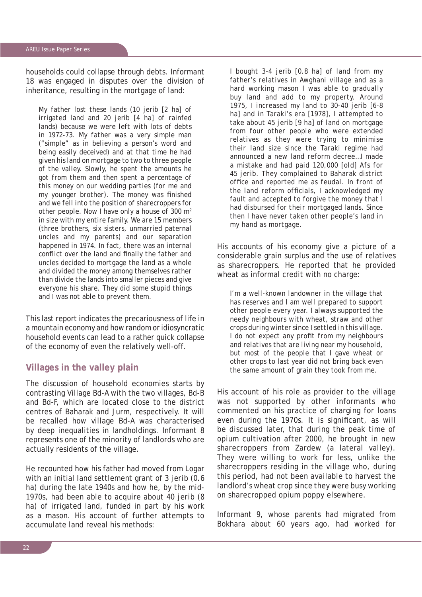households could collapse through debts. Informant 18 was engaged in disputes over the division of inheritance, resulting in the mortgage of land:

*My father lost these lands (10* jerib *[2 ha] of irrigated land and 20* jerib *[4 ha] of rainfed lands) because we were left with lots of debts in 1972-73. My father was a very simple man ("simple" as in believing a person's word and being easily deceived) and at that time he had given his land on mortgage to two to three people of the valley. Slowly, he spent the amounts he got from them and then spent a percentage of this money on our wedding parties (for me and my younger brother). The money was finished and we fell into the position of sharecroppers for other people. Now I have only a house of 300 m2 in size with my entire family. We are 15 members (three brothers, six sisters, unmarried paternal uncles and my parents) and our separation happened in 1974. In fact, there was an internal conflict over the land and finally the father and uncles decided to mortgage the land as a whole and divided the money among themselves rather than divide the lands into smaller pieces and give everyone his share. They did some stupid things and I was not able to prevent them.* 

This last report indicates the precariousness of life in a mountain economy and how random or idiosyncratic household events can lead to a rather quick collapse of the economy of even the relatively well-off.

#### **Villages in the valley plain**

The discussion of household economies starts by contrasting Village Bd-A with the two villages, Bd-B and Bd-F, which are located close to the district centres of Baharak and Jurm, respectively. It will be recalled how village Bd-A was characterised by deep inequalities in landholdings. Informant 8 represents one of the minority of landlords who are actually residents of the village.

He recounted how his father had moved from Logar with an initial land settlement grant of 3 *jerib* (0.6 ha) during the late 1940s and how he, by the mid-1970s, had been able to acquire about 40 *jerib* (8 ha) of irrigated land, funded in part by his work as a mason. His account of further attempts to accumulate land reveal his methods:

*I bought 3-4* jerib *[0.8 ha] of land from my father's relatives in Awghani village and as a hard working mason I was able to gradually buy land and add to my property. Around 1975, I increased my land to 30-40* jerib *[6-8 ha] and in Taraki's era [1978], I attempted to take about 45* jerib *[9 ha] of land on mortgage from four other people who were extended relatives as they were trying to minimise their land size since the Taraki regime had announced a new land reform decree…I made a mistake and had paid 120,000 [old] Afs for 45 jerib. They complained to Baharak district*  office and reported me as feudal. In front of *the land reform officials, I acknowledged my fault and accepted to forgive the money that I had disbursed for their mortgaged lands. Since then I have never taken other people's land in my hand as mortgage.*

His accounts of his economy give a picture of a considerable grain surplus and the use of relatives as sharecroppers. He reported that he provided wheat as informal credit with no charge:

*I'm a well-known landowner in the village that has reserves and I am well prepared to support other people every year. I always supported the needy neighbours with wheat, straw and other crops during winter since I settled in this village. I* do not expect any profit from my neighbours *and relatives that are living near my household, but most of the people that I gave wheat or other crops to last year did not bring back even the same amount of grain they took from me.* 

His account of his role as provider to the village was not supported by other informants who commented on his practice of charging for loans even during the 1970s. It is significant, as will be discussed later, that during the peak time of opium cultivation after 2000, he brought in new sharecroppers from Zardew (a lateral valley). They were willing to work for less, unlike the sharecroppers residing in the village who, during this period, had not been available to harvest the landlord's wheat crop since they were busy working on sharecropped opium poppy elsewhere.

Informant 9, whose parents had migrated from Bokhara about 60 years ago, had worked for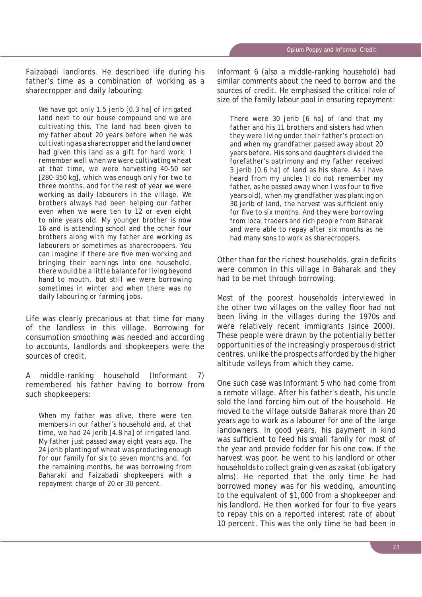Faizabadi landlords. He described life during his father's time as a combination of working as a sharecropper and daily labouring:

*We have got only 1.5* jerib *[0.3 ha] of irrigated land next to our house compound and we are cultivating this. The land had been given to my father about 20 years before when he was cultivating as a sharecropper and the land owner had given this land as a gift for hard work. I remember well when we were cultivating wheat at that time, we were harvesting 40-50* ser *[280-350 kg], which was enough only for two to three months, and for the rest of year we were working as daily labourers in the village. We brothers always had been helping our father even when we were ten to 12 or even eight to nine years old. My younger brother is now 16 and is attending school and the other four brothers along with my father are working as labourers or sometimes as sharecroppers. You can imagine if there are five men working and bringing their earnings into one household, there would be a little balance for living beyond hand to mouth, but still we were borrowing sometimes in winter and when there was no daily labouring or farming jobs.*

Life was clearly precarious at that time for many of the landless in this village. Borrowing for consumption smoothing was needed and according to accounts, landlords and shopkeepers were the sources of credit.

A middle-ranking household (Informant 7) remembered his father having to borrow from such shopkeepers:

*When my father was alive, there were ten members in our father's household and, at that time, we had 24* jerib *[4.8 ha] of irrigated land. My father just passed away eight years ago. The 24* jerib *planting of wheat was producing enough for our family for six to seven months and, for the remaining months, he was borrowing from Baharaki and Faizabadi shopkeepers with a repayment charge of 20 or 30 percent.*

Informant 6 (also a middle-ranking household) had similar comments about the need to borrow and the sources of credit. He emphasised the critical role of size of the family labour pool in ensuring repayment:

*There were 30* jerib *[6 ha] of land that my father and his 11 brothers and sisters had when they were living under their father's protection and when my grandfather passed away about 20 years before. His sons and daughters divided the forefather's patrimony and my father received 3* jerib *[0.6 ha] of land as his share. As I have heard from my uncles (I do not remember my*  father, as he passed away when I was four to five *years old), when my grandfather was planting on*  30 jerib of land, the harvest was sufficient only for five to six months. And they were borrowing *from local traders and rich people from Baharak and were able to repay after six months as he had many sons to work as sharecroppers.*

Other than for the richest households, grain deficits were common in this village in Baharak and they had to be met through borrowing.

Most of the poorest households interviewed in the other two villages on the valley floor had not been living in the villages during the 1970s and were relatively recent immigrants (since 2000). These people were drawn by the potentially better opportunities of the increasingly prosperous district centres, unlike the prospects afforded by the higher altitude valleys from which they came.

One such case was Informant 5 who had come from a remote village. After his father's death, his uncle sold the land forcing him out of the household. He moved to the village outside Baharak more than 20 years ago to work as a labourer for one of the large landowners. In good years, his payment in kind was sufficient to feed his small family for most of the year and provide fodder for his one cow. If the harvest was poor, he went to his landlord or other households to collect grain given as *zakat* (obligatory alms). He reported that the only time he had borrowed money was for his wedding, amounting to the equivalent of \$1,000 from a shopkeeper and his landlord. He then worked for four to five years to repay this on a reported interest rate of about 10 percent. This was the only time he had been in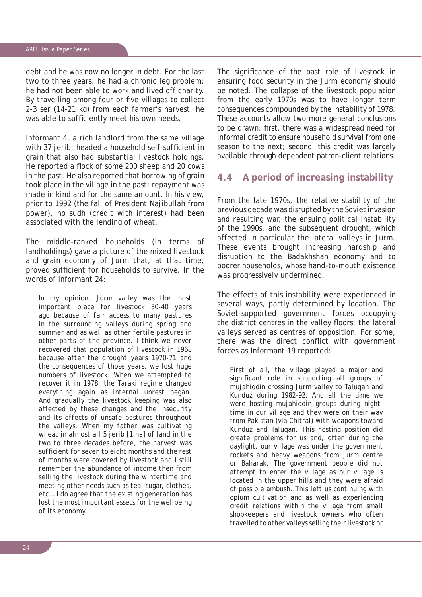debt and he was now no longer in debt. For the last two to three years, he had a chronic leg problem: he had not been able to work and lived off charity. By travelling among four or five villages to collect 2-3 *ser* (14-21 kg) from each farmer's harvest, he was able to sufficiently meet his own needs.

Informant 4, a rich landlord from the same village with 37 *jerib*, headed a household self-sufficient in grain that also had substantial livestock holdings. He reported a flock of some 200 sheep and 20 cows in the past. He also reported that borrowing of grain took place in the village in the past; repayment was made in kind and for the same amount. In his view, prior to 1992 (the fall of President Najibullah from power), no *sudh* (credit with interest) had been associated with the lending of wheat.

The middle-ranked households (in terms of landholdings) gave a picture of the mixed livestock and grain economy of Jurm that, at that time, proved sufficient for households to survive. In the words of Informant 24:

*In my opinion, Jurm valley was the most important place for livestock 30-40 years ago because of fair access to many pastures in the surrounding valleys during spring and summer and as well as other fertile pastures in other parts of the province. I think we never recovered that population of livestock in 1968 because after the drought years 1970-71 and the consequences of those years, we lost huge numbers of livestock. When we attempted to recover it in 1978, the Taraki regime changed everything again as internal unrest began. And gradually the livestock keeping was also affected by these changes and the insecurity and its effects of unsafe pastures throughout the valleys. When my father was cultivating wheat in almost all 5 jerib [1 ha] of land in the two to three decades before, the harvest was suffi cient for seven to eight months and the rest of months were covered by livestock and I still remember the abundance of income then from selling the livestock during the wintertime and meeting other needs such as tea, sugar, clothes, etc...I do agree that the existing generation has lost the most important assets for the wellbeing of its economy.*

The significance of the past role of livestock in ensuring food security in the Jurm economy should be noted. The collapse of the livestock population from the early 1970s was to have longer term consequences compounded by the instability of 1978. These accounts allow two more general conclusions to be drawn: first, there was a widespread need for informal credit to ensure household survival from one season to the next; second, this credit was largely available through dependent patron-client relations.

#### **4.4 A period of increasing instability**

From the late 1970s, the relative stability of the previous decade was disrupted by the Soviet invasion and resulting war, the ensuing political instability of the 1990s, and the subsequent drought, which affected in particular the lateral valleys in Jurm. These events brought increasing hardship and disruption to the Badakhshan economy and to poorer households, whose hand-to-mouth existence was progressively undermined.

The effects of this instability were experienced in several ways, partly determined by location. The Soviet-supported government forces occupying the district centres in the valley floors; the lateral valleys served as centres of opposition. For some, there was the direct conflict with government forces as Informant 19 reported:

*First of all, the village played a major and*  significant role in supporting all groups of *mujahiddin crossing Jurm valley to Taluqan and Kunduz during 1982-92. And all the time we were hosting mujahiddin groups during nighttime in our village and they were on their way from Pakistan (via Chitral) with weapons toward Kunduz and Taluqan. This hosting position did create problems for us and, often during the daylight, our village was under the government rockets and heavy weapons from Jurm centre or Baharak. The government people did not attempt to enter the village as our village is located in the upper hills and they were afraid of possible ambush. This left us continuing with opium cultivation and as well as experiencing credit relations within the village from small shopkeepers and livestock owners who often travelled to other valleys selling their livestock or*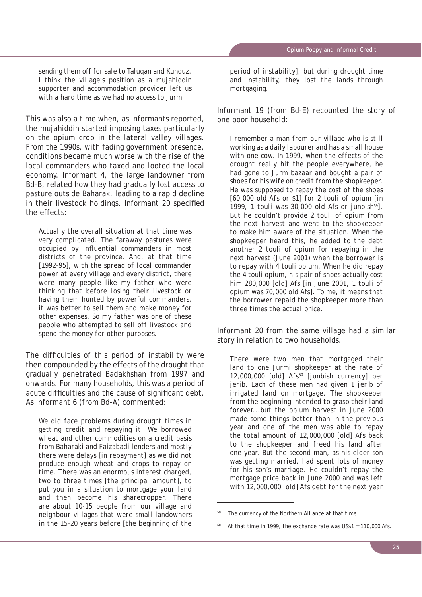*sending them off for sale to Taluqan and Kunduz. I think the village's position as a mujahiddin supporter and accommodation provider left us with a hard time as we had no access to Jurm.*

This was also a time when, as informants reported, the mujahiddin started imposing taxes particularly on the opium crop in the lateral valley villages. From the 1990s, with fading government presence, conditions became much worse with the rise of the local commanders who taxed and looted the local economy. Informant 4, the large landowner from Bd-B, related how they had gradually lost access to pasture outside Baharak, leading to a rapid decline in their livestock holdings. Informant 20 specified the effects:

*Actually the overall situation at that time was very complicated. The faraway pastures were occupied by infl uential commanders in most districts of the province. And, at that time [1992-95], with the spread of local commander power at every village and every district, there were many people like my father who were thinking that before losing their livestock or having them hunted by powerful commanders, it was better to sell them and make money for other expenses. So my father was one of these people who attempted to sell off livestock and spend the money for other purposes.*

The difficulties of this period of instability were then compounded by the effects of the drought that gradually penetrated Badakhshan from 1997 and onwards. For many households, this was a period of acute difficulties and the cause of significant debt. As Informant 6 (from Bd-A) commented:

*We did face problems during drought times in getting credit and repaying it. We borrowed wheat and other commodities on a credit basis from Baharaki and Faizabadi lenders and mostly there were delays [in repayment] as we did not produce enough wheat and crops to repay on time. There was an enormous interest charged, two to three times [the principal amount], to put you in a situation to mortgage your land and then become his sharecropper. There are about 10-15 people from our village and neighbour villages that were small landowners in the 15–20 years before [the beginning of the*  *period of instability]; but during drought time and instability, they lost the lands through mortgaging.* 

Informant 19 (from Bd-E) recounted the story of one poor household:

*I remember a man from our village who is still working as a daily labourer and has a small house with one cow. In 1999, when the effects of the drought really hit the people everywhere, he had gone to Jurm bazaar and bought a pair of shoes for his wife on credit from the shopkeeper. He was supposed to repay the cost of the shoes [60,000 old Afs or \$1] for 2 touli of opium [in 1999, 1 touli was 30,000 old* Afs *or* junbish*59]. But he couldn't provide 2 touli of opium from the next harvest and went to the shopkeeper to make him aware of the situation. When the shopkeeper heard this, he added to the debt another 2 touli of opium for repaying in the next harvest (June 2001) when the borrower is to repay with 4* touli *opium. When he did repay the 4* touli *opium, his pair of shoes actually cost him 280,000 [old]* Afs *[in June 2001, 1 touli of opium was 70,000 old* Afs*]. To me, it means that the borrower repaid the shopkeeper more than three times the actual price.*

Informant 20 from the same village had a similar story in relation to two households.

*There were two men that mortgaged their land to one Jurmi shopkeeper at the rate of 12,000,000 [old] Afs60 [junbish currency] per jerib. Each of these men had given 1 jerib of irrigated land on mortgage. The shopkeeper from the beginning intended to grasp their land forever...but the opium harvest in June 2000 made some things better than in the previous year and one of the men was able to repay the total amount of 12,000,000 [old] Afs back to the shopkeeper and freed his land after one year. But the second man, as his elder son was getting married, had spent lots of money for his son's marriage. He couldn't repay the mortgage price back in June 2000 and was left with 12,000,000 [old] Afs debt for the next year* 

The currency of the Northern Alliance at that time.

At that time in 1999, the exchange rate was  $US$1 = 110,000$  Afs.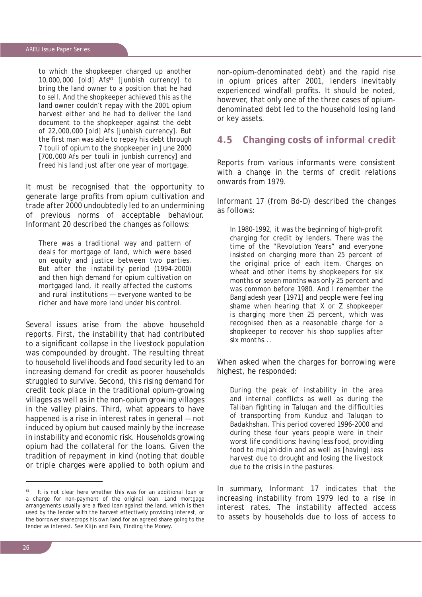#### AREU Issue Paper Series

*to which the shopkeeper charged up another 10,000,000 [old] Afs61 [junbish currency] to bring the land owner to a position that he had to sell. And the shopkeeper achieved this as the land owner couldn't repay with the 2001 opium harvest either and he had to deliver the land document to the shopkeeper against the debt of 22,000,000 [old] Afs [junbish currency]. But the first man was able to repay his debt through 7 touli of opium to the shopkeeper in June 2000 [700,000 Afs per touli in junbish currency] and freed his land just after one year of mortgage.*

It must be recognised that the opportunity to generate large profits from opium cultivation and trade after 2000 undoubtedly led to an undermining of previous norms of acceptable behaviour. Informant 20 described the changes as follows:

*There was a traditional way and pattern of deals for mortgage of land, which were based on equity and justice between two parties. But after the instability period (1994-2000) and then high demand for opium cultivation on mortgaged land, it really affected the customs and rural institutions — everyone wanted to be richer and have more land under his control.* 

Several issues arise from the above household reports. First, the instability that had contributed to a significant collapse in the livestock population was compounded by drought. The resulting threat to household livelihoods and food security led to an increasing demand for credit as poorer households struggled to survive. Second, this rising demand for credit took place in the traditional opium-growing villages as well as in the non-opium growing villages in the valley plains. Third, what appears to have happened is a rise in interest rates in general — not induced by opium but caused mainly by the increase in instability and economic risk. Households growing opium had the collateral for the loans. Given the tradition of repayment in kind (noting that double or triple charges were applied to both opium and non-opium-denominated debt) and the rapid rise in opium prices after 2001, lenders inevitably experienced windfall profits. It should be noted, however, that only one of the three cases of opiumdenominated debt led to the household losing land or key assets.

# **4.5 Changing costs of informal credit**

Reports from various informants were consistent with a change in the terms of credit relations onwards from 1979.

Informant 17 (from Bd-D) described the changes as follows:

In 1980-1992, it was the beginning of high-profit *charging for credit by lenders. There was the time of the "Revolution Years" and everyone insisted on charging more than 25 percent of the original price of each item. Charges on wheat and other items by shopkeepers for six months or seven months was only 25 percent and was common before 1980. And I remember the Bangladesh year [1971] and people were feeling shame when hearing that X or Z shopkeeper is charging more then 25 percent, which was recognised then as a reasonable charge for a shopkeeper to recover his shop supplies after six months...* 

When asked when the charges for borrowing were highest, he responded:

*During the peak of instability in the area*  and internal conflicts as well as during the *Taliban fighting in Talugan and the difficulties of transporting from Kunduz and Taluqan to Badakhshan. This period covered 1996-2000 and during these four years people were in their worst life conditions: having less food, providing food to mujahiddin and as well as [having] less harvest due to drought and losing the livestock due to the crisis in the pastures.*

In summary, Informant 17 indicates that the increasing instability from 1979 led to a rise in interest rates. The instability affected access to assets by households due to loss of access to

It is not clear here whether this was for an additional loan or a charge for non-payment of the original loan. Land mortgage arrangements usually are a fixed loan against the land, which is then used by the lender with the harvest effectively providing interest, or the borrower sharecrops his own land for an agreed share going to the lender as interest. See Klijn and Pain, *Finding the Money*.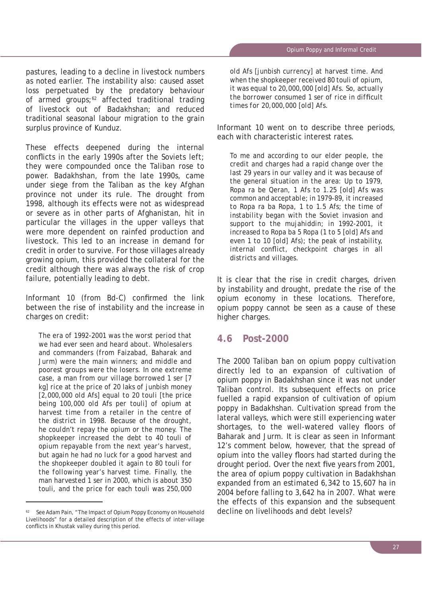pastures, leading to a decline in livestock numbers as noted earlier. The instability also: caused asset loss perpetuated by the predatory behaviour of armed groups; $62$  affected traditional trading of livestock out of Badakhshan; and reduced traditional seasonal labour migration to the grain surplus province of Kunduz.

These effects deepened during the internal conflicts in the early 1990s after the Soviets left; they were compounded once the Taliban rose to power. Badakhshan, from the late 1990s, came under siege from the Taliban as the key Afghan province not under its rule. The drought from 1998, although its effects were not as widespread or severe as in other parts of Afghanistan, hit in particular the villages in the upper valleys that were more dependent on rainfed production and livestock. This led to an increase in demand for credit in order to survive. For those villages already growing opium, this provided the collateral for the credit although there was always the risk of crop failure, potentially leading to debt.

Informant 10 (from Bd-C) confirmed the link between the rise of instability and the increase in charges on credit:

*The era of 1992-2001 was the worst period that we had ever seen and heard about. Wholesalers and commanders (from Faizabad, Baharak and Jurm) were the main winners; and middle and poorest groups were the losers. In one extreme case, a man from our village borrowed 1* ser *[7 kg] rice at the price of 20* laks *of* junbish *money [2,000,000 old* Afs*] equal to 20 touli [the price being 100,000 old* Afs *per* touli*] of opium at harvest time from a retailer in the centre of the district in 1998. Because of the drought, he couldn't repay the opium or the money. The shopkeeper increased the debt to 40* touli *of opium repayable from the next year's harvest, but again he had no luck for a good harvest and the shopkeeper doubled it again to 80* touli *for the following year's harvest time. Finally, the man harvested 1 ser in 2000, which is about 350*  touli*, and the price for each* touli *was 250,000* 

*old* Afs *[*junbish *currency] at harvest time. And when the shopkeeper received 80* touli *of opium, it was equal to 20,000,000 [old]* Afs*. So, actually the borrower consumed 1* ser of rice in difficult *times for 20,000,000 [old]* Afs*.*

Informant 10 went on to describe three periods, each with characteristic interest rates.

*To me and according to our elder people, the credit and charges had a rapid change over the last 29 years in our valley and it was because of the general situation in the area: Up to 1979,*  Ropa ra be Qeran, *1* Afs *to 1.25 [old] Afs was common and acceptable; in 1979-89, it increased to* Ropa ra ba Ropa, *1 to 1.5* Afs*; the time of instability began with the Soviet invasion and support to the mujahiddin; in 1992-2001, it increased to* Ropa ba 5 Ropa *(1 to 5 [old]* Afs *and even 1 to 10 [old]* Afs*); the peak of instability,*  internal conflict, checkpoint charges in all *districts and villages.* 

It is clear that the rise in credit charges, driven by instability and drought, predate the rise of the opium economy in these locations. Therefore, opium poppy cannot be seen as a cause of these higher charges.

#### **4.6 Post-2000**

The 2000 Taliban ban on opium poppy cultivation directly led to an expansion of cultivation of opium poppy in Badakhshan since it was not under Taliban control. Its subsequent effects on price fuelled a rapid expansion of cultivation of opium poppy in Badakhshan. Cultivation spread from the lateral valleys, which were still experiencing water shortages, to the well-watered valley floors of Baharak and Jurm. It is clear as seen in Informant 12's comment below, however, that the spread of opium into the valley floors had started during the drought period. Over the next five years from 2001, the area of opium poppy cultivation in Badakhshan expanded from an estimated 6,342 to 15,607 ha in 2004 before falling to 3,642 ha in 2007. What were the effects of this expansion and the subsequent decline on livelihoods and debt levels?

See Adam Pain, "The Impact of Opium Poppy Economy on Household Livelihoods" for a detailed description of the effects of inter-village conflicts in Khustak valley during this period.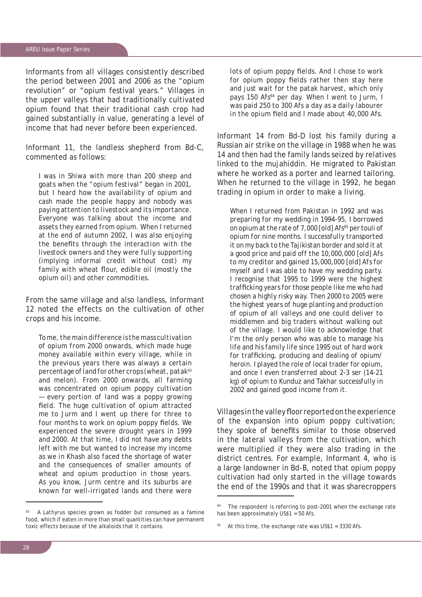Informants from all villages consistently described the period between 2001 and 2006 as the "opium revolution" or "opium festival years." Villages in the upper valleys that had traditionally cultivated opium found that their traditional cash crop had gained substantially in value, generating a level of income that had never before been experienced.

Informant 11, the landless shepherd from Bd-C, commented as follows:

*I was in Shiwa with more than 200 sheep and goats when the "opium festival" began in 2001, but I heard how the availability of opium and cash made the people happy and nobody was paying attention to livestock and its importance. Everyone was talking about the income and assets they earned from opium. When I returned at the end of autumn 2002, I was also enjoying*  the benefits through the interaction with the *livestock owners and they were fully supporting (implying informal credit without cost) my*  family with wheat flour, edible oil (mostly the *opium oil) and other commodities.* 

From the same village and also landless, Informant 12 noted the effects on the cultivation of other crops and his income.

*To me, the main difference is the mass cultivation of opium from 2000 onwards, which made huge money available within every village, while in the previous years there was always a certain percentage of land for other crops (wheat, patak63 and melon). From 2000 onwards, all farming was concentrated on opium poppy cultivation — every portion of land was a poppy growing fi eld. The huge cultivation of opium attracted me to Jurm and I went up there for three to*  four months to work on opium poppy fields. We *experienced the severe drought years in 1999 and 2000. At that time, I did not have any debts left with me but wanted to increase my income as we in Khash also faced the shortage of water and the consequences of smaller amounts of wheat and opium production in those years. As you know, Jurm centre and its suburbs are known for well-irrigated lands and there were* 

63 A *Lathyrus* species grown as fodder but consumed as a famine food, which if eaten in more than small quantities can have permanent toxic effects because of the alkaloids that it contains.

lots of opium poppy fields. And I chose to work for opium poppy fields rather then stay here *and just wait for the patak harvest, which only pays 150* Afs*64 per day. When I went to Jurm, I was paid 250 to 300* Afs *a day as a daily labourer in the opium field and I made about 40,000 Afs.* 

Informant 14 from Bd-D lost his family during a Russian air strike on the village in 1988 when he was 14 and then had the family lands seized by relatives linked to the mujahiddin. He migrated to Pakistan where he worked as a porter and learned tailoring. When he returned to the village in 1992, he began trading in opium in order to make a living.

*When I returned from Pakistan in 1992 and was preparing for my wedding in 1994-95, I borrowed on opium at the rate of 7,000 [old]* Afs*65 per* touli *of opium for nine months. I successfully transported it on my back to the Tajikistan border and sold it at a good price and paid off the 10,000,000 [old] Afs to my creditor and gained 15,000,000 [old] Afs for myself and I was able to have my wedding party. I recognise that 1995 to 1999 were the highest traffi cking years for those people like me who had chosen a highly risky way. Then 2000 to 2005 were the highest years of huge planting and production of opium of all valleys and one could deliver to middlemen and big traders without walking out of the village. I would like to acknowledge that I'm the only person who was able to manage his life and his family life since 1995 out of hard work*  for trafficking, producing and dealing of opium/ *heroin. I played the role of local trader for opium, and once I even transferred about 2-3* ser *(14-21 kg) of opium to Kunduz and Takhar successfully in 2002 and gained good income from it.*

Villages in the valley floor reported on the experience of the expansion into opium poppy cultivation; they spoke of benefits similar to those observed in the lateral valleys from the cultivation, which were multiplied if they were also trading in the district centres. For example, Informant 4, who is a large landowner in Bd-B, noted that opium poppy cultivation had only started in the village towards the end of the 1990s and that it was sharecroppers

The respondent is referring to post-2001 when the exchange rate has been approximately US\$1 = 50 Afs.

At this time, the exchange rate was  $US$1 = 3330$  Afs.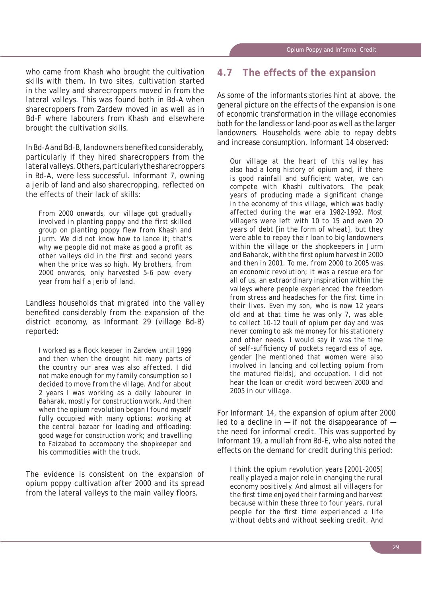who came from Khash who brought the cultivation skills with them. In two sites, cultivation started in the valley and sharecroppers moved in from the lateral valleys. This was found both in Bd-A when sharecroppers from Zardew moved in as well as in Bd-F where labourers from Khash and elsewhere brought the cultivation skills.

In Bd-A and Bd-B, landowners benefi ted considerably, particularly if they hired sharecroppers from the lateral valleys. Others, particularly the sharecroppers in Bd-A, were less successful. Informant 7, owning a *jerib* of land and also sharecropping, reflected on the effects of their lack of skills:

*From 2000 onwards, our village got gradually involved in planting poppy and the first skilled group on planting poppy flew from Khash and Jurm. We did not know how to lance it; that's*  why we people did not make as good a profit as other valleys did in the first and second years *when the price was so high. My brothers, from 2000 onwards, only harvested 5-6 paw every year from half a* jerib *of land.*

Landless households that migrated into the valley benefited considerably from the expansion of the district economy, as Informant 29 (village Bd-B) reported:

*I worked as a fl ock keeper in Zardew until 1999 and then when the drought hit many parts of the country our area was also affected. I did not make enough for my family consumption so I decided to move from the village. And for about 2 years I was working as a daily labourer in Baharak, mostly for construction work. And then when the opium revolution began I found myself fully occupied with many options: working at the central bazaar for loading and offloading; good wage for construction work; and travelling to Faizabad to accompany the shopkeeper and his commodities with the truck.*

The evidence is consistent on the expansion of opium poppy cultivation after 2000 and its spread from the lateral valleys to the main valley floors.

### **4.7 The effects of the expansion**

As some of the informants stories hint at above, the general picture on the effects of the expansion is one of economic transformation in the village economies both for the landless or land-poor as well as the larger landowners. Households were able to repay debts and increase consumption. Informant 14 observed:

*Our village at the heart of this valley has also had a long history of opium and, if there is good rainfall and sufficient water, we can compete with Khashi cultivators. The peak years of producing made a significant change in the economy of this village, which was badly affected during the war era 1982-1992. Most villagers were left with 10 to 15 and even 20 years of debt [in the form of wheat], but they were able to repay their loan to big landowners within the village or the shopkeepers in Jurm and Baharak, with the fi rst opium harvest in 2000 and then in 2001. To me, from 2000 to 2005 was an economic revolution; it was a rescue era for all of us, an extraordinary inspiration within the valleys where people experienced the freedom*  from stress and headaches for the first time in *their lives. Even my son, who is now 12 years old and at that time he was only 7, was able to collect 10-12* touli *of opium per day and was never coming to ask me money for his stationery and other needs. I would say it was the time*  of self-sufficiency of pockets regardless of age, *gender [he mentioned that women were also involved in lancing and collecting opium from*  the matured fields], and occupation. I did not *hear the loan or credit word between 2000 and 2005 in our village.*

For Informant 14, the expansion of opium after 2000 led to a decline in  $-$  if not the disappearance of  $$ the need for informal credit. This was supported by Informant 19, a *mullah* from Bd-E, who also noted the effects on the demand for credit during this period:

*I think the opium revolution years [2001-2005] really played a major role in changing the rural economy positively. And almost all villagers for the fi rst time enjoyed their farming and harvest because within these three to four years, rural people for the first time experienced a life without debts and without seeking credit. And*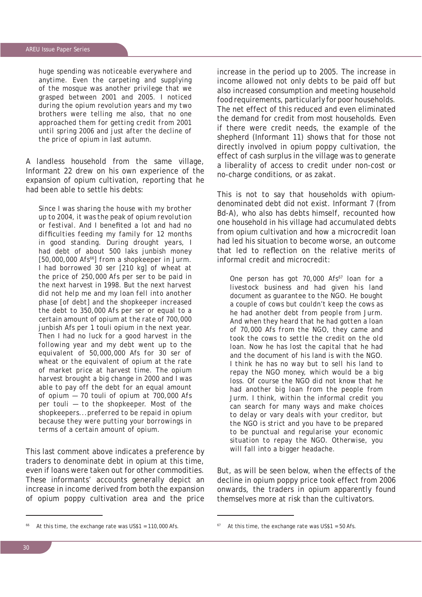*huge spending was noticeable everywhere and anytime. Even the carpeting and supplying of the mosque was another privilege that we grasped between 2001 and 2005. I noticed during the opium revolution years and my two brothers were telling me also, that no one approached them for getting credit from 2001 until spring 2006 and just after the decline of the price of opium in last autumn.*

A landless household from the same village, Informant 22 drew on his own experience of the expansion of opium cultivation, reporting that he had been able to settle his debts:

*Since I was sharing the house with my brother up to 2004, it was the peak of opium revolution or festival. And I benefi ted a lot and had no diffi culties feeding my family for 12 months in good standing. During drought years, I had debt of about 500* laks junbish *money [50,000,000* Afs*66] from a shopkeeper in Jurm. I had borrowed 30* ser *[210 kg] of wheat at the price of 250,000 Afs per* ser *to be paid in the next harvest in 1998. But the next harvest did not help me and my loan fell into another phase [of debt] and the shopkeeper increased the debt to 350,000 Afs per* ser *or equal to a certain amount of opium at the rate of 700,000*  junbish Afs *per 1* touli *opium in the next year. Then I had no luck for a good harvest in the following year and my debt went up to the equivalent of 50,000,000* Afs *for 30* ser *of wheat or the equivalent of opium at the rate of market price at harvest time. The opium harvest brought a big change in 2000 and I was able to pay off the debt for an equal amount of opium — 70* touli *of opium at 700,000 Afs per* touli *— to the shopkeeper. Most of the shopkeepers...preferred to be repaid in opium because they were putting your borrowings in terms of a certain amount of opium.*

This last comment above indicates a preference by traders to denominate debt in opium at this time, even if loans were taken out for other commodities. These informants' accounts generally depict an increase in income derived from both the expansion of opium poppy cultivation area and the price

increase in the period up to 2005. The increase in income allowed not only debts to be paid off but also increased consumption and meeting household food requirements, particularly for poor households. The net effect of this reduced and even eliminated the demand for credit from most households. Even if there were credit needs, the example of the shepherd (Informant 11) shows that for those not directly involved in opium poppy cultivation, the effect of cash surplus in the village was to generate a liberality of access to credit under non-cost or no-charge conditions, or as *zakat*.

This is not to say that households with opiumdenominated debt did not exist. Informant 7 (from Bd-A), who also has debts himself, recounted how one household in his village had accumulated debts from opium cultivation and how a microcredit loan had led his situation to become worse, an outcome that led to reflection on the relative merits of informal credit and microcredit:

*One person has got 70,000* Afs*67 loan for a livestock business and had given his land document as guarantee to the NGO. He bought a couple of cows but couldn't keep the cows as he had another debt from people from Jurm. And when they heard that he had gotten a loan of 70,000* Afs *from the NGO, they came and took the cows to settle the credit on the old loan. Now he has lost the capital that he had and the document of his land is with the NGO. I think he has no way but to sell his land to repay the NGO money, which would be a big loss. Of course the NGO did not know that he had another big loan from the people from Jurm. I think, within the informal credit you can search for many ways and make choices to delay or vary deals with your creditor, but the NGO is strict and you have to be prepared to be punctual and regularise your economic situation to repay the NGO. Otherwise, you will fall into a bigger headache.*

But, as will be seen below, when the effects of the decline in opium poppy price took effect from 2006 onwards, the traders in opium apparently found themselves more at risk than the cultivators.

At this time, the exchange rate was  $USS1 = 110,000$  Afs.

 $67$  At this time, the exchange rate was US\$1 = 50 Afs.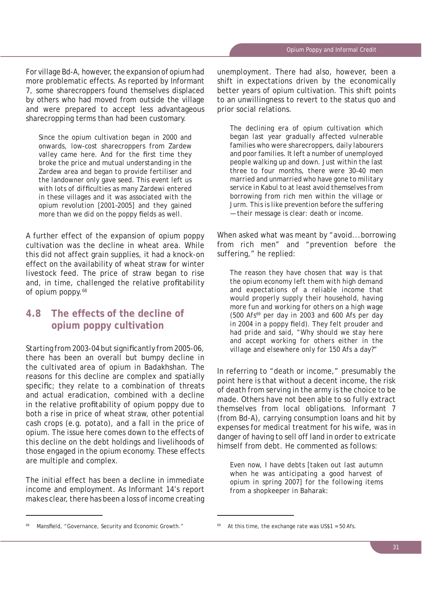For village Bd-A, however, the expansion of opium had more problematic effects. As reported by Informant 7, some sharecroppers found themselves displaced by others who had moved from outside the village and were prepared to accept less advantageous sharecropping terms than had been customary.

*Since the opium cultivation began in 2000 and onwards, low-cost sharecroppers from Zardew*  valley came here. And for the first time thev *broke the price and mutual understanding in the Zardew area and began to provide fertiliser and the landowner only gave seed. This event left us*  with lots of difficulties as many Zardewi entered *in these villages and it was associated with the opium revolution [2001–2005] and they gained*  more than we did on the poppy fields as well.

A further effect of the expansion of opium poppy cultivation was the decline in wheat area. While this did not affect grain supplies, it had a knock-on effect on the availability of wheat straw for winter livestock feed. The price of straw began to rise and, in time, challenged the relative profitability of opium poppy.<sup>68</sup>

# **4.8 The effects of the decline of opium poppy cultivation**

Starting from 2003-04 but significantly from 2005-06, there has been an overall but bumpy decline in the cultivated area of opium in Badakhshan. The reasons for this decline are complex and spatially specific; they relate to a combination of threats and actual eradication, combined with a decline in the relative profitability of opium poppy due to both a rise in price of wheat straw, other potential cash crops (e.g. potato), and a fall in the price of opium. The issue here comes down to the effects of this decline on the debt holdings and livelihoods of those engaged in the opium economy. These effects are multiple and complex.

The initial effect has been a decline in immediate income and employment. As Informant 14's report makes clear, there has been a loss of income creating unemployment. There had also, however, been a shift in expectations driven by the economically better years of opium cultivation. This shift points to an unwillingness to revert to the status quo and prior social relations.

*The declining era of opium cultivation which began last year gradually affected vulnerable families who were sharecroppers, daily labourers and poor families. It left a number of unemployed people walking up and down. Just within the last three to four months, there were 30-40 men married and unmarried who have gone to military service in Kabul to at least avoid themselves from borrowing from rich men within the village or Jurm. This is like prevention before the suffering — their message is clear: death or income.* 

When asked what was meant by "avoid...borrowing from rich men" and "prevention before the suffering," he replied:

*The reason they have chosen that way is that the opium economy left them with high demand and expectations of a reliable income that would properly supply their household, having more fun and working for others on a high wage (500* Afs*69 per day in 2003 and 600* Afs *per day*  in 2004 in a poppy field). They felt prouder and *had pride and said, "Why should we stay here and accept working for others either in the village and elsewhere only for 150* Afs *a day?"* 

In referring to "death or income," presumably the point here is that without a decent income, the risk of death from serving in the army is the choice to be made. Others have not been able to so fully extract themselves from local obligations. Informant 7 (from Bd-A), carrying consumption loans and hit by expenses for medical treatment for his wife, was in danger of having to sell off land in order to extricate himself from debt. He commented as follows:

*Even now, I have debts [taken out last autumn when he was anticipating a good harvest of opium in spring 2007] for the following items from a shopkeeper in Baharak:*

Mansfield, "Governance, Security and Economic Growth."

At this time, the exchange rate was US\$1 =  $50$  Afs.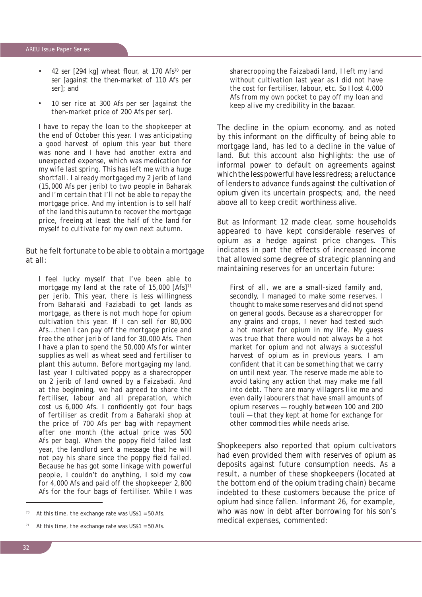- *42* ser [294 kg] wheat flour, at 170 Afs<sup>70</sup> per ser *[against the then-market of 110* Afs *per ser]; and*
- *10* ser *rice at 300* Afs *per* ser *[against the then-market price of 200* Afs *per* ser*].*

*I have to repay the loan to the shopkeeper at the end of October this year. I was anticipating a good harvest of opium this year but there was none and I have had another extra and unexpected expense, which was medication for my wife last spring. This has left me with a huge shortfall. I already mortgaged my 2* jerib *of land (15,000* Afs *per* jerib*) to two people in Baharak and I'm certain that I'll not be able to repay the mortgage price. And my intention is to sell half of the land this autumn to recover the mortgage price, freeing at least the half of the land for myself to cultivate for my own next autumn.*

But he felt fortunate to be able to obtain a mortgage at all:

*I feel lucky myself that I've been able to mortgage my land at the rate of 15,000 [*Afs*]71 per* jerib*. This year, there is less willingness from Baharaki and Faziabadi to get lands as mortgage, as there is not much hope for opium cultivation this year. If I can sell for 80,000*  Afs*...then I can pay off the mortgage price and free the other jerib of land for 30,000* Afs*. Then I have a plan to spend the 50,000* Afs *for winter supplies as well as wheat seed and fertiliser to plant this autumn. Before mortgaging my land, last year I cultivated poppy as a sharecropper on 2* jerib *of land owned by a Faizabadi. And at the beginning, we had agreed to share the fertiliser, labour and all preparation, which cost us 6,000 Afs. I confidently got four bags of fertiliser as credit from a Baharaki shop at the price of 700* Afs *per bag with repayment after one month (the actual price was 500*  Afs per bag). When the poppy field failed last *year, the landlord sent a message that he will*  not pay his share since the poppy field failed. *Because he has got some linkage with powerful people, I couldn't do anything, I sold my cow for 4,000* Afs *and paid off the shopkeeper 2,800*  Afs *for the four bags of fertiliser. While I was* 

*sharecropping the Faizabadi land, I left my land without cultivation last year as I did not have the cost for fertiliser, labour, etc. So I lost 4,000*  Afs *from my own pocket to pay off my loan and keep alive my credibility in the bazaar.*

The decline in the opium economy, and as noted by this informant on the difficulty of being able to mortgage land, has led to a decline in the value of land. But this account also highlights: the use of informal power to default on agreements against which the less powerful have less redress; a reluctance of lenders to advance funds against the cultivation of opium given its uncertain prospects; and, the need above all to keep credit worthiness alive.

But as Informant 12 made clear, some households appeared to have kept considerable reserves of opium as a hedge against price changes. This indicates in part the effects of increased income that allowed some degree of strategic planning and maintaining reserves for an uncertain future:

*First of all, we are a small-sized family and, secondly, I managed to make some reserves. I thought to make some reserves and did not spend on general goods. Because as a sharecropper for any grains and crops, I never had tested such a hot market for opium in my life. My guess was true that there would not always be a hot market for opium and not always a successful harvest of opium as in previous years. I am confi dent that it can be something that we carry on until next year. The reserve made me able to avoid taking any action that may make me fall into debt. There are many villagers like me and even daily labourers that have small amounts of opium reserves — roughly between 100 and 200*  touli *— that they kept at home for exchange for other commodities while needs arise.*

Shopkeepers also reported that opium cultivators had even provided them with reserves of opium as deposits against future consumption needs. As a result, a number of these shopkeepers (located at the bottom end of the opium trading chain) became indebted to these customers because the price of opium had since fallen. Informant 26, for example, who was now in debt after borrowing for his son's medical expenses, commented:

At this time, the exchange rate was  $US$1 = 50$  Afs.

At this time, the exchange rate was  $US$1 = 50$  Afs.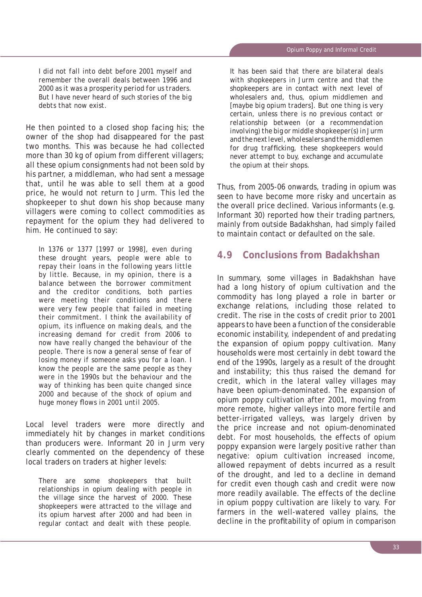*I did not fall into debt before 2001 myself and remember the overall deals between 1996 and 2000 as it was a prosperity period for us traders. But I have never heard of such stories of the big debts that now exist.*

He then pointed to a closed shop facing his; the owner of the shop had disappeared for the past two months. This was because he had collected more than 30 kg of opium from different villagers; all these opium consignments had not been sold by his partner, a middleman, who had sent a message that, until he was able to sell them at a good price, he would not return to Jurm. This led the shopkeeper to shut down his shop because many villagers were coming to collect commodities as repayment for the opium they had delivered to him. He continued to say:

*In 1376 or 1377 [1997 or 1998], even during these drought years, people were able to repay their loans in the following years little by little. Because, in my opinion, there is a balance between the borrower commitment and the creditor conditions, both parties were meeting their conditions and there were very few people that failed in meeting their commitment. I think the availability of opium, its infl uence on making deals, and the increasing demand for credit from 2006 to now have really changed the behaviour of the people. There is now a general sense of fear of losing money if someone asks you for a loan. I know the people are the same people as they were in the 1990s but the behaviour and the way of thinking has been quite changed since 2000 and because of the shock of opium and huge money flows in 2001 until 2005.* 

Local level traders were more directly and immediately hit by changes in market conditions than producers were. Informant 20 in Jurm very clearly commented on the dependency of these local traders on traders at higher levels:

*There are some shopkeepers that built relationships in opium dealing with people in the village since the harvest of 2000. These shopkeepers were attracted to the village and its opium harvest after 2000 and had been in regular contact and dealt with these people.* 

*It has been said that there are bilateral deals with shopkeepers in Jurm centre and that the shopkeepers are in contact with next level of wholesalers and, thus, opium middlemen and [maybe big opium traders]. But one thing is very certain, unless there is no previous contact or relationship between (or a recommendation involving) the big or middle shopkeeper(s) in Jurm and the next level, wholesalers and the middlemen*  for drug trafficking, these shopkeepers would *never attempt to buy, exchange and accumulate the opium at their shops.* 

Thus, from 2005-06 onwards, trading in opium was seen to have become more risky and uncertain as the overall price declined. Various informants (e.g. Informant 30) reported how their trading partners, mainly from outside Badakhshan, had simply failed to maintain contact or defaulted on the sale.

# **4.9 Conclusions from Badakhshan**

In summary, some villages in Badakhshan have had a long history of opium cultivation and the commodity has long played a role in barter or exchange relations, including those related to credit. The rise in the costs of credit prior to 2001 appears to have been a function of the considerable economic instability, independent of and predating the expansion of opium poppy cultivation. Many households were most certainly in debt toward the end of the 1990s, largely as a result of the drought and instability; this thus raised the demand for credit, which in the lateral valley villages may have been opium-denominated. The expansion of opium poppy cultivation after 2001, moving from more remote, higher valleys into more fertile and better-irrigated valleys, was largely driven by the price increase and not opium-denominated debt. For most households, the effects of opium poppy expansion were largely positive rather than negative: opium cultivation increased income, allowed repayment of debts incurred as a result of the drought, and led to a decline in demand for credit even though cash and credit were now more readily available. The effects of the decline in opium poppy cultivation are likely to vary. For farmers in the well-watered valley plains, the decline in the profitability of opium in comparison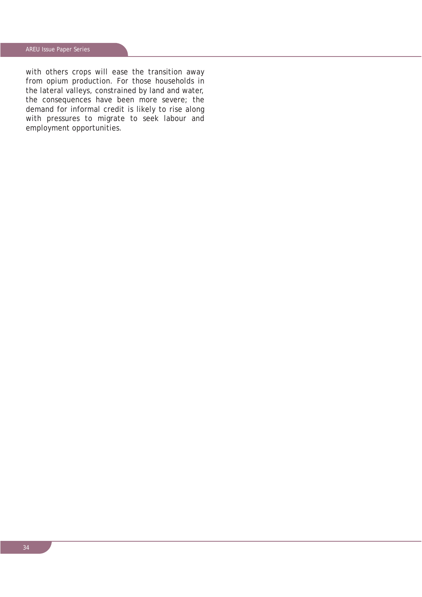with others crops will ease the transition away from opium production. For those households in the lateral valleys, constrained by land and water, the consequences have been more severe; the demand for informal credit is likely to rise along with pressures to migrate to seek labour and employment opportunities.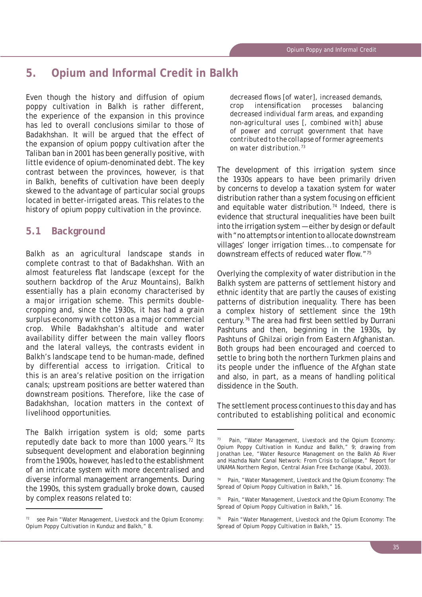# **5. Opium and Informal Credit in Balkh**

Even though the history and diffusion of opium poppy cultivation in Balkh is rather different, the experience of the expansion in this province has led to overall conclusions similar to those of Badakhshan. It will be argued that the effect of the expansion of opium poppy cultivation after the Taliban ban in 2001 has been generally positive, with little evidence of opium-denominated debt. The key contrast between the provinces, however, is that in Balkh, benefits of cultivation have been deeply skewed to the advantage of particular social groups located in better-irrigated areas. This relates to the history of opium poppy cultivation in the province.

# **5.1 Background**

Balkh as an agricultural landscape stands in complete contrast to that of Badakhshan. With an almost featureless flat landscape (except for the southern backdrop of the Aruz Mountains), Balkh essentially has a plain economy characterised by a major irrigation scheme. This permits doublecropping and, since the 1930s, it has had a grain surplus economy with cotton as a major commercial crop. While Badakhshan's altitude and water availability differ between the main valley floors and the lateral valleys, the contrasts evident in Balkh's landscape tend to be human-made, defined by differential access to irrigation. Critical to this is an area's relative position on the irrigation canals; upstream positions are better watered than downstream positions. Therefore, like the case of Badakhshan, location matters in the context of livelihood opportunities.

The Balkh irrigation system is old; some parts reputedly date back to more than 1000 years.72 Its subsequent development and elaboration beginning from the 1900s, however, has led to the establishment of an intricate system with more decentralised and diverse informal management arrangements. During the 1990s, this system gradually broke down, caused by complex reasons related to:

decreased flows [of water], increased demands, *crop intensification processes balancing decreased individual farm areas, and expanding non-agricultural uses [, combined with] abuse of power and corrupt government that have contributed to the collapse of former agreements on water distribution.73*

The development of this irrigation system since the 1930s appears to have been primarily driven by concerns to develop a taxation system for water distribution rather than a system focusing on efficient and equitable water distribution.<sup>74</sup> Indeed, there is evidence that structural inequalities have been built into the irrigation system — either by design or default with "no attempts or intention to allocate downstream villages' longer irrigation times...to compensate for downstream effects of reduced water flow."<sup>75</sup>

Overlying the complexity of water distribution in the Balkh system are patterns of settlement history and ethnic identity that are partly the causes of existing patterns of distribution inequality. There has been a complex history of settlement since the 19th century.<sup>76</sup> The area had first been settled by Durrani Pashtuns and then, beginning in the 1930s, by Pashtuns of Ghilzai origin from Eastern Afghanistan. Both groups had been encouraged and coerced to settle to bring both the northern Turkmen plains and its people under the influence of the Afghan state and also, in part, as a means of handling political dissidence in the South.

The settlement process continues to this day and has contributed to establishing political and economic

 $72$  see Pain "Water Management, Livestock and the Opium Economy: Opium Poppy Cultivation in Kunduz and Balkh," 8.

<sup>73</sup> Pain, "Water Management, Livestock and the Opium Economy: Opium Poppy Cultivation in Kunduz and Balkh," 9; drawing from Jonathan Lee, "Water Resource Management on the Balkh Ab River and Hazhda Nahr Canal Network: From Crisis to Collapse," Report for UNAMA Northern Region, Central Asian Free Exchange (Kabul, 2003).

Pain, "Water Management, Livestock and the Opium Economy: The Spread of Opium Poppy Cultivation in Balkh," 16.

<sup>&</sup>lt;sup>75</sup> Pain, "Water Management, Livestock and the Opium Economy: The Spread of Opium Poppy Cultivation in Balkh," 16.

<sup>76</sup> Pain "Water Management, Livestock and the Opium Economy: The Spread of Opium Poppy Cultivation in Balkh," 15.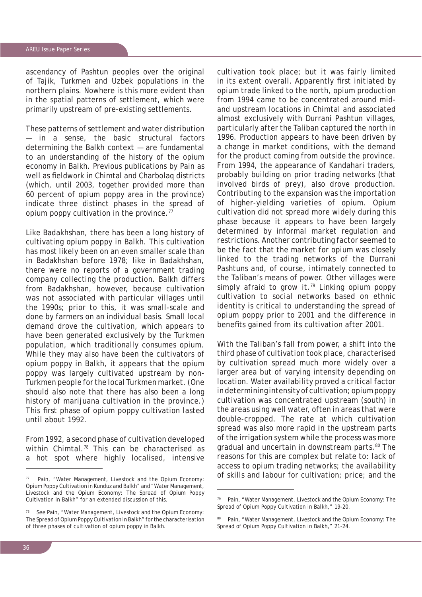ascendancy of Pashtun peoples over the original of Tajik, Turkmen and Uzbek populations in the northern plains. Nowhere is this more evident than in the spatial patterns of settlement, which were primarily upstream of pre-existing settlements.

These patterns of settlement and water distribution — in a sense, the basic structural factors determining the Balkh context — are fundamental to an understanding of the history of the opium economy in Balkh. Previous publications by Pain as well as fieldwork in Chimtal and Charbolag districts (which, until 2003, together provided more than 60 percent of opium poppy area in the province) indicate three distinct phases in the spread of opium poppy cultivation in the province.<sup>77</sup>

Like Badakhshan, there has been a long history of cultivating opium poppy in Balkh. This cultivation has most likely been on an even smaller scale than in Badakhshan before 1978; like in Badakhshan, there were no reports of a government trading company collecting the production. Balkh differs from Badakhshan, however, because cultivation was not associated with particular villages until the 1990s; prior to this, it was small-scale and done by farmers on an individual basis. Small local demand drove the cultivation, which appears to have been generated exclusively by the Turkmen population, which traditionally consumes opium. While they may also have been the cultivators of opium poppy in Balkh, it appears that the opium poppy was largely cultivated upstream by non-Turkmen people for the local Turkmen market. (One should also note that there has also been a long history of marijuana cultivation in the province.) This first phase of opium poppy cultivation lasted until about 1992.

From 1992, a second phase of cultivation developed within Chimtal.<sup>78</sup> This can be characterised as a hot spot where highly localised, intensive cultivation took place; but it was fairly limited in its extent overall. Apparently first initiated by opium trade linked to the north, opium production from 1994 came to be concentrated around midand upstream locations in Chimtal and associated almost exclusively with Durrani Pashtun villages, particularly after the Taliban captured the north in 1996. Production appears to have been driven by a change in market conditions, with the demand for the product coming from outside the province. From 1994, the appearance of Kandahari traders, probably building on prior trading networks (that involved birds of prey), also drove production. Contributing to the expansion was the importation of higher-yielding varieties of opium. Opium cultivation did not spread more widely during this phase because it appears to have been largely determined by informal market regulation and restrictions. Another contributing factor seemed to be the fact that the market for opium was closely linked to the trading networks of the Durrani Pashtuns and, of course, intimately connected to the Taliban's means of power. Other villages were simply afraid to grow it.<sup>79</sup> Linking opium poppy cultivation to social networks based on ethnic identity is critical to understanding the spread of opium poppy prior to 2001 and the difference in benefits gained from its cultivation after 2001.

With the Taliban's fall from power, a shift into the third phase of cultivation took place, characterised by cultivation spread much more widely over a larger area but of varying intensity depending on location. Water availability proved a critical factor in determining intensity of cultivation; opium poppy cultivation was concentrated upstream (south) in the areas using well water, often in areas that were double-cropped. The rate at which cultivation spread was also more rapid in the upstream parts of the irrigation system while the process was more gradual and uncertain in downstream parts.<sup>80</sup> The reasons for this are complex but relate to: lack of access to opium trading networks; the availability of skills and labour for cultivation; price; and the

<sup>77</sup> Pain, "Water Management, Livestock and the Opium Economy: Opium Poppy Cultivation in Kunduz and Balkh" and "Water Management, Livestock and the Opium Economy: The Spread of Opium Poppy Cultivation in Balkh" for an extended discussion of this.

See Pain, "Water Management, Livestock and the Opium Economy: The Spread of Opium Poppy Cultivation in Balkh" for the characterisation of three phases of cultivation of opium poppy in Balkh.

<sup>79</sup> Pain, "Water Management, Livestock and the Opium Economy: The Spread of Opium Poppy Cultivation in Balkh," 19-20.

<sup>80</sup> Pain, "Water Management, Livestock and the Opium Economy: The Spread of Opium Poppy Cultivation in Balkh," 21-24.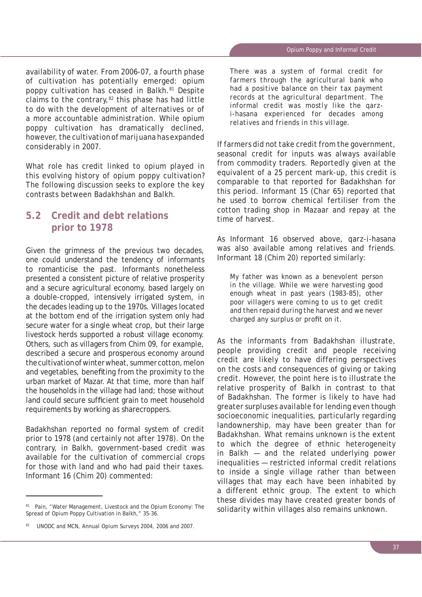availability of water. From 2006-07, a fourth phase of cultivation has potentially emerged: opium poppy cultivation has ceased in Balkh.81 Despite claims to the contrary, $82$  this phase has had little to do with the development of alternatives or of a more accountable administration. While opium poppy cultivation has dramatically declined, however, the cultivation of marijuana has expanded considerably in 2007.

What role has credit linked to opium played in this evolving history of opium poppy cultivation? The following discussion seeks to explore the key contrasts between Badakhshan and Balkh.

# **5.2 Credit and debt relations prior to 1978**

Given the grimness of the previous two decades, one could understand the tendency of informants to romanticise the past. Informants nonetheless presented a consistent picture of relative prosperity and a secure agricultural economy, based largely on a double-cropped, intensively irrigated system, in the decades leading up to the 1970s. Villages located at the bottom end of the irrigation system only had secure water for a single wheat crop, but their large livestock herds supported a robust village economy. Others, such as villagers from Chim 09, for example, described a secure and prosperous economy around the cultivation of winter wheat, summer cotton, melon and vegetables, benefiting from the proximity to the urban market of Mazar. At that time, more than half the households in the village had land; those without land could secure sufficient grain to meet household requirements by working as sharecroppers.

Badakhshan reported no formal system of credit prior to 1978 (and certainly not after 1978). On the contrary, in Balkh, government-based credit was available for the cultivation of commercial crops for those with land and who had paid their taxes. Informant 16 (Chim 20) commented:

*There was a system of formal credit for farmers through the agricultural bank who had a positive balance on their tax payment records at the agricultural department. The informal credit was mostly like the qarzi-hasana experienced for decades among relatives and friends in this village.* 

If farmers did not take credit from the government, seasonal credit for inputs was always available from commodity traders. Reportedly given at the equivalent of a 25 percent mark-up, this credit is comparable to that reported for Badakhshan for this period. Informant 15 (Char 65) reported that he used to borrow chemical fertiliser from the cotton trading shop in Mazaar and repay at the time of harvest.

As Informant 16 observed above, *qarz-i-hasana* was also available among relatives and friends. Informant 18 (Chim 20) reported similarly:

*My father was known as a benevolent person in the village. While we were harvesting good enough wheat in past years (1983-85), other poor villagers were coming to us to get credit and then repaid during the harvest and we never charged any surplus or profit on it.* 

As the informants from Badakhshan illustrate, people providing credit and people receiving credit are likely to have differing perspectives on the costs and consequences of giving or taking credit. However, the point here is to illustrate the relative prosperity of Balkh in contrast to that of Badakhshan. The former is likely to have had greater surpluses available for lending even though socioeconomic inequalities, particularly regarding landownership, may have been greater than for Badakhshan. What remains unknown is the extent to which the degree of ethnic heterogeneity in Balkh — and the related underlying power inequalities — restricted informal credit relations to inside a single village rather than between villages that may each have been inhabited by a different ethnic group. The extent to which these divides may have created greater bonds of solidarity within villages also remains unknown.

<sup>81</sup> Pain, "Water Management, Livestock and the Opium Economy: The Spread of Opium Poppy Cultivation in Balkh," 35-36.

<sup>82</sup> UNODC and MCN, *Annual Opium Surveys 2004, 2006 and 2007*.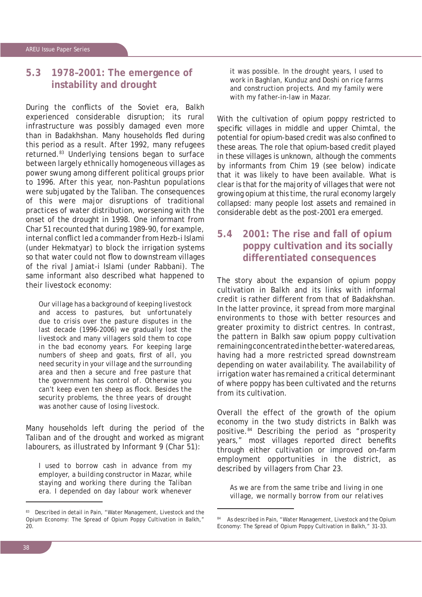# **5.3 1978–2001: The emergence of instability and drought**

During the conflicts of the Soviet era, Balkh experienced considerable disruption; its rural infrastructure was possibly damaged even more than in Badakhshan. Many households fled during this period as a result. After 1992, many refugees returned.83 Underlying tensions began to surface between largely ethnically homogeneous villages as power swung among different political groups prior to 1996. After this year, non-Pashtun populations were subjugated by the Taliban. The consequences of this were major disruptions of traditional practices of water distribution, worsening with the onset of the drought in 1998. One informant from Char 51 recounted that during 1989-90, for example, internal conflict led a commander from Hezb-i Islami (under Hekmatyar) to block the irrigation systems so that water could not flow to downstream villages of the rival Jamiat-i Islami (under Rabbani). The same informant also described what happened to their livestock economy:

*Our village has a background of keeping livestock and access to pastures, but unfortunately due to crisis over the pasture disputes in the last decade (1996-2006) we gradually lost the livestock and many villagers sold them to cope in the bad economy years. For keeping large*  numbers of sheep and goats, first of all, you *need security in your village and the surrounding area and then a secure and free pasture that the government has control of. Otherwise you can't keep even ten sheep as flock. Besides the security problems, the three years of drought was another cause of losing livestock.*

Many households left during the period of the Taliban and of the drought and worked as migrant labourers, as illustrated by Informant 9 (Char 51):

*I used to borrow cash in advance from my employer, a building constructor in Mazar, while staying and working there during the Taliban era. I depended on day labour work whenever*  *it was possible. In the drought years, I used to work in Baghlan, Kunduz and Doshi on rice farms and construction projects. And my family were with my father-in-law in Mazar.* 

With the cultivation of opium poppy restricted to specific villages in middle and upper Chimtal, the potential for opium-based credit was also confined to these areas. The role that opium-based credit played in these villages is unknown, although the comments by informants from Chim 19 (see below) indicate that it was likely to have been available. What is clear is that for the majority of villages that were not growing opium at this time, the rural economy largely collapsed: many people lost assets and remained in considerable debt as the post-2001 era emerged.

# **5.4 2001: The rise and fall of opium poppy cultivation and its socially differentiated consequences**

The story about the expansion of opium poppy cultivation in Balkh and its links with informal credit is rather different from that of Badakhshan. In the latter province, it spread from more marginal environments to those with better resources and greater proximity to district centres. In contrast, the pattern in Balkh saw opium poppy cultivation remaining concentrated in the better-watered areas, having had a more restricted spread downstream depending on water availability. The availability of irrigation water has remained a critical determinant of where poppy has been cultivated and the returns from its cultivation.

Overall the effect of the growth of the opium economy in the two study districts in Balkh was positive.84 Describing the period as "prosperity years," most villages reported direct benefits through either cultivation or improved on-farm employment opportunities in the district, as described by villagers from Char 23.

*As we are from the same tribe and living in one village, we normally borrow from our relatives* 

<sup>83</sup> Described in detail in Pain, "Water Management, Livestock and the Opium Economy: The Spread of Opium Poppy Cultivation in Balkh," 20.

As described in Pain, "Water Management, Livestock and the Opium Economy: The Spread of Opium Poppy Cultivation in Balkh," 31-33.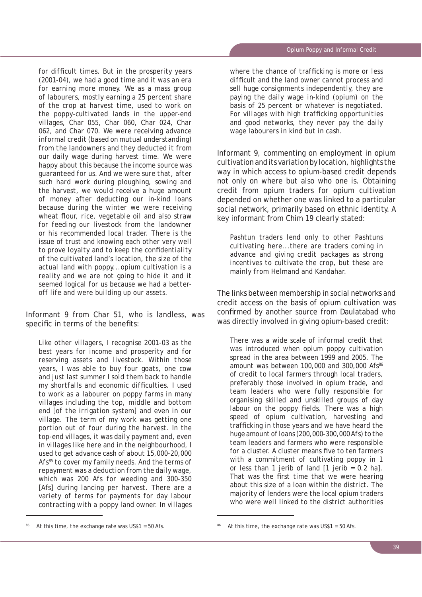for difficult times. But in the prosperity years *(2001-04), we had a good time and it was an era for earning more money. We as a mass group of labourers, mostly earning a 25 percent share of the crop at harvest time, used to work on the poppy-cultivated lands in the upper-end villages, Char 055, Char 060, Char 024, Char 062, and Char 070. We were receiving advance informal credit (based on mutual understanding) from the landowners and they deducted it from our daily wage during harvest time. We were happy about this because the income source was guaranteed for us. And we were sure that, after such hard work during ploughing, sowing and the harvest, we would receive a huge amount of money after deducting our in-kind loans because during the winter we were receiving*  wheat flour, rice, vegetable oil and also straw *for feeding our livestock from the landowner or his recommended local trader. There is the issue of trust and knowing each other very well*  to prove loyalty and to keep the confidentiality *of the cultivated land's location, the size of the actual land with poppy...opium cultivation is a reality and we are not going to hide it and it seemed logical for us because we had a betteroff life and were building up our assets.*

Informant 9 from Char 51, who is landless, was specific in terms of the benefits:

*Like other villagers, I recognise 2001-03 as the best years for income and prosperity and for reserving assets and livestock. Within those years, I was able to buy four goats, one cow and just last summer I sold them back to handle my shortfalls and economic difficulties. I used to work as a labourer on poppy farms in many villages including the top, middle and bottom end [of the irrigation system] and even in our village. The term of my work was getting one portion out of four during the harvest. In the top-end villages, it was daily payment and, even in villages like here and in the neighbourhood, I used to get advance cash of about 15,000-20,000 Afs85 to cover my family needs. And the terms of repayment was a deduction from the daily wage, which was 200* Afs *for weeding and 300-350*  [Afs] *during lancing per harvest. There are a variety of terms for payments for day labour contracting with a poppy land owner. In villages* 

where the chance of trafficking is more or less *diffi cult and the land owner cannot process and sell huge consignments independently, they are paying the daily wage in-kind (opium) on the basis of 25 percent or whatever is negotiated.*  For villages with high trafficking opportunities *and good networks, they never pay the daily wage labourers in kind but in cash.*

Informant 9, commenting on employment in opium cultivation and its variation by location, highlights the way in which access to opium-based credit depends not only on where but also who one is. Obtaining credit from opium traders for opium cultivation depended on whether one was linked to a particular social network, primarily based on ethnic identity. A key informant from Chim 19 clearly stated:

*Pashtun traders lend only to other Pashtuns cultivating here...there are traders coming in advance and giving credit packages as strong incentives to cultivate the crop, but these are mainly from Helmand and Kandahar.*

The links between membership in social networks and credit access on the basis of opium cultivation was confirmed by another source from Daulatabad who was directly involved in giving opium-based credit:

*There was a wide scale of informal credit that was introduced when opium poppy cultivation spread in the area between 1999 and 2005. The amount was between 100,000 and 300,000* Afs*<sup>86</sup> of credit to local farmers through local traders, preferably those involved in opium trade, and team leaders who were fully responsible for organising skilled and unskilled groups of day*  labour on the poppy fields. There was a high *speed of opium cultivation, harvesting and traffi cking in those years and we have heard the huge amount of loans (200,000-300,000 Afs) to the team leaders and farmers who were responsible*  for a cluster. A cluster means five to ten farmers *with a commitment of cultivating poppy in 1 or less than 1* jerib *of land [1* jerib *= 0.2 ha].*  That was the first time that we were hearing *about this size of a loan within the district. The majority of lenders were the local opium traders who were well linked to the district authorities* 

At this time, the exchange rate was  $US$1 = 50$  Afs.

At this time, the exchange rate was  $US$1 = 50$  Afs.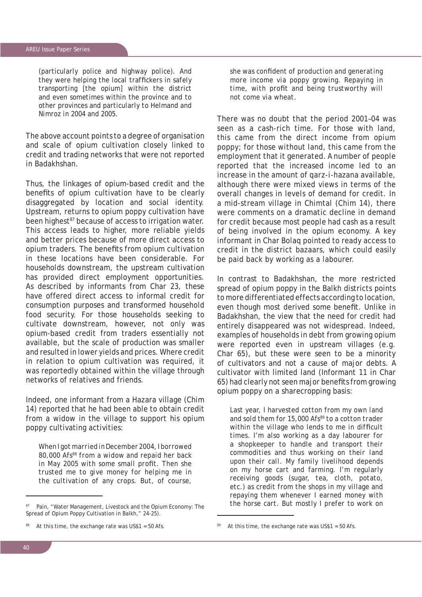*(particularly police and highway police). And*  they were helping the local traffickers in safely *transporting [the opium] within the district and even sometimes within the province and to other provinces and particularly to Helmand and Nimroz in 2004 and 2005.* 

The above account points to a degree of organisation and scale of opium cultivation closely linked to credit and trading networks that were not reported in Badakhshan.

Thus, the linkages of opium-based credit and the benefits of opium cultivation have to be clearly disaggregated by location and social identity. Upstream, returns to opium poppy cultivation have been highest<sup>87</sup> because of access to irrigation water. This access leads to higher, more reliable yields and better prices because of more direct access to opium traders. The benefits from opium cultivation in these locations have been considerable. For households downstream, the upstream cultivation has provided direct employment opportunities. As described by informants from Char 23, these have offered direct access to informal credit for consumption purposes and transformed household food security. For those households seeking to cultivate downstream, however, not only was opium-based credit from traders essentially not available, but the scale of production was smaller and resulted in lower yields and prices. Where credit in relation to opium cultivation was required, it was reportedly obtained within the village through networks of relatives and friends.

Indeed, one informant from a Hazara village (Chim 14) reported that he had been able to obtain credit from a widow in the village to support his opium poppy cultivating activities:

*When I got married in December 2004, I borrowed 80,000* Afs*88 from a widow and repaid her back*  in May 2005 with some small profit. Then she *trusted me to give money for helping me in the cultivation of any crops. But, of course,* 

*she was confident of production and generating more income via poppy growing. Repaying in*  time, with profit and being trustworthy will *not come via wheat.*

There was no doubt that the period 2001–04 was seen as a cash-rich time. For those with land, this came from the direct income from opium poppy; for those without land, this came from the employment that it generated. A number of people reported that the increased income led to an increase in the amount of *qarz-i-hazana* available, although there were mixed views in terms of the overall changes in levels of demand for credit. In a mid-stream village in Chimtal (Chim 14), there were comments on a dramatic decline in demand for credit because most people had cash as a result of being involved in the opium economy. A key informant in Char Bolaq pointed to ready access to credit in the district bazaars, which could easily be paid back by working as a labourer.

In contrast to Badakhshan, the more restricted spread of opium poppy in the Balkh districts points to more differentiated effects according to location, even though most derived some benefit. Unlike in Badakhshan, the view that the need for credit had entirely disappeared was not widespread. Indeed, examples of households in debt from growing opium were reported even in upstream villages (e.g. Char 65), but these were seen to be a minority of cultivators and not a cause of major debts. A cultivator with limited land (Informant 11 in Char 65) had clearly not seen major benefits from growing opium poppy on a sharecropping basis:

*Last year, I harvested cotton from my own land and sold them for 15,000* Afs*89 to a cotton trader*  within the village who lends to me in difficult *times. I'm also working as a day labourer for a shopkeeper to handle and transport their commodities and thus working on their land upon their call. My family livelihood depends on my horse cart and farming. I'm regularly receiving goods (sugar, tea, cloth, potato, etc.) as credit from the shops in my village and repaying them whenever I earned money with the horse cart. But mostly I prefer to work on* 

Pain, "Water Management, Livestock and the Opium Economy: The Spread of Opium Poppy Cultivation in Balkh," 24-25).

At this time, the exchange rate was  $US$1 = 50$  Afs.

At this time, the exchange rate was  $US$1 = 50$  Afs.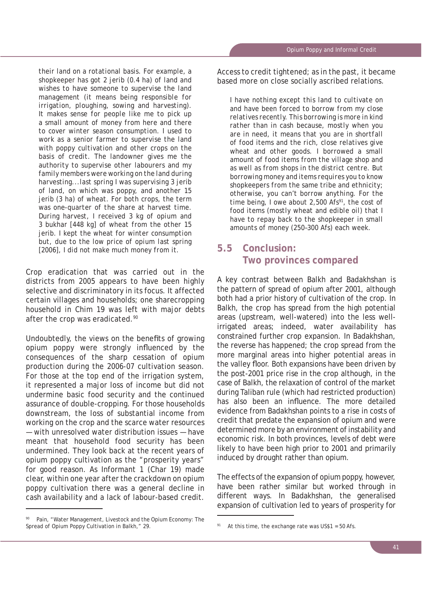*their land on a rotational basis. For example, a shopkeeper has got 2* jerib *(0.4 ha) of land and wishes to have someone to supervise the land management (it means being responsible for irrigation, ploughing, sowing and harvesting). It makes sense for people like me to pick up a small amount of money from here and there to cover winter season consumption. I used to work as a senior farmer to supervise the land with poppy cultivation and other crops on the basis of credit. The landowner gives me the authority to supervise other labourers and my family members were working on the land during harvesting...last spring I was supervising 3* jerib *of land, on which was poppy, and another 15*  jerib *(3 ha) of wheat. For both crops, the term was one-quarter of the share at harvest time. During harvest, I received 3 kg of opium and 3* bukhar *[448 kg] of wheat from the other 15*  jerib*. I kept the wheat for winter consumption but, due to the low price of opium last spring [2006], I did not make much money from it.*

Crop eradication that was carried out in the districts from 2005 appears to have been highly selective and discriminatory in its focus. It affected certain villages and households; one sharecropping household in Chim 19 was left with major debts after the crop was eradicated.<sup>90</sup>

Undoubtedly, the views on the benefits of growing opium poppy were strongly influenced by the consequences of the sharp cessation of opium production during the 2006-07 cultivation season. For those at the top end of the irrigation system, it represented a major loss of income but did not undermine basic food security and the continued assurance of double-cropping. For those households downstream, the loss of substantial income from working on the crop and the scarce water resources — with unresolved water distribution issues — have meant that household food security has been undermined. They look back at the recent years of opium poppy cultivation as the "prosperity years" for good reason. As Informant 1 (Char 19) made clear, within one year after the crackdown on opium poppy cultivation there was a general decline in cash availability and a lack of labour-based credit.

Pain, "Water Management, Livestock and the Opium Economy: The Spread of Opium Poppy Cultivation in Balkh," 29.

Access to credit tightened; as in the past, it became based more on close socially ascribed relations.

*I have nothing except this land to cultivate on and have been forced to borrow from my close relatives recently. This borrowing is more in kind rather than in cash because, mostly when you are in need, it means that you are in shortfall of food items and the rich, close relatives give wheat and other goods. I borrowed a small amount of food items from the village shop and as well as from shops in the district centre. But borrowing money and items requires you to know shopkeepers from the same tribe and ethnicity; otherwise, you can't borrow anything. For the time being, I owe about 2,500* Afs*91, the cost of food items (mostly wheat and edible oil) that I have to repay back to the shopkeeper in small amounts of money (250–300* Afs*) each week.*

# **5.5 Conclusion: Two provinces compared**

A key contrast between Balkh and Badakhshan is the pattern of spread of opium after 2001, although both had a prior history of cultivation of the crop. In Balkh, the crop has spread from the high potential areas (upstream, well-watered) into the less wellirrigated areas; indeed, water availability has constrained further crop expansion. In Badakhshan, the reverse has happened; the crop spread from the more marginal areas into higher potential areas in the valley floor. Both expansions have been driven by the post-2001 price rise in the crop although, in the case of Balkh, the relaxation of control of the market during Taliban rule (which had restricted production) has also been an influence. The more detailed evidence from Badakhshan points to a rise in costs of credit that predate the expansion of opium and were determined more by an environment of instability and economic risk. In both provinces, levels of debt were likely to have been high prior to 2001 and primarily induced by drought rather than opium.

The effects of the expansion of opium poppy, however, have been rather similar but worked through in different ways. In Badakhshan, the generalised expansion of cultivation led to years of prosperity for

At this time, the exchange rate was US\$1 =  $50$  Afs.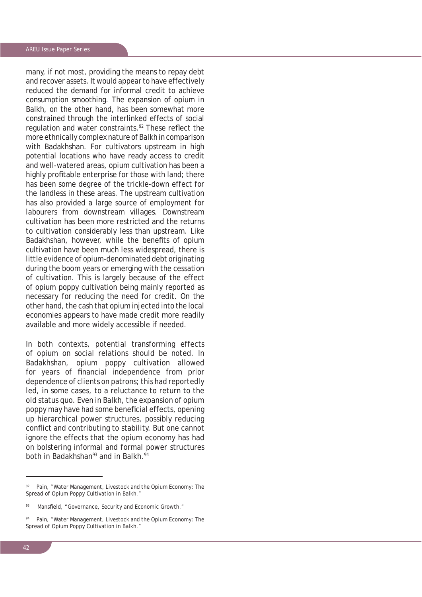many, if not most, providing the means to repay debt and recover assets. It would appear to have effectively reduced the demand for informal credit to achieve consumption smoothing. The expansion of opium in Balkh, on the other hand, has been somewhat more constrained through the interlinked effects of social regulation and water constraints.<sup>92</sup> These reflect the more ethnically complex nature of Balkh in comparison with Badakhshan. For cultivators upstream in high potential locations who have ready access to credit and well-watered areas, opium cultivation has been a highly profitable enterprise for those with land; there has been some degree of the trickle-down effect for the landless in these areas. The upstream cultivation has also provided a large source of employment for labourers from downstream villages. Downstream cultivation has been more restricted and the returns to cultivation considerably less than upstream. Like Badakhshan, however, while the benefits of opium cultivation have been much less widespread, there is little evidence of opium-denominated debt originating during the boom years or emerging with the cessation of cultivation. This is largely because of the effect of opium poppy cultivation being mainly reported as necessary for reducing the need for credit. On the other hand, the cash that opium injected into the local economies appears to have made credit more readily available and more widely accessible if needed.

In both contexts, potential transforming effects of opium on social relations should be noted. In Badakhshan, opium poppy cultivation allowed for years of financial independence from prior dependence of clients on patrons; this had reportedly led, in some cases, to a reluctance to return to the old status quo. Even in Balkh, the expansion of opium poppy may have had some beneficial effects, opening up hierarchical power structures, possibly reducing conflict and contributing to stability. But one cannot ignore the effects that the opium economy has had on bolstering informal and formal power structures both in Badakhshan<sup>93</sup> and in Balkh.<sup>94</sup>

<sup>92</sup> Pain, "Water Management, Livestock and the Opium Economy: The Spread of Opium Poppy Cultivation in Balkh."

<sup>93</sup> Mansfield, "Governance, Security and Economic Growth."

<sup>94</sup> Pain, "Water Management, Livestock and the Opium Economy: The Spread of Opium Poppy Cultivation in Balkh."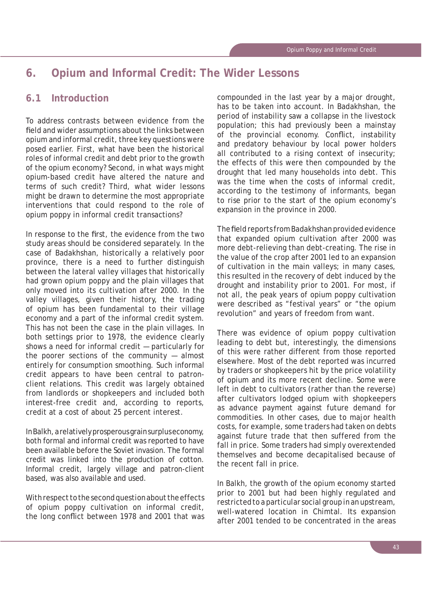# **6. Opium and Informal Credit: The Wider Lessons**

# **6.1 Introduction**

To address contrasts between evidence from the field and wider assumptions about the links between opium and informal credit, three key questions were posed earlier. First, what have been the historical roles of informal credit and debt prior to the growth of the opium economy? Second, in what ways might opium-based credit have altered the nature and terms of such credit? Third, what wider lessons might be drawn to determine the most appropriate interventions that could respond to the role of opium poppy in informal credit transactions?

In response to the first, the evidence from the two study areas should be considered separately. In the case of Badakhshan, historically a relatively poor province, there is a need to further distinguish between the lateral valley villages that historically had grown opium poppy and the plain villages that only moved into its cultivation after 2000. In the valley villages, given their history, the trading of opium has been fundamental to their village economy and a part of the informal credit system. This has not been the case in the plain villages. In both settings prior to 1978, the evidence clearly shows a need for informal credit — particularly for the poorer sections of the community — almost entirely for consumption smoothing. Such informal credit appears to have been central to patronclient relations. This credit was largely obtained from landlords or shopkeepers and included both interest-free credit and, according to reports, credit at a cost of about 25 percent interest.

In Balkh, a relatively prosperous grain surplus economy, both formal and informal credit was reported to have been available before the Soviet invasion. The formal credit was linked into the production of cotton. Informal credit, largely village and patron-client based, was also available and used.

With respect to the second question about the effects of opium poppy cultivation on informal credit, the long conflict between 1978 and 2001 that was compounded in the last year by a major drought, has to be taken into account. In Badakhshan, the period of instability saw a collapse in the livestock population; this had previously been a mainstay of the provincial economy. Conflict, instability and predatory behaviour by local power holders all contributed to a rising context of insecurity; the effects of this were then compounded by the drought that led many households into debt. This was the time when the costs of informal credit, according to the testimony of informants, began to rise prior to the start of the opium economy's expansion in the province in 2000.

The field reports from Badakhshan provided evidence that expanded opium cultivation after 2000 was more debt-relieving than debt-creating. The rise in the value of the crop after 2001 led to an expansion of cultivation in the main valleys; in many cases, this resulted in the recovery of debt induced by the drought and instability prior to 2001. For most, if not all, the peak years of opium poppy cultivation were described as "festival years" or "the opium revolution" and years of freedom from want.

There was evidence of opium poppy cultivation leading to debt but, interestingly, the dimensions of this were rather different from those reported elsewhere. Most of the debt reported was incurred by traders or shopkeepers hit by the price volatility of opium and its more recent decline. Some were left in debt to cultivators (rather than the reverse) after cultivators lodged opium with shopkeepers as advance payment against future demand for commodities. In other cases, due to major health costs, for example, some traders had taken on debts against future trade that then suffered from the fall in price. Some traders had simply overextended themselves and become decapitalised because of the recent fall in price.

In Balkh, the growth of the opium economy started prior to 2001 but had been highly regulated and restricted to a particular social group in an upstream, well-watered location in Chimtal. Its expansion after 2001 tended to be concentrated in the areas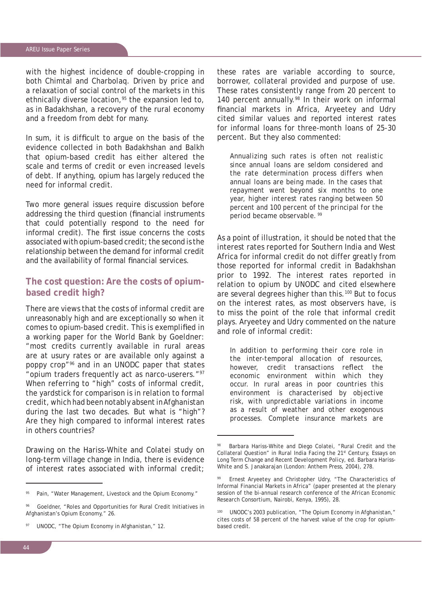with the highest incidence of double-cropping in both Chimtal and Charbolaq. Driven by price and a relaxation of social control of the markets in this ethnically diverse location,<sup>95</sup> the expansion led to, as in Badakhshan, a recovery of the rural economy and a freedom from debt for many.

In sum, it is difficult to argue on the basis of the evidence collected in both Badakhshan and Balkh that opium-based credit has either altered the scale and terms of credit or even increased levels of debt. If anything, opium has largely reduced the need for informal credit.

Two more general issues require discussion before addressing the third question (financial instruments that could potentially respond to the need for informal credit). The first issue concerns the costs associated with opium-based credit; the second is the relationship between the demand for informal credit and the availability of formal financial services.

#### **The cost question: Are the costs of opiumbased credit high?**

There are views that the costs of informal credit are unreasonably high and are exceptionally so when it comes to opium-based credit. This is exemplified in a working paper for the World Bank by Goeldner: "most credits currently available in rural areas are at usury rates or are available only against a poppy crop"96 and in an UNODC paper that states "opium traders frequently act as narco-userers."97 When referring to "high" costs of informal credit, the yardstick for comparison is in relation to formal credit, which had been notably absent in Afghanistan during the last two decades. But what is "high"? Are they high compared to informal interest rates in others countries?

Drawing on the Hariss-White and Colatei study on long-term village change in India, there is evidence of interest rates associated with informal credit;

these rates are variable according to source, borrower, collateral provided and purpose of use. These rates consistently range from 20 percent to 140 percent annually.<sup>98</sup> In their work on informal financial markets in Africa, Aryeetey and Udry cited similar values and reported interest rates for informal loans for three-month loans of 25-30 percent. But they also commented:

*Annualizing such rates is often not realistic since annual loans are seldom considered and the rate determination process differs when annual loans are being made. In the cases that repayment went beyond six months to one year, higher interest rates ranging between 50 percent and 100 percent of the principal for the period became observable. 99* 

As a point of illustration, it should be noted that the interest rates reported for Southern India and West Africa for informal credit do not differ greatly from those reported for informal credit in Badakhshan prior to 1992. The interest rates reported in relation to opium by UNODC and cited elsewhere are several degrees higher than this.100 But to focus on the interest rates, as most observers have, is to miss the point of the role that informal credit plays. Aryeetey and Udry commented on the nature and role of informal credit:

*In addition to performing their core role in the inter-temporal allocation of resources, however, credit transactions reflect the economic environment within which they occur. In rural areas in poor countries this environment is characterised by objective risk, with unpredictable variations in income as a result of weather and other exogenous processes. Complete insurance markets are* 

Pain, "Water Management, Livestock and the Opium Economy."

Goeldner, "Roles and Opportunities for Rural Credit Initiatives in Afghanistan's Opium Economy," 26.

UNODC, "The Opium Economy in Afghanistan," 12.

Barbara Hariss-White and Diego Colatei, "Rural Credit and the Collateral Question" in *Rural India Facing the 21st Century, Essays on Long Term Change and Recent Development Policy*, ed. Barbara Hariss-White and S. Janakarajan (London: Anthem Press, 2004), 278.

Ernest Aryeetey and Christopher Udry, "The Characteristics of Informal Financial Markets in Africa" (paper presented at the plenary session of the bi-annual research conference of the African Economic Research Consortium, Nairobi, Kenya, 1995), 28.

UNODC's 2003 publication, "The Opium Economy in Afghanistan," cites costs of 58 percent of the harvest value of the crop for opiumbased credit.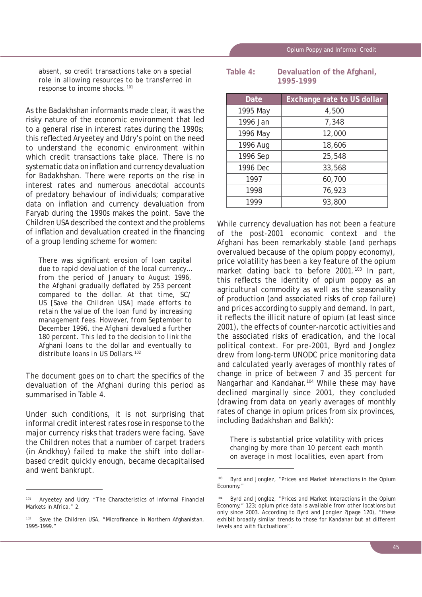*absent, so credit transactions take on a special role in allowing resources to be transferred in response to income shocks. <sup>101</sup>*

As the Badakhshan informants made clear, it was the risky nature of the economic environment that led to a general rise in interest rates during the 1990s; this reflected Aryeetey and Udry's point on the need to understand the economic environment within which credit transactions take place. There is no systematic data on inflation and currency devaluation for Badakhshan. There were reports on the rise in interest rates and numerous anecdotal accounts of predatory behaviour of individuals; comparative data on inflation and currency devaluation from Faryab during the 1990s makes the point. Save the Children USA described the context and the problems of inflation and devaluation created in the financing of a group lending scheme for women:

There was significant erosion of loan capital *due to rapid devaluation of the local currency… from the period of January to August 1996, the Afghani gradually deflated by 253 percent compared to the dollar. At that time, SC/ US [Save the Children USA] made efforts to retain the value of the loan fund by increasing management fees. However, from September to December 1996, the Afghani devalued a further 180 percent. This led to the decision to link the*  Afghani *loans to the dollar and eventually to distribute loans in US Dollars.102*

The document goes on to chart the specifics of the devaluation of the Afghani during this period as summarised in Table 4.

Under such conditions, it is not surprising that informal credit interest rates rose in response to the major currency risks that traders were facing. Save the Children notes that a number of carpet traders (in Andkhoy) failed to make the shift into dollarbased credit quickly enough, became decapitalised and went bankrupt.

| Table $4:$ |           | Devaluation of the Afghani, |
|------------|-----------|-----------------------------|
|            | 1995-1999 |                             |

| <b>Date</b> | <b>Exchange rate to US dollar</b> |
|-------------|-----------------------------------|
| 1995 May    | 4,500                             |
| 1996 Jan    | 7,348                             |
| 1996 May    | 12,000                            |
| 1996 Aug    | 18,606                            |
| 1996 Sep    | 25,548                            |
| 1996 Dec    | 33,568                            |
| 1997        | 60,700                            |
| 1998        | 76,923                            |
| 1999        | 93,800                            |

While currency devaluation has not been a feature of the post-2001 economic context and the Afghani has been remarkably stable (and perhaps overvalued because of the opium poppy economy), price volatility has been a key feature of the opium market dating back to before 2001.<sup>103</sup> In part, this reflects the identity of opium poppy as an agricultural commodity as well as the seasonality of production (and associated risks of crop failure) and prices according to supply and demand. In part, it reflects the illicit nature of opium (at least since 2001), the effects of counter-narcotic activities and the associated risks of eradication, and the local political context. For pre-2001, Byrd and Jonglez drew from long-term UNODC price monitoring data and calculated yearly averages of monthly rates of change in price of between 7 and 35 percent for Nangarhar and Kandahar.<sup>104</sup> While these may have declined marginally since 2001, they concluded (drawing from data on yearly averages of monthly rates of change in opium prices from six provinces, including Badakhshan and Balkh):

*There is substantial price volatility with prices changing by more than 10 percent each month on average in most localities, even apart from* 

<sup>101</sup> Aryeetey and Udry, "The Characteristics of Informal Financial Markets in Africa," 2.

 $102$  Save the Children USA, "Microfinance in Northern Afghanistan, 1995-1999."

<sup>103</sup> Byrd and Jonglez, "Prices and Market Interactions in the Opium Economy."

<sup>104</sup> Byrd and Jonglez, "Prices and Market Interactions in the Opium Economy," 123; opium price data is available from other locations but only since 2003. According to Byrd and Jonglez ?(page 120), "these exhibit broadly similar trends to those for Kandahar but at different levels and with fluctuations".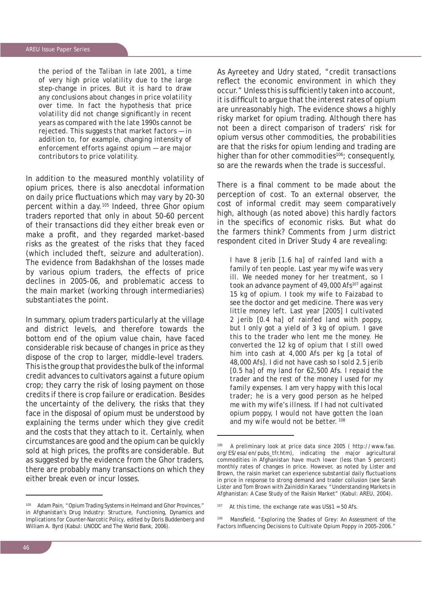#### AREU Issue Paper Series

*the period of the Taliban in late 2001, a time of very high price volatility due to the large step-change in prices. But it is hard to draw any conclusions about changes in price volatility over time. In fact the hypothesis that price volatility did not change significantly in recent years as compared with the late 1990s cannot be rejected. This suggests that market factors — in addition to, for example, changing intensity of enforcement efforts against opium — are major contributors to price volatility.*

In addition to the measured monthly volatility of opium prices, there is also anecdotal information on daily price fluctuations which may vary by 20-30 percent within a day.105 Indeed, three Ghor opium traders reported that only in about 50–60 percent of their transactions did they either break even or make a profit, and they regarded market-based risks as the greatest of the risks that they faced (which included theft, seizure and adulteration). The evidence from Badakhshan of the losses made by various opium traders, the effects of price declines in 2005-06, and problematic access to the main market (working through intermediaries) substantiates the point.

In summary, opium traders particularly at the village and district levels, and therefore towards the bottom end of the opium value chain, have faced considerable risk because of changes in price as they dispose of the crop to larger, middle-level traders. This is the group that provides the bulk of the informal credit advances to cultivators against a future opium crop; they carry the risk of losing payment on those credits if there is crop failure or eradication. Besides the uncertainty of the delivery, the risks that they face in the disposal of opium must be understood by explaining the terms under which they give credit and the costs that they attach to it. Certainly, when circumstances are good and the opium can be quickly sold at high prices, the profits are considerable. But as suggested by the evidence from the Ghor traders, there are probably many transactions on which they either break even or incur losses.

105 Adam Pain, "Opium Trading Systems in Helmand and Ghor Provinces," in *Afghanistan's Drug Industry: Structure, Functioning, Dynamics and Implications for Counter-Narcotic Policy*, edited by Doris Buddenberg and William A. Byrd (Kabul: UNODC and The World Bank, 2006).

As Ayreetey and Udry stated, "credit transactions reflect the economic environment in which they occur." Unless this is sufficiently taken into account, it is difficult to argue that the interest rates of opium are unreasonably high. The evidence shows a highly risky market for opium trading. Although there has not been a direct comparison of traders' risk for opium versus other commodities, the probabilities are that the risks for opium lending and trading are higher than for other commodities<sup>106</sup>; consequently, so are the rewards when the trade is successful.

There is a final comment to be made about the perception of cost. To an external observer, the cost of informal credit may seem comparatively high, although (as noted above) this hardly factors in the specifics of economic risks. But what do the farmers think? Comments from Jurm district respondent cited in Driver Study 4 are revealing:

*I have 8* jerib *[1.6 ha] of rainfed land with a family of ten people. Last year my wife was very ill. We needed money for her treatment, so I took an advance payment of 49,000* Afs*107 against 15 kg of opium. I took my wife to Faizabad to see the doctor and get medicine. There was very little money left. Last year [2005] I cultivated 2* jerib *[0.4 ha] of rainfed land with poppy, but I only got a yield of 3 kg of opium. I gave this to the trader who lent me the money. He converted the 12 kg of opium that I still owed him into cash at 4,000* Afs *per kg [a total of 48,000* Afs*]. I did not have cash so I sold 2.5* jerib *[0.5 ha] of my land for 62,500* Afs*. I repaid the trader and the rest of the money I used for my family expenses. I am very happy with this local trader; he is a very good person as he helped me with my wife's illness. If I had not cultivated opium poppy, I would not have gotten the loan and my wife would not be better. <sup>108</sup>*

 $107$  At this time, the exchange rate was US\$1 = 50 Afs.

108 Mansfield, "Exploring the Shades of Grey: An Assessment of the Factors Influencing Decisions to Cultivate Opium Poppy in 2005-2006."

A preliminary look at price data since 2005 ( http://www.fao. org/ES/esa/en/pubs\_tfr.htm), indicating the major agricultural commodities in Afghanistan have much lower (less than 5 percent) monthly rates of changes in price. However, as noted by Lister and Brown, the raisin market can experience substantial daily fluctuations in price in response to strong demand and trader collusion (see Sarah Lister and Tom Brown with Zainiddin Karaev. "Understanding Markets in Afghanistan: A Case Study of the Raisin Market" (Kabul: AREU, 2004).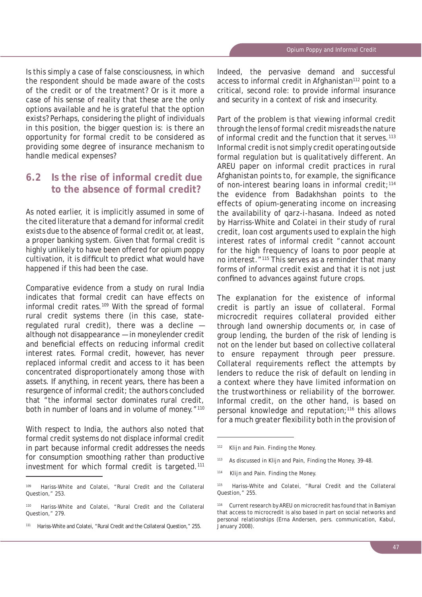Is this simply a case of false consciousness, in which the respondent should be made aware of the costs of the credit or of the treatment? Or is it more a case of his sense of reality that these are the only options available and he is grateful that the option exists? Perhaps, considering the plight of individuals in this position, the bigger question is: is there an opportunity for formal credit to be considered as providing some degree of insurance mechanism to handle medical expenses?

# **6.2 Is the rise of informal credit due to the absence of formal credit?**

As noted earlier, it is implicitly assumed in some of the cited literature that a demand for informal credit exists due to the absence of formal credit or, at least, a proper banking system. Given that formal credit is highly unlikely to have been offered for opium poppy cultivation, it is difficult to predict what would have happened if this had been the case.

Comparative evidence from a study on rural India indicates that formal credit can have effects on informal credit rates.<sup>109</sup> With the spread of formal rural credit systems there (in this case, stateregulated rural credit), there was a decline although not disappearance — in moneylender credit and beneficial effects on reducing informal credit interest rates. Formal credit, however, has never replaced informal credit and access to it has been concentrated disproportionately among those with assets. If anything, in recent years, there has been a resurgence of informal credit; the authors concluded that "the informal sector dominates rural credit, both in number of loans and in volume of money."<sup>110</sup>

With respect to India, the authors also noted that formal credit systems do not displace informal credit in part because informal credit addresses the needs for consumption smoothing rather than productive investment for which formal credit is targeted.<sup>111</sup>

Indeed, the pervasive demand and successful access to informal credit in Afghanistan<sup>112</sup> point to a critical, second role: to provide informal insurance and security in a context of risk and insecurity.

Part of the problem is that viewing informal credit through the lens of formal credit misreads the nature of informal credit and the function that it serves.<sup>113</sup> Informal credit is not simply credit operating outside formal regulation but is qualitatively different. An AREU paper on informal credit practices in rural Afghanistan points to, for example, the significance of non-interest bearing loans in informal credit;<sup>114</sup> the evidence from Badakhshan points to the effects of opium-generating income on increasing the availability of *qarz-i-hasana*. Indeed as noted by Harriss-White and Colatei in their study of rural credit, loan cost arguments used to explain the high interest rates of informal credit "cannot account for the high frequency of loans to poor people at no interest."115 This serves as a reminder that many forms of informal credit exist and that it is not just confined to advances against future crops.

The explanation for the existence of informal credit is partly an issue of collateral. Formal microcredit requires collateral provided either through land ownership documents or, in case of group lending, the burden of the risk of lending is not on the lender but based on collective collateral to ensure repayment through peer pressure. Collateral requirements reflect the attempts by lenders to reduce the risk of default on lending in a context where they have limited information on the trustworthiness or reliability of the borrower. Informal credit, on the other hand, is based on personal knowledge and reputation;<sup>116</sup> this allows for a much greater flexibility both in the provision of

<sup>109</sup> Hariss-White and Colatei, "Rural Credit and the Collateral Question," 253.

Hariss-White and Colatei, "Rural Credit and the Collateral Question," 279.

<sup>111</sup> Hariss-White and Colatei, "Rural Credit and the Collateral Question," 255.

<sup>112</sup> Klijn and Pain. *Finding the Money.*

<sup>113</sup> As discussed in Klijn and Pain, *Finding the Money,* 39-48.

<sup>114</sup> Klijn and Pain. *Finding the Money.*

<sup>115</sup> Hariss-White and Colatei, "Rural Credit and the Collateral Question," 255.

Current research by AREU on microcredit has found that in Bamiyan that access to microcredit is also based in part on social networks and personal relationships (Erna Andersen, pers. communication, Kabul, January 2008).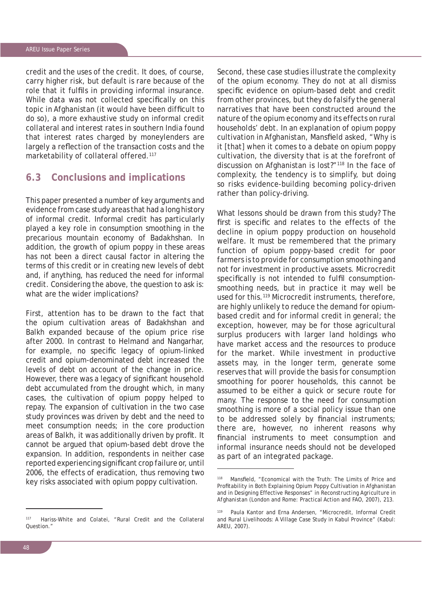credit and the uses of the credit. It does, of course, carry higher risk, but default is rare because of the role that it fulfils in providing informal insurance. While data was not collected specifically on this topic in Afghanistan (it would have been difficult to do so), a more exhaustive study on informal credit collateral and interest rates in southern India found that interest rates charged by moneylenders are largely a reflection of the transaction costs and the marketability of collateral offered.<sup>117</sup>

#### **6.3 Conclusions and implications**

This paper presented a number of key arguments and evidence from case study areas that had a long history of informal credit. Informal credit has particularly played a key role in consumption smoothing in the precarious mountain economy of Badakhshan. In addition, the growth of opium poppy in these areas has not been a direct causal factor in altering the terms of this credit or in creating new levels of debt and, if anything, has reduced the need for informal credit. Considering the above, the question to ask is: what are the wider implications?

First, attention has to be drawn to the fact that the opium cultivation areas of Badakhshan and Balkh expanded because of the opium price rise after 2000. In contrast to Helmand and Nangarhar, for example, no specific legacy of opium-linked credit and opium-denominated debt increased the levels of debt on account of the change in price. However, there was a legacy of significant household debt accumulated from the drought which, in many cases, the cultivation of opium poppy helped to repay. The expansion of cultivation in the two case study provinces was driven by debt and the need to meet consumption needs; in the core production areas of Balkh, it was additionally driven by profit. It cannot be argued that opium-based debt drove the expansion. In addition, respondents in neither case reported experiencing significant crop failure or, until 2006, the effects of eradication, thus removing two key risks associated with opium poppy cultivation.

Second, these case studies illustrate the complexity of the opium economy. They do not at all dismiss specific evidence on opium-based debt and credit from other provinces, but they do falsify the general narratives that have been constructed around the nature of the opium economy and its effects on rural households' debt. In an explanation of opium poppy cultivation in Afghanistan, Mansfield asked, "Why is it [that] when it comes to a debate on opium poppy cultivation, the diversity that is at the forefront of discussion on Afghanistan is lost?"118 In the face of complexity, the tendency is to simplify, but doing so risks evidence-building becoming policy-driven rather than policy-driving.

What lessons should be drawn from this study? The first is specific and relates to the effects of the decline in opium poppy production on household welfare. It must be remembered that the primary function of opium poppy-based credit for poor farmers is to provide for consumption smoothing and not for investment in productive assets. Microcredit specifically is not intended to fulfil consumptionsmoothing needs, but in practice it may well be used for this.<sup>119</sup> Microcredit instruments, therefore, are highly unlikely to reduce the demand for opiumbased credit and for informal credit in general; the exception, however, may be for those agricultural surplus producers with larger land holdings who have market access and the resources to produce for the market. While investment in productive assets may, in the longer term, generate some reserves that will provide the basis for consumption smoothing for poorer households, this cannot be assumed to be either a quick or secure route for many. The response to the need for consumption smoothing is more of a social policy issue than one to be addressed solely by financial instruments; there are, however, no inherent reasons why financial instruments to meet consumption and informal insurance needs should not be developed as part of an integrated package.

<sup>117</sup> Hariss-White and Colatei, "Rural Credit and the Collateral Question."

<sup>118</sup> Mansfield, "Economical with the Truth: The Limits of Price and Profitability in Both Explaining Opium Poppy Cultivation in Afghanistan and in Designing Effective Responses" in *Reconstructing Agriculture in Afghanistan* (London and Rome: Practical Action and FAO, 2007), 213.

Paula Kantor and Erna Andersen, "Microcredit, Informal Credit and Rural Livelihoods: A Village Case Study in Kabul Province" (Kabul: AREU, 2007).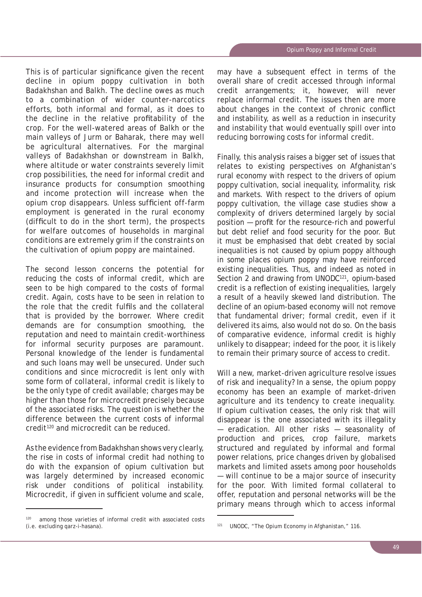This is of particular significance given the recent decline in opium poppy cultivation in both Badakhshan and Balkh. The decline owes as much to a combination of wider counter-narcotics efforts, both informal and formal, as it does to the decline in the relative profitability of the crop. For the well-watered areas of Balkh or the main valleys of Jurm or Baharak, there may well be agricultural alternatives. For the marginal valleys of Badakhshan or downstream in Balkh, where altitude or water constraints severely limit crop possibilities, the need for informal credit and insurance products for consumption smoothing and income protection will increase when the opium crop disappears. Unless sufficient off-farm employment is generated in the rural economy (difficult to do in the short term), the prospects for welfare outcomes of households in marginal conditions are extremely grim if the constraints on the cultivation of opium poppy are maintained.

The second lesson concerns the potential for reducing the costs of informal credit, which are seen to be high compared to the costs of formal credit. Again, costs have to be seen in relation to the role that the credit fulfils and the collateral that is provided by the borrower. Where credit demands are for consumption smoothing, the reputation and need to maintain credit-worthiness for informal security purposes are paramount. Personal knowledge of the lender is fundamental and such loans may well be unsecured. Under such conditions and since microcredit is lent only with some form of collateral, informal credit is likely to be the only type of credit available; charges may be higher than those for microcredit precisely because of the associated risks. The question is whether the difference between the current costs of informal credit<sup>120</sup> and microcredit can be reduced.

As the evidence from Badakhshan shows very clearly, the rise in costs of informal credit had nothing to do with the expansion of opium cultivation but was largely determined by increased economic risk under conditions of political instability. Microcredit, if given in sufficient volume and scale,

may have a subsequent effect in terms of the overall share of credit accessed through informal credit arrangements; it, however, will never replace informal credit. The issues then are more about changes in the context of chronic conflict and instability, as well as a reduction in insecurity and instability that would eventually spill over into reducing borrowing costs for informal credit.

Finally, this analysis raises a bigger set of issues that relates to existing perspectives on Afghanistan's rural economy with respect to the drivers of opium poppy cultivation, social inequality, informality, risk and markets. With respect to the drivers of opium poppy cultivation, the village case studies show a complexity of drivers determined largely by social position – profit for the resource-rich and powerful but debt relief and food security for the poor. But it must be emphasised that debt created by social inequalities is not caused by opium poppy although in some places opium poppy may have reinforced existing inequalities. Thus, and indeed as noted in Section 2 and drawing from UNODC<sup>121</sup>, opium-based credit is a reflection of existing inequalities, largely a result of a heavily skewed land distribution. The decline of an opium-based economy will not remove that fundamental driver; formal credit, even if it delivered its aims, also would not do so. On the basis of comparative evidence, informal credit is highly unlikely to disappear; indeed for the poor, it is likely to remain their primary source of access to credit.

Will a new, market-driven agriculture resolve issues of risk and inequality? In a sense, the opium poppy economy has been an example of market-driven agriculture and its tendency to create inequality. If opium cultivation ceases, the only risk that will disappear is the one associated with its illegality — eradication. All other risks — seasonality of production and prices, crop failure, markets structured and regulated by informal and formal power relations, price changes driven by globalised markets and limited assets among poor households — will continue to be a major source of insecurity for the poor. With limited formal collateral to offer, reputation and personal networks will be the primary means through which to access informal

<sup>&</sup>lt;sup>120</sup> among those varieties of informal credit with associated costs (i.e. excluding *qarz-i-hasana*).

<sup>121</sup> UNODC, "The Opium Economy in Afghanistan," 116.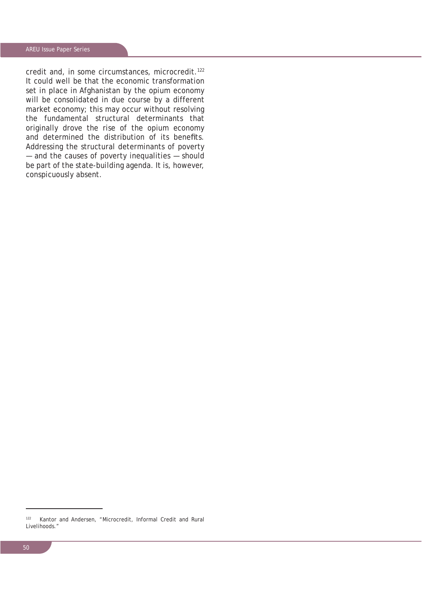credit and, in some circumstances, microcredit.<sup>122</sup> It could well be that the economic transformation set in place in Afghanistan by the opium economy will be consolidated in due course by a different market economy; this may occur without resolving the fundamental structural determinants that originally drove the rise of the opium economy and determined the distribution of its benefits. Addressing the structural determinants of poverty — and the causes of poverty inequalities — should be part of the state-building agenda. It is, however, conspicuously absent.

<sup>122</sup> Kantor and Andersen, "Microcredit, Informal Credit and Rural Livelihoods."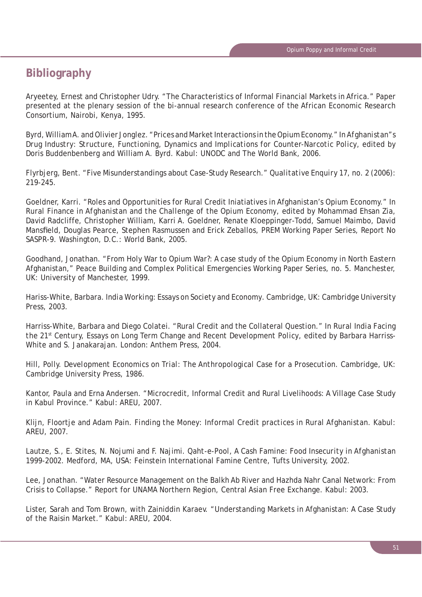# **Bibliography**

Aryeetey, Ernest and Christopher Udry. "The Characteristics of Informal Financial Markets in Africa." Paper presented at the plenary session of the bi-annual research conference of the African Economic Research Consortium, Nairobi, Kenya, 1995.

Byrd, William A. and Olivier Jonglez. "Prices and Market Interactions in the Opium Economy." In *Afghanistan"s Drug Industry: Structure, Functioning, Dynamics and Implications for Counter-Narcotic Policy*, edited by Doris Buddenbenberg and William A. Byrd. Kabul: UNODC and The World Bank, 2006.

Flyrbjerg, Bent. "Five Misunderstandings about Case-Study Research." *Qualitative Enquiry* 17, no. 2 (2006): 219-245.

Goeldner, Karri. "Roles and Opportunities for Rural Credit Iniatiatives in Afghanistan's Opium Economy." In *Rural Finance in Afghanistan and the Challenge of the Opium Economy*, edited by Mohammad Ehsan Zia, David Radcliffe, Christopher William, Karri A. Goeldner, Renate Kloeppinger-Todd, Samuel Maimbo, David Mansfield, Douglas Pearce, Stephen Rasmussen and Erick Zeballos, PREM Working Paper Series, Report No SASPR-9. Washington, D.C.: World Bank, 2005.

Goodhand, Jonathan. "From Holy War to Opium War?: A case study of the Opium Economy in North Eastern Afghanistan," Peace Building and Complex Political Emergencies Working Paper Series, no. 5. Manchester, UK: University of Manchester, 1999.

Hariss-White, Barbara. *India Working: Essays on Society and Economy*. Cambridge, UK: Cambridge University Press, 2003.

Harriss-White, Barbara and Diego Colatei. "Rural Credit and the Collateral Question." In *Rural India Facing the 21st Century, Essays on Long Term Change and Recent Development Policy*, edited by Barbara Harriss-White and S. Janakarajan. London: Anthem Press, 2004.

Hill, Polly. *Development Economics on Trial*: *The Anthropological Case for a Prosecution*. Cambridge, UK: Cambridge University Press, 1986.

Kantor, Paula and Erna Andersen. "Microcredit, Informal Credit and Rural Livelihoods: A Village Case Study in Kabul Province." Kabul: AREU, 2007.

Klijn, Floortje and Adam Pain. *Finding the Money: Informal Credit practices in Rural Afghanistan*. Kabul: AREU, 2007.

Lautze, S., E. Stites, N. Nojumi and F. Najimi. *Qaht-e-Pool, A Cash Famine: Food Insecurity in Afghanistan 1999-2002*. Medford, MA, USA: Feinstein International Famine Centre, Tufts University, 2002.

Lee, Jonathan. "Water Resource Management on the Balkh Ab River and Hazhda Nahr Canal Network: From Crisis to Collapse." Report for UNAMA Northern Region, Central Asian Free Exchange. Kabul: 2003.

Lister, Sarah and Tom Brown, with Zainiddin Karaev. "Understanding Markets in Afghanistan: A Case Study of the Raisin Market." Kabul: AREU, 2004.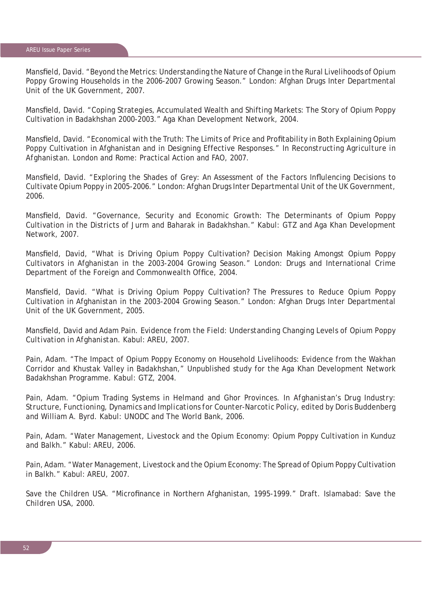Mansfield, David. "Beyond the Metrics: Understanding the Nature of Change in the Rural Livelihoods of Opium Poppy Growing Households in the 2006-2007 Growing Season." London: Afghan Drugs Inter Departmental Unit of the UK Government, 2007.

Mansfield, David. "Coping Strategies, Accumulated Wealth and Shifting Markets: The Story of Opium Poppy Cultivation in Badakhshan 2000-2003." Aga Khan Development Network, 2004.

Mansfield, David. "Economical with the Truth: The Limits of Price and Profitability in Both Explaining Opium Poppy Cultivation in Afghanistan and in Designing Effective Responses." In *Reconstructing Agriculture in Afghanistan*. London and Rome: Practical Action and FAO, 2007.

Mansfield, David. "Exploring the Shades of Grey: An Assessment of the Factors Influlencing Decisions to Cultivate Opium Poppy in 2005-2006." London: Afghan Drugs Inter Departmental Unit of the UK Government, 2006.

Mansfield, David. "Governance, Security and Economic Growth: The Determinants of Opium Poppy Cultivation in the Districts of Jurm and Baharak in Badakhshan." Kabul: GTZ and Aga Khan Development Network, 2007.

Mansfield, David, "What is Driving Opium Poppy Cultivation? Decision Making Amongst Opium Poppy Cultivators in Afghanistan in the 2003-2004 Growing Season." London: Drugs and International Crime Department of the Foreign and Commonwealth Office, 2004.

Mansfield, David. "What is Driving Opium Poppy Cultivation? The Pressures to Reduce Opium Poppy Cultivation in Afghanistan in the 2003-2004 Growing Season." London: Afghan Drugs Inter Departmental Unit of the UK Government, 2005.

Mansfield, David and Adam Pain. *Evidence from the Field: Understanding Changing Levels of Opium Poppy Cultivation in Afghanistan*. Kabul: AREU, 2007.

Pain, Adam. "The Impact of Opium Poppy Economy on Household Livelihoods: Evidence from the Wakhan Corridor and Khustak Valley in Badakhshan," Unpublished study for the Aga Khan Development Network Badakhshan Programme. Kabul: GTZ, 2004.

Pain, Adam. "Opium Trading Systems in Helmand and Ghor Provinces. In *Afghanistan's Drug Industry: Structure, Functioning, Dynamics and Implications for Counter-Narcotic Policy*, edited by Doris Buddenberg and William A. Byrd. Kabul: UNODC and The World Bank, 2006.

Pain, Adam. "Water Management, Livestock and the Opium Economy: Opium Poppy Cultivation in Kunduz and Balkh." Kabul: AREU, 2006.

Pain, Adam. "Water Management, Livestock and the Opium Economy: The Spread of Opium Poppy Cultivation in Balkh." Kabul: AREU, 2007.

Save the Children USA. "Microfinance in Northern Afghanistan, 1995-1999." Draft. Islamabad: Save the Children USA, 2000.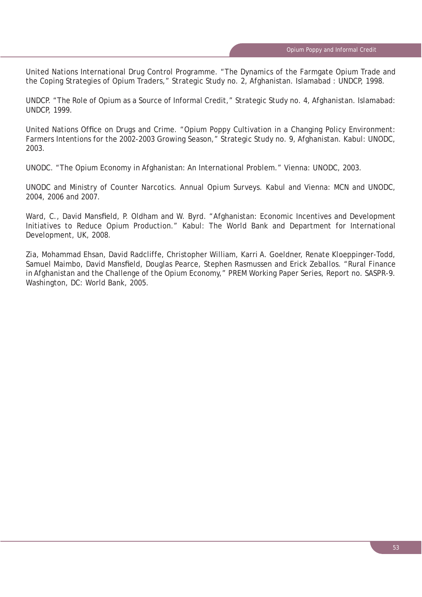United Nations International Drug Control Programme. "The Dynamics of the Farmgate Opium Trade and the Coping Strategies of Opium Traders," Strategic Study no. 2, Afghanistan. Islamabad : UNDCP, 1998.

UNDCP. "The Role of Opium as a Source of Informal Credit," Strategic Study no. 4, Afghanistan. Islamabad: UNDCP, 1999.

United Nations Office on Drugs and Crime. "Opium Poppy Cultivation in a Changing Policy Environment: Farmers Intentions for the 2002-2003 Growing Season," Strategic Study no. 9, Afghanistan. Kabul: UNODC, 2003.

UNODC. "The Opium Economy in Afghanistan: An International Problem." Vienna: UNODC, 2003.

UNODC and Ministry of Counter Narcotics. *Annual Opium Surveys*. Kabul and Vienna: MCN and UNODC, 2004, 2006 and 2007.

Ward, C., David Mansfield, P. Oldham and W. Byrd. "Afghanistan: Economic Incentives and Development Initiatives to Reduce Opium Production." Kabul: The World Bank and Department for International Development, UK, 2008.

Zia, Mohammad Ehsan, David Radcliffe, Christopher William, Karri A. Goeldner, Renate Kloeppinger-Todd, Samuel Maimbo, David Mansfield, Douglas Pearce, Stephen Rasmussen and Erick Zeballos. "Rural Finance in Afghanistan and the Challenge of the Opium Economy," PREM Working Paper Series, Report no. SASPR-9. Washington, DC: World Bank, 2005.